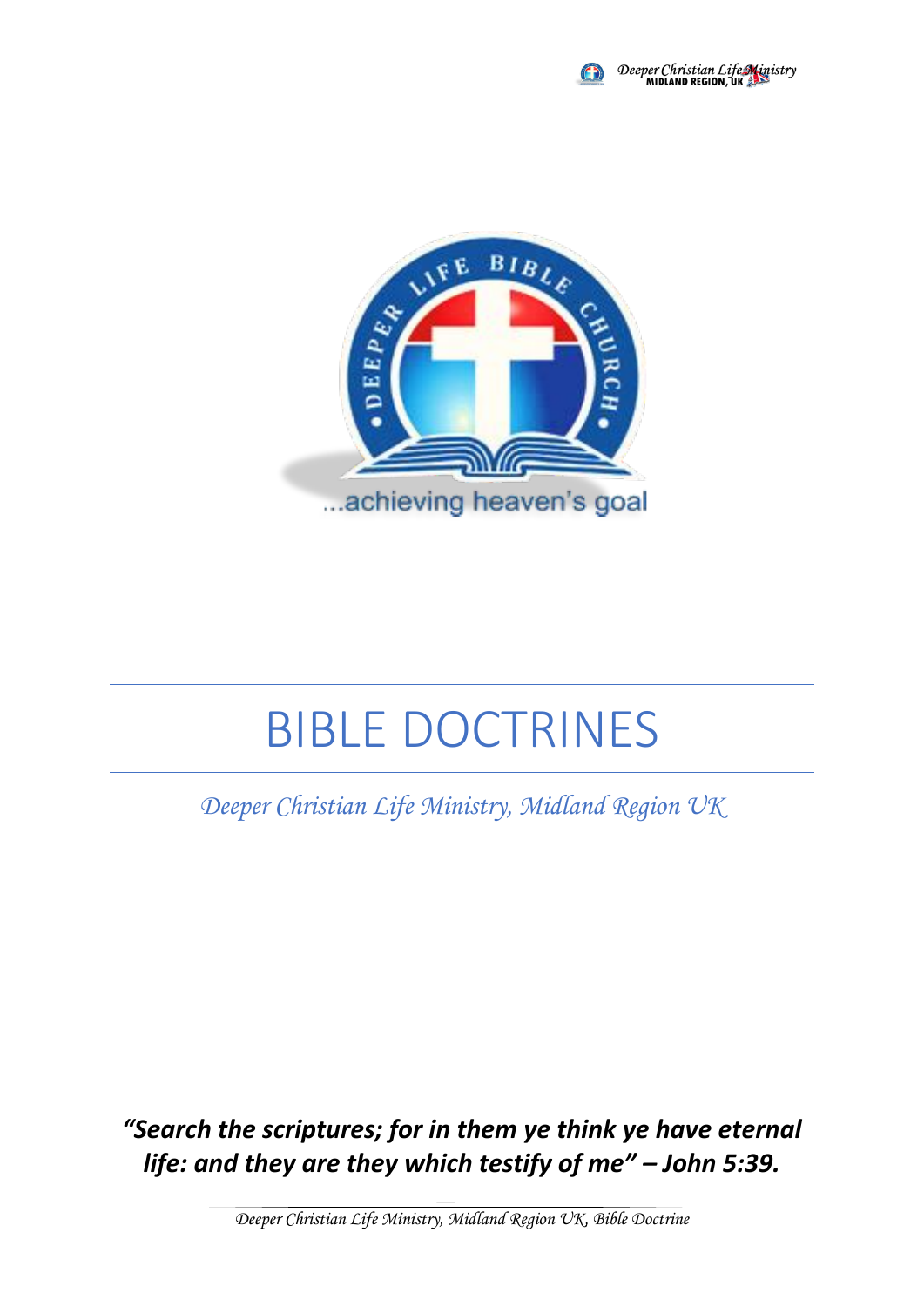



# BIBLE DOCTRINES

*Deeper Christian Life Ministry, Midland Region UK*

*"Search the scriptures; for in them ye think ye have eternal life: and they are they which testify of me" – John 5:39.*

*Deeper Christian Life Ministry, Midland Region UK, Bible Doctrine*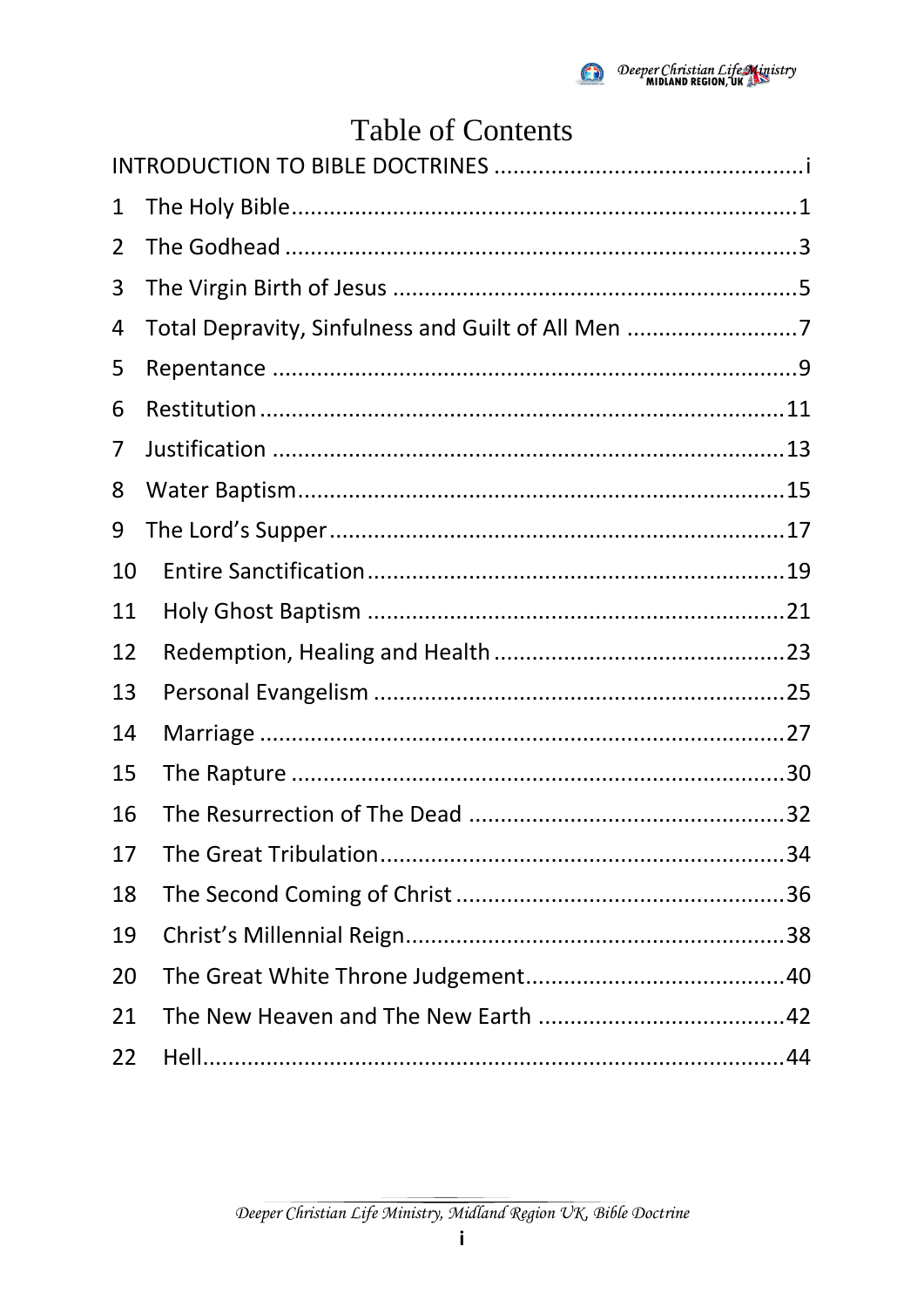

# **Table of Contents**

| 1  |                                                    |  |
|----|----------------------------------------------------|--|
| 2  |                                                    |  |
| 3  |                                                    |  |
| 4  | Total Depravity, Sinfulness and Guilt of All Men 7 |  |
| 5  |                                                    |  |
| 6  |                                                    |  |
| 7  |                                                    |  |
| 8  |                                                    |  |
| 9  |                                                    |  |
| 10 |                                                    |  |
| 11 |                                                    |  |
| 12 |                                                    |  |
| 13 |                                                    |  |
| 14 |                                                    |  |
| 15 |                                                    |  |
| 16 |                                                    |  |
| 17 |                                                    |  |
| 18 |                                                    |  |
| 19 |                                                    |  |
| 20 |                                                    |  |
| 21 |                                                    |  |
| 22 |                                                    |  |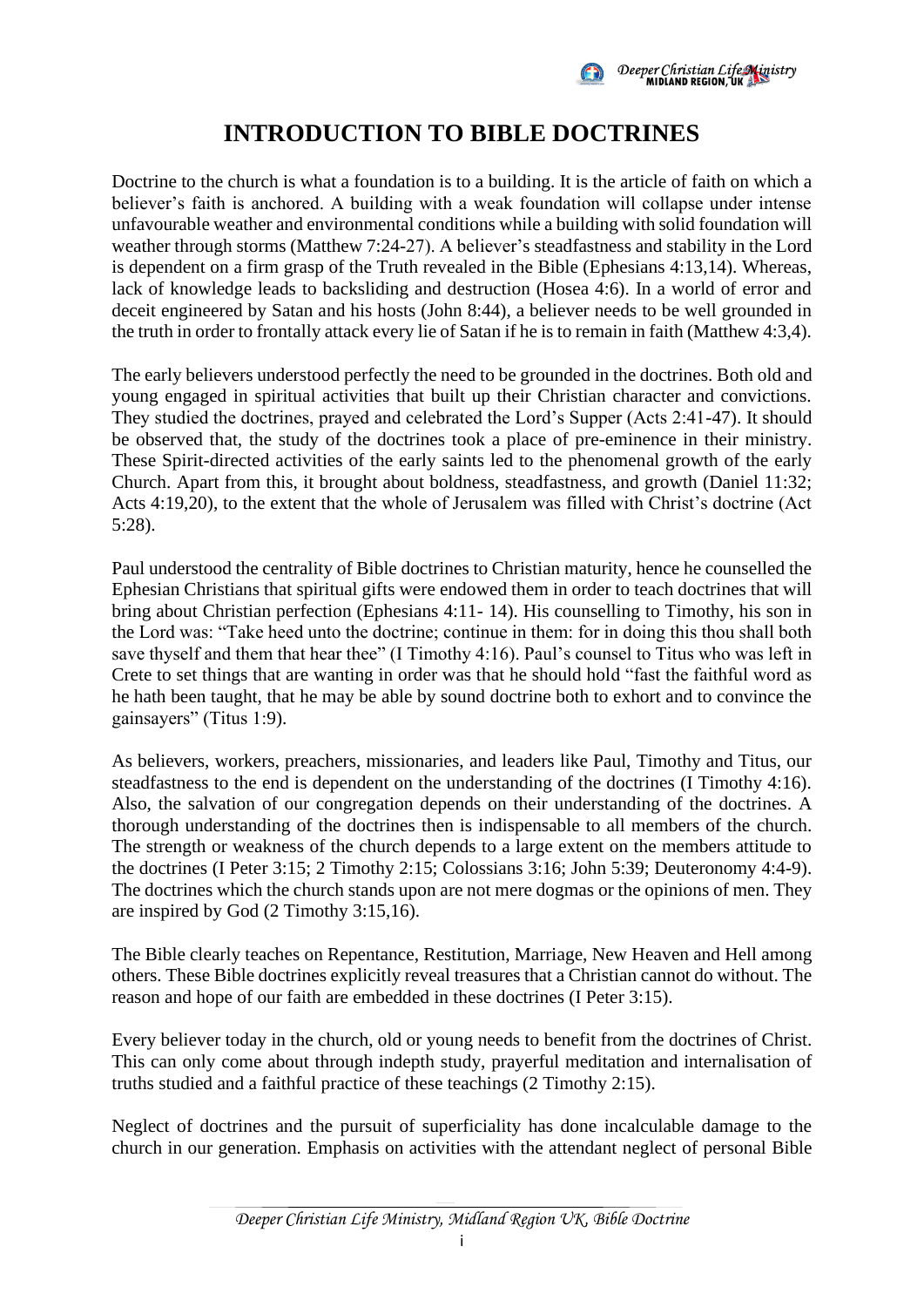

### **INTRODUCTION TO BIBLE DOCTRINES**

<span id="page-2-0"></span>Doctrine to the church is what a foundation is to a building. It is the article of faith on which a believer's faith is anchored. A building with a weak foundation will collapse under intense unfavourable weather and environmental conditions while a building with solid foundation will weather through storms (Matthew 7:24-27). A believer's steadfastness and stability in the Lord is dependent on a firm grasp of the Truth revealed in the Bible (Ephesians 4:13,14). Whereas, lack of knowledge leads to backsliding and destruction (Hosea 4:6). In a world of error and deceit engineered by Satan and his hosts (John 8:44), a believer needs to be well grounded in the truth in order to frontally attack every lie of Satan if he is to remain in faith (Matthew 4:3,4).

The early believers understood perfectly the need to be grounded in the doctrines. Both old and young engaged in spiritual activities that built up their Christian character and convictions. They studied the doctrines, prayed and celebrated the Lord's Supper (Acts 2:41-47). It should be observed that, the study of the doctrines took a place of pre-eminence in their ministry. These Spirit-directed activities of the early saints led to the phenomenal growth of the early Church. Apart from this, it brought about boldness, steadfastness, and growth (Daniel 11:32; Acts 4:19,20), to the extent that the whole of Jerusalem was filled with Christ's doctrine (Act 5:28).

Paul understood the centrality of Bible doctrines to Christian maturity, hence he counselled the Ephesian Christians that spiritual gifts were endowed them in order to teach doctrines that will bring about Christian perfection (Ephesians 4:11- 14). His counselling to Timothy, his son in the Lord was: "Take heed unto the doctrine; continue in them: for in doing this thou shall both save thyself and them that hear thee" (I Timothy 4:16). Paul's counsel to Titus who was left in Crete to set things that are wanting in order was that he should hold "fast the faithful word as he hath been taught, that he may be able by sound doctrine both to exhort and to convince the gainsayers" (Titus 1:9).

As believers, workers, preachers, missionaries, and leaders like Paul, Timothy and Titus, our steadfastness to the end is dependent on the understanding of the doctrines (I Timothy 4:16). Also, the salvation of our congregation depends on their understanding of the doctrines. A thorough understanding of the doctrines then is indispensable to all members of the church. The strength or weakness of the church depends to a large extent on the members attitude to the doctrines (I Peter 3:15; 2 Timothy 2:15; Colossians 3:16; John 5:39; Deuteronomy 4:4-9). The doctrines which the church stands upon are not mere dogmas or the opinions of men. They are inspired by God (2 Timothy 3:15,16).

The Bible clearly teaches on Repentance, Restitution, Marriage, New Heaven and Hell among others. These Bible doctrines explicitly reveal treasures that a Christian cannot do without. The reason and hope of our faith are embedded in these doctrines (I Peter 3:15).

Every believer today in the church, old or young needs to benefit from the doctrines of Christ. This can only come about through indepth study, prayerful meditation and internalisation of truths studied and a faithful practice of these teachings (2 Timothy 2:15).

Neglect of doctrines and the pursuit of superficiality has done incalculable damage to the church in our generation. Emphasis on activities with the attendant neglect of personal Bible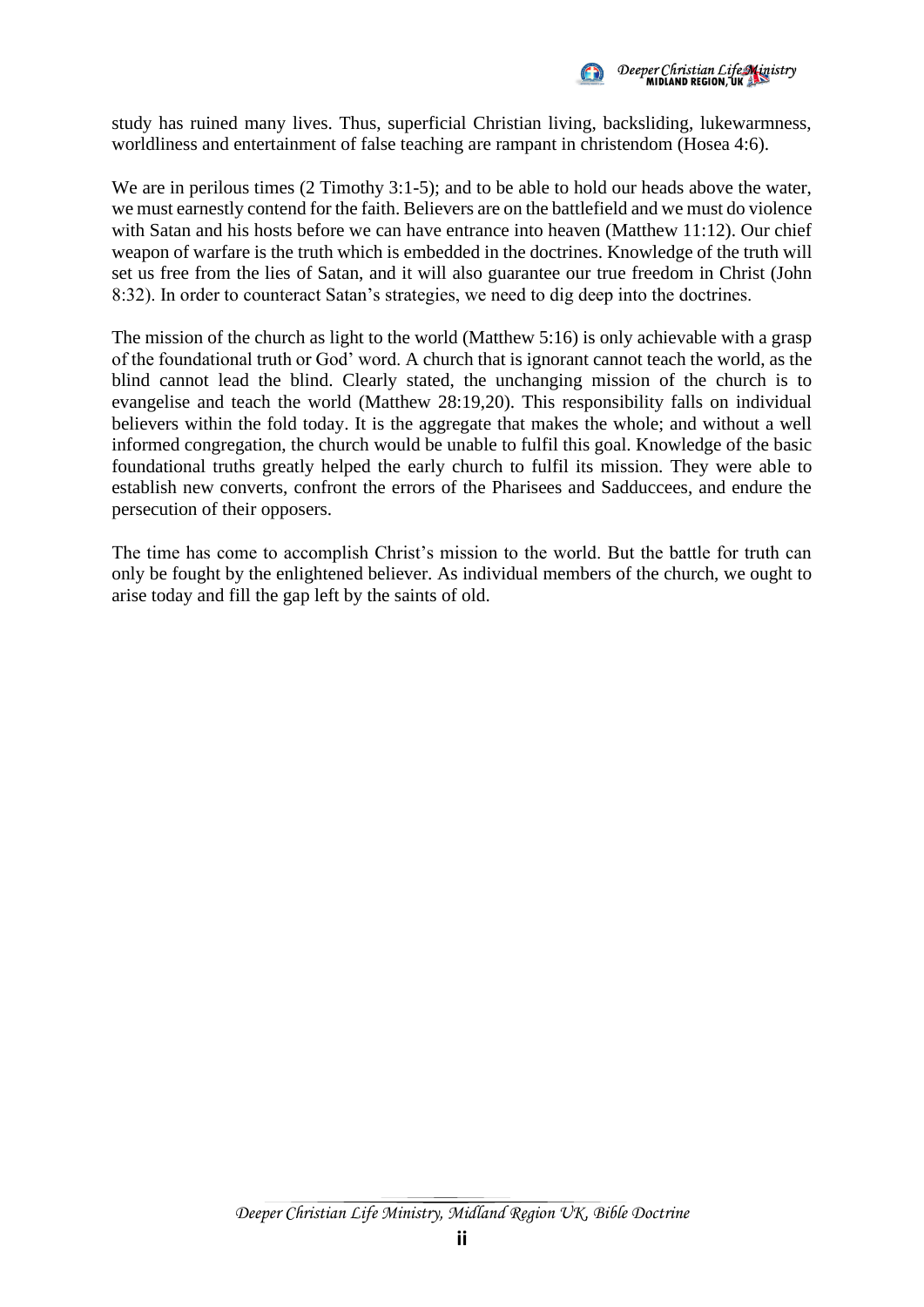

study has ruined many lives. Thus, superficial Christian living, backsliding, lukewarmness, worldliness and entertainment of false teaching are rampant in christendom (Hosea 4:6).

We are in perilous times (2 Timothy 3:1-5); and to be able to hold our heads above the water, we must earnestly contend for the faith. Believers are on the battlefield and we must do violence with Satan and his hosts before we can have entrance into heaven (Matthew 11:12). Our chief weapon of warfare is the truth which is embedded in the doctrines. Knowledge of the truth will set us free from the lies of Satan, and it will also guarantee our true freedom in Christ (John 8:32). In order to counteract Satan's strategies, we need to dig deep into the doctrines.

The mission of the church as light to the world (Matthew 5:16) is only achievable with a grasp of the foundational truth or God' word. A church that is ignorant cannot teach the world, as the blind cannot lead the blind. Clearly stated, the unchanging mission of the church is to evangelise and teach the world (Matthew 28:19,20). This responsibility falls on individual believers within the fold today. It is the aggregate that makes the whole; and without a well informed congregation, the church would be unable to fulfil this goal. Knowledge of the basic foundational truths greatly helped the early church to fulfil its mission. They were able to establish new converts, confront the errors of the Pharisees and Sadduccees, and endure the persecution of their opposers.

The time has come to accomplish Christ's mission to the world. But the battle for truth can only be fought by the enlightened believer. As individual members of the church, we ought to arise today and fill the gap left by the saints of old.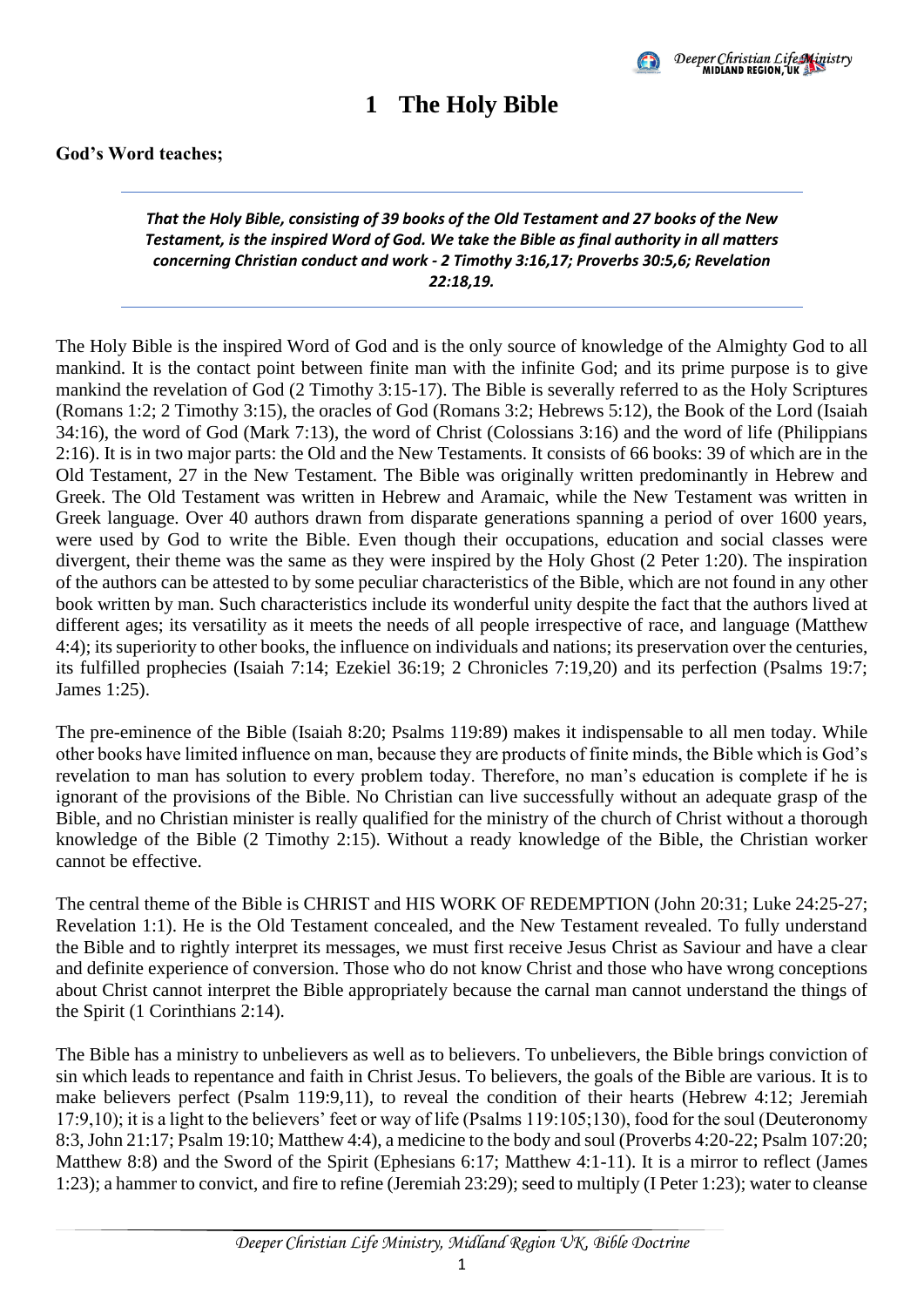

### **1 The Holy Bible**

#### <span id="page-4-0"></span>*That the Holy Bible, consisting of 39 books of the Old Testament and 27 books of the New Testament, is the inspired Word of God. We take the Bible as final authority in all matters concerning Christian conduct and work - 2 Timothy 3:16,17; Proverbs 30:5,6; Revelation 22:18,19.*

The Holy Bible is the inspired Word of God and is the only source of knowledge of the Almighty God to all mankind. It is the contact point between finite man with the infinite God; and its prime purpose is to give mankind the revelation of God (2 Timothy 3:15-17). The Bible is severally referred to as the Holy Scriptures (Romans 1:2; 2 Timothy 3:15), the oracles of God (Romans 3:2; Hebrews 5:12), the Book of the Lord (Isaiah 34:16), the word of God (Mark 7:13), the word of Christ (Colossians 3:16) and the word of life (Philippians 2:16). It is in two major parts: the Old and the New Testaments. It consists of 66 books: 39 of which are in the Old Testament, 27 in the New Testament. The Bible was originally written predominantly in Hebrew and Greek. The Old Testament was written in Hebrew and Aramaic, while the New Testament was written in Greek language. Over 40 authors drawn from disparate generations spanning a period of over 1600 years, were used by God to write the Bible. Even though their occupations, education and social classes were divergent, their theme was the same as they were inspired by the Holy Ghost (2 Peter 1:20). The inspiration of the authors can be attested to by some peculiar characteristics of the Bible, which are not found in any other book written by man. Such characteristics include its wonderful unity despite the fact that the authors lived at different ages; its versatility as it meets the needs of all people irrespective of race, and language (Matthew 4:4); its superiority to other books, the influence on individuals and nations; its preservation over the centuries, its fulfilled prophecies (Isaiah 7:14; Ezekiel 36:19; 2 Chronicles 7:19,20) and its perfection (Psalms 19:7; James 1:25).

The pre-eminence of the Bible (Isaiah 8:20; Psalms 119:89) makes it indispensable to all men today. While other books have limited influence on man, because they are products of finite minds, the Bible which is God's revelation to man has solution to every problem today. Therefore, no man's education is complete if he is ignorant of the provisions of the Bible. No Christian can live successfully without an adequate grasp of the Bible, and no Christian minister is really qualified for the ministry of the church of Christ without a thorough knowledge of the Bible (2 Timothy 2:15). Without a ready knowledge of the Bible, the Christian worker cannot be effective.

The central theme of the Bible is CHRIST and HIS WORK OF REDEMPTION (John 20:31; Luke 24:25-27; Revelation 1:1). He is the Old Testament concealed, and the New Testament revealed. To fully understand the Bible and to rightly interpret its messages, we must first receive Jesus Christ as Saviour and have a clear and definite experience of conversion. Those who do not know Christ and those who have wrong conceptions about Christ cannot interpret the Bible appropriately because the carnal man cannot understand the things of the Spirit (1 Corinthians 2:14).

The Bible has a ministry to unbelievers as well as to believers. To unbelievers, the Bible brings conviction of sin which leads to repentance and faith in Christ Jesus. To believers, the goals of the Bible are various. It is to make believers perfect (Psalm 119:9,11), to reveal the condition of their hearts (Hebrew 4:12; Jeremiah 17:9,10); it is a light to the believers' feet or way of life (Psalms 119:105;130), food for the soul (Deuteronomy 8:3, John 21:17; Psalm 19:10; Matthew 4:4), a medicine to the body and soul (Proverbs 4:20-22; Psalm 107:20; Matthew 8:8) and the Sword of the Spirit (Ephesians 6:17; Matthew 4:1-11). It is a mirror to reflect (James 1:23); a hammer to convict, and fire to refine (Jeremiah 23:29); seed to multiply (I Peter 1:23); water to cleanse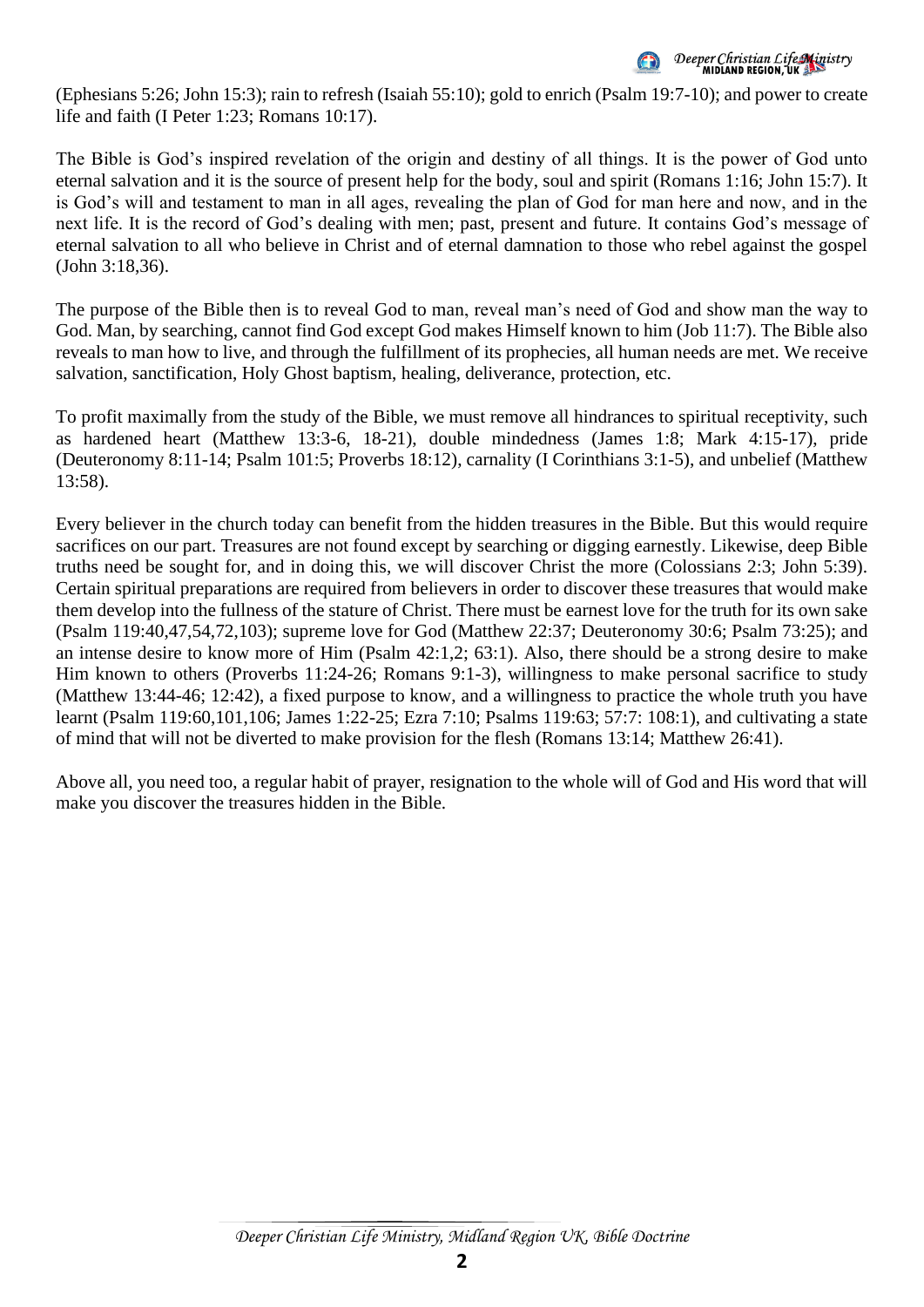

(Ephesians 5:26; John 15:3); rain to refresh (Isaiah 55:10); gold to enrich (Psalm 19:7-10); and power to create life and faith (I Peter 1:23; Romans 10:17).

The Bible is God's inspired revelation of the origin and destiny of all things. It is the power of God unto eternal salvation and it is the source of present help for the body, soul and spirit (Romans 1:16; John 15:7). It is God's will and testament to man in all ages, revealing the plan of God for man here and now, and in the next life. It is the record of God's dealing with men; past, present and future. It contains God's message of eternal salvation to all who believe in Christ and of eternal damnation to those who rebel against the gospel (John 3:18,36).

The purpose of the Bible then is to reveal God to man, reveal man's need of God and show man the way to God. Man, by searching, cannot find God except God makes Himself known to him (Job 11:7). The Bible also reveals to man how to live, and through the fulfillment of its prophecies, all human needs are met. We receive salvation, sanctification, Holy Ghost baptism, healing, deliverance, protection, etc.

To profit maximally from the study of the Bible, we must remove all hindrances to spiritual receptivity, such as hardened heart (Matthew 13:3-6, 18-21), double mindedness (James 1:8; Mark 4:15-17), pride (Deuteronomy 8:11-14; Psalm 101:5; Proverbs 18:12), carnality (I Corinthians 3:1-5), and unbelief (Matthew 13:58).

Every believer in the church today can benefit from the hidden treasures in the Bible. But this would require sacrifices on our part. Treasures are not found except by searching or digging earnestly. Likewise, deep Bible truths need be sought for, and in doing this, we will discover Christ the more (Colossians 2:3; John 5:39). Certain spiritual preparations are required from believers in order to discover these treasures that would make them develop into the fullness of the stature of Christ. There must be earnest love for the truth for its own sake (Psalm 119:40,47,54,72,103); supreme love for God (Matthew 22:37; Deuteronomy 30:6; Psalm 73:25); and an intense desire to know more of Him (Psalm 42:1,2; 63:1). Also, there should be a strong desire to make Him known to others (Proverbs 11:24-26; Romans 9:1-3), willingness to make personal sacrifice to study (Matthew 13:44-46; 12:42), a fixed purpose to know, and a willingness to practice the whole truth you have learnt (Psalm 119:60,101,106; James 1:22-25; Ezra 7:10; Psalms 119:63; 57:7: 108:1), and cultivating a state of mind that will not be diverted to make provision for the flesh (Romans 13:14; Matthew 26:41).

Above all, you need too, a regular habit of prayer, resignation to the whole will of God and His word that will make you discover the treasures hidden in the Bible.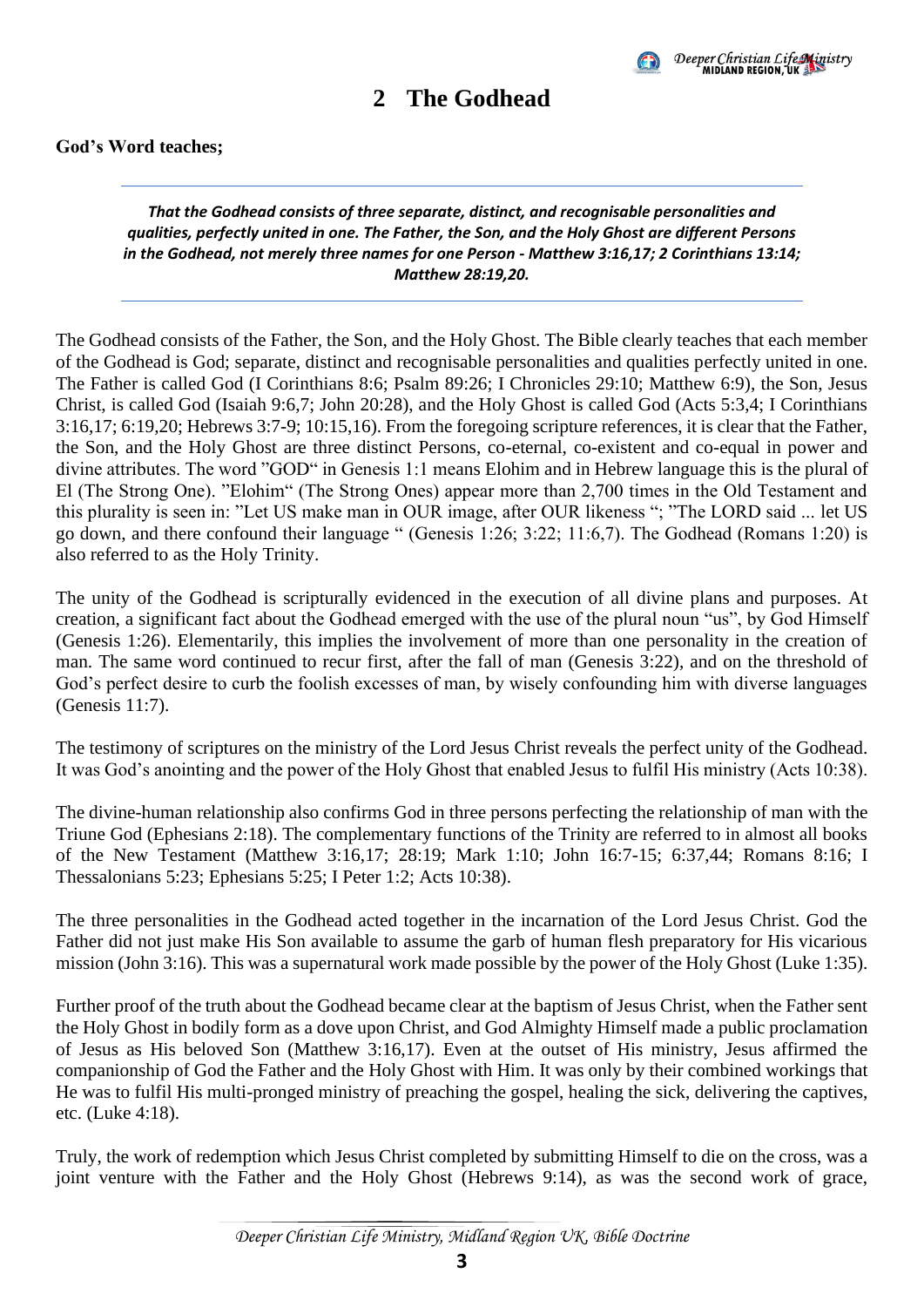

### **2 The Godhead**

#### <span id="page-6-0"></span>**God's Word teaches;**

#### *That the Godhead consists of three separate, distinct, and recognisable personalities and qualities, perfectly united in one. The Father, the Son, and the Holy Ghost are different Persons in the Godhead, not merely three names for one Person - Matthew 3:16,17; 2 Corinthians 13:14; Matthew 28:19,20.*

The Godhead consists of the Father, the Son, and the Holy Ghost. The Bible clearly teaches that each member of the Godhead is God; separate, distinct and recognisable personalities and qualities perfectly united in one. The Father is called God (I Corinthians 8:6; Psalm 89:26; I Chronicles 29:10; Matthew 6:9), the Son, Jesus Christ, is called God (Isaiah 9:6,7; John 20:28), and the Holy Ghost is called God (Acts 5:3,4; I Corinthians 3:16,17; 6:19,20; Hebrews 3:7-9; 10:15,16). From the foregoing scripture references, it is clear that the Father, the Son, and the Holy Ghost are three distinct Persons, co-eternal, co-existent and co-equal in power and divine attributes. The word "GOD" in Genesis 1:1 means Elohim and in Hebrew language this is the plural of El (The Strong One). "Elohim" (The Strong Ones) appear more than 2,700 times in the Old Testament and this plurality is seen in: "Let US make man in OUR image, after OUR likeness "; "The LORD said ... let US go down, and there confound their language " (Genesis 1:26; 3:22; 11:6,7). The Godhead (Romans 1:20) is also referred to as the Holy Trinity.

The unity of the Godhead is scripturally evidenced in the execution of all divine plans and purposes. At creation, a significant fact about the Godhead emerged with the use of the plural noun "us", by God Himself (Genesis 1:26). Elementarily, this implies the involvement of more than one personality in the creation of man. The same word continued to recur first, after the fall of man (Genesis 3:22), and on the threshold of God's perfect desire to curb the foolish excesses of man, by wisely confounding him with diverse languages (Genesis 11:7).

The testimony of scriptures on the ministry of the Lord Jesus Christ reveals the perfect unity of the Godhead. It was God's anointing and the power of the Holy Ghost that enabled Jesus to fulfil His ministry (Acts 10:38).

The divine-human relationship also confirms God in three persons perfecting the relationship of man with the Triune God (Ephesians 2:18). The complementary functions of the Trinity are referred to in almost all books of the New Testament (Matthew 3:16,17; 28:19; Mark 1:10; John 16:7-15; 6:37,44; Romans 8:16; I Thessalonians 5:23; Ephesians 5:25; I Peter 1:2; Acts 10:38).

The three personalities in the Godhead acted together in the incarnation of the Lord Jesus Christ. God the Father did not just make His Son available to assume the garb of human flesh preparatory for His vicarious mission (John 3:16). This was a supernatural work made possible by the power of the Holy Ghost (Luke 1:35).

Further proof of the truth about the Godhead became clear at the baptism of Jesus Christ, when the Father sent the Holy Ghost in bodily form as a dove upon Christ, and God Almighty Himself made a public proclamation of Jesus as His beloved Son (Matthew 3:16,17). Even at the outset of His ministry, Jesus affirmed the companionship of God the Father and the Holy Ghost with Him. It was only by their combined workings that He was to fulfil His multi-pronged ministry of preaching the gospel, healing the sick, delivering the captives, etc. (Luke 4:18).

Truly, the work of redemption which Jesus Christ completed by submitting Himself to die on the cross, was a joint venture with the Father and the Holy Ghost (Hebrews 9:14), as was the second work of grace,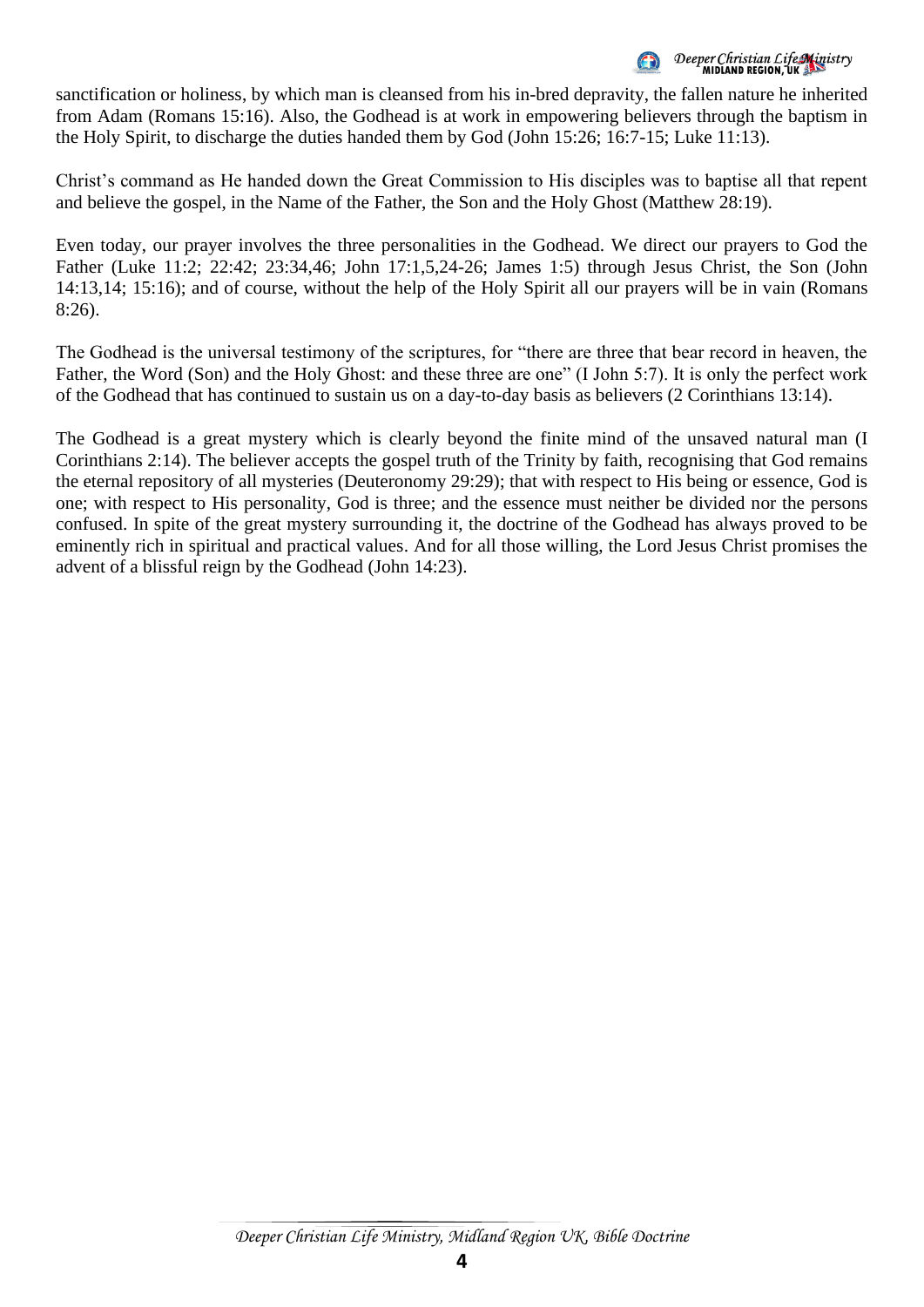Deeper Christian Life Ministry<br>MIDIAND REGION, UK

sanctification or holiness, by which man is cleansed from his in-bred depravity, the fallen nature he inherited from Adam (Romans 15:16). Also, the Godhead is at work in empowering believers through the baptism in the Holy Spirit, to discharge the duties handed them by God (John 15:26; 16:7-15; Luke 11:13).

Christ's command as He handed down the Great Commission to His disciples was to baptise all that repent and believe the gospel, in the Name of the Father, the Son and the Holy Ghost (Matthew 28:19).

Even today, our prayer involves the three personalities in the Godhead. We direct our prayers to God the Father (Luke 11:2; 22:42; 23:34,46; John 17:1,5,24-26; James 1:5) through Jesus Christ, the Son (John 14:13,14; 15:16); and of course, without the help of the Holy Spirit all our prayers will be in vain (Romans 8:26).

The Godhead is the universal testimony of the scriptures, for "there are three that bear record in heaven, the Father, the Word (Son) and the Holy Ghost: and these three are one" (I John 5:7). It is only the perfect work of the Godhead that has continued to sustain us on a day-to-day basis as believers (2 Corinthians 13:14).

The Godhead is a great mystery which is clearly beyond the finite mind of the unsaved natural man (I Corinthians 2:14). The believer accepts the gospel truth of the Trinity by faith, recognising that God remains the eternal repository of all mysteries (Deuteronomy 29:29); that with respect to His being or essence, God is one; with respect to His personality, God is three; and the essence must neither be divided nor the persons confused. In spite of the great mystery surrounding it, the doctrine of the Godhead has always proved to be eminently rich in spiritual and practical values. And for all those willing, the Lord Jesus Christ promises the advent of a blissful reign by the Godhead (John 14:23).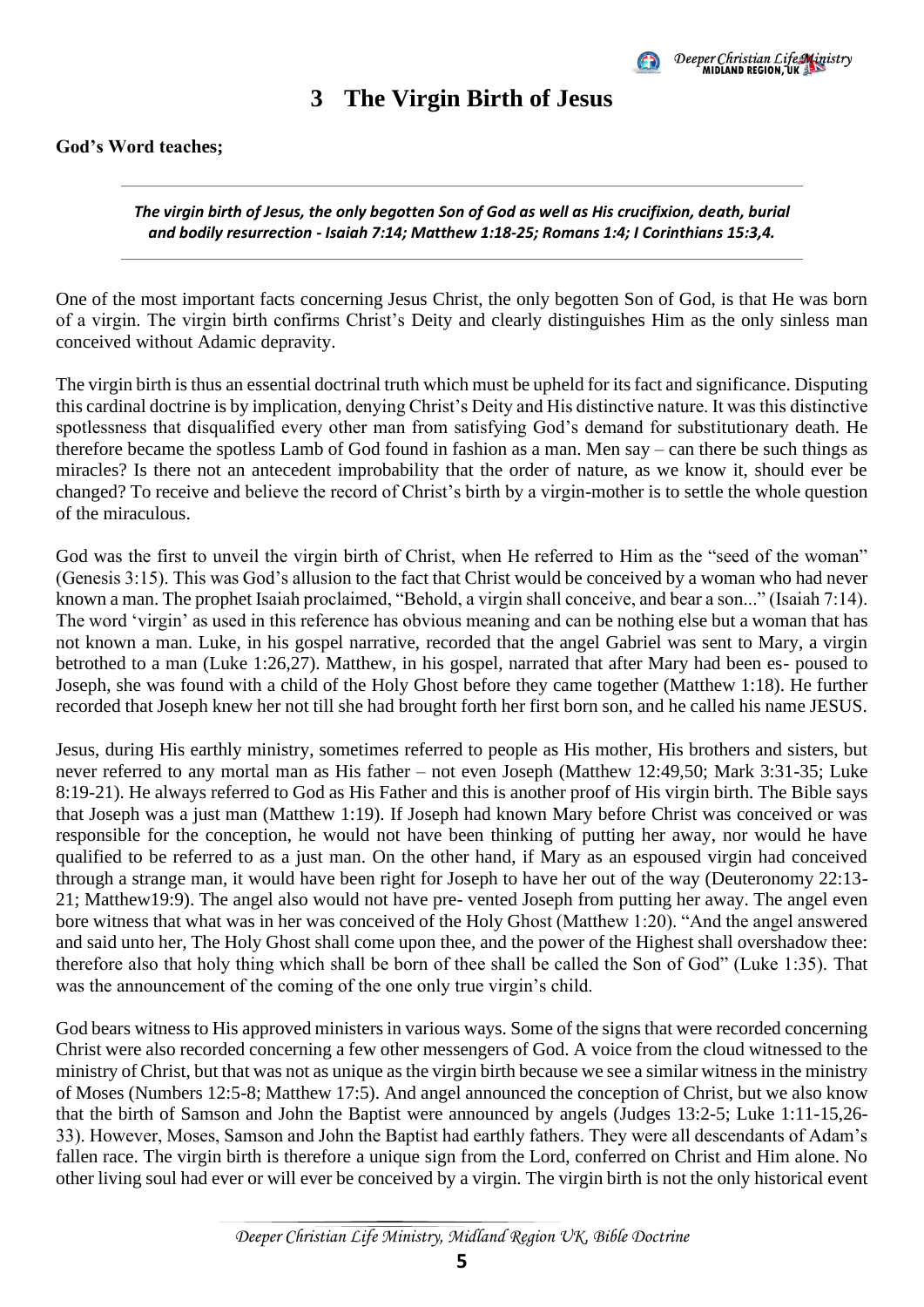

#### **3 The Virgin Birth of Jesus**

<span id="page-8-0"></span>*The virgin birth of Jesus, the only begotten Son of God as well as His crucifixion, death, burial and bodily resurrection - Isaiah 7:14; Matthew 1:18-25; Romans 1:4; I Corinthians 15:3,4.*

One of the most important facts concerning Jesus Christ, the only begotten Son of God, is that He was born of a virgin. The virgin birth confirms Christ's Deity and clearly distinguishes Him as the only sinless man conceived without Adamic depravity.

The virgin birth is thus an essential doctrinal truth which must be upheld for its fact and significance. Disputing this cardinal doctrine is by implication, denying Christ's Deity and His distinctive nature. It was this distinctive spotlessness that disqualified every other man from satisfying God's demand for substitutionary death. He therefore became the spotless Lamb of God found in fashion as a man. Men say – can there be such things as miracles? Is there not an antecedent improbability that the order of nature, as we know it, should ever be changed? To receive and believe the record of Christ's birth by a virgin-mother is to settle the whole question of the miraculous.

God was the first to unveil the virgin birth of Christ, when He referred to Him as the "seed of the woman" (Genesis 3:15). This was God's allusion to the fact that Christ would be conceived by a woman who had never known a man. The prophet Isaiah proclaimed, "Behold, a virgin shall conceive, and bear a son..." (Isaiah 7:14). The word 'virgin' as used in this reference has obvious meaning and can be nothing else but a woman that has not known a man. Luke, in his gospel narrative, recorded that the angel Gabriel was sent to Mary, a virgin betrothed to a man (Luke 1:26,27). Matthew, in his gospel, narrated that after Mary had been es- poused to Joseph, she was found with a child of the Holy Ghost before they came together (Matthew 1:18). He further recorded that Joseph knew her not till she had brought forth her first born son, and he called his name JESUS.

Jesus, during His earthly ministry, sometimes referred to people as His mother, His brothers and sisters, but never referred to any mortal man as His father – not even Joseph (Matthew 12:49,50; Mark 3:31-35; Luke 8:19-21). He always referred to God as His Father and this is another proof of His virgin birth. The Bible says that Joseph was a just man (Matthew 1:19). If Joseph had known Mary before Christ was conceived or was responsible for the conception, he would not have been thinking of putting her away, nor would he have qualified to be referred to as a just man. On the other hand, if Mary as an espoused virgin had conceived through a strange man, it would have been right for Joseph to have her out of the way (Deuteronomy 22:13- 21; Matthew19:9). The angel also would not have pre- vented Joseph from putting her away. The angel even bore witness that what was in her was conceived of the Holy Ghost (Matthew 1:20). "And the angel answered and said unto her, The Holy Ghost shall come upon thee, and the power of the Highest shall overshadow thee: therefore also that holy thing which shall be born of thee shall be called the Son of God" (Luke 1:35). That was the announcement of the coming of the one only true virgin's child.

God bears witness to His approved ministers in various ways. Some of the signs that were recorded concerning Christ were also recorded concerning a few other messengers of God. A voice from the cloud witnessed to the ministry of Christ, but that was not as unique as the virgin birth because we see a similar witness in the ministry of Moses (Numbers 12:5-8; Matthew 17:5). And angel announced the conception of Christ, but we also know that the birth of Samson and John the Baptist were announced by angels (Judges 13:2-5; Luke 1:11-15,26- 33). However, Moses, Samson and John the Baptist had earthly fathers. They were all descendants of Adam's fallen race. The virgin birth is therefore a unique sign from the Lord, conferred on Christ and Him alone. No other living soul had ever or will ever be conceived by a virgin. The virgin birth is not the only historical event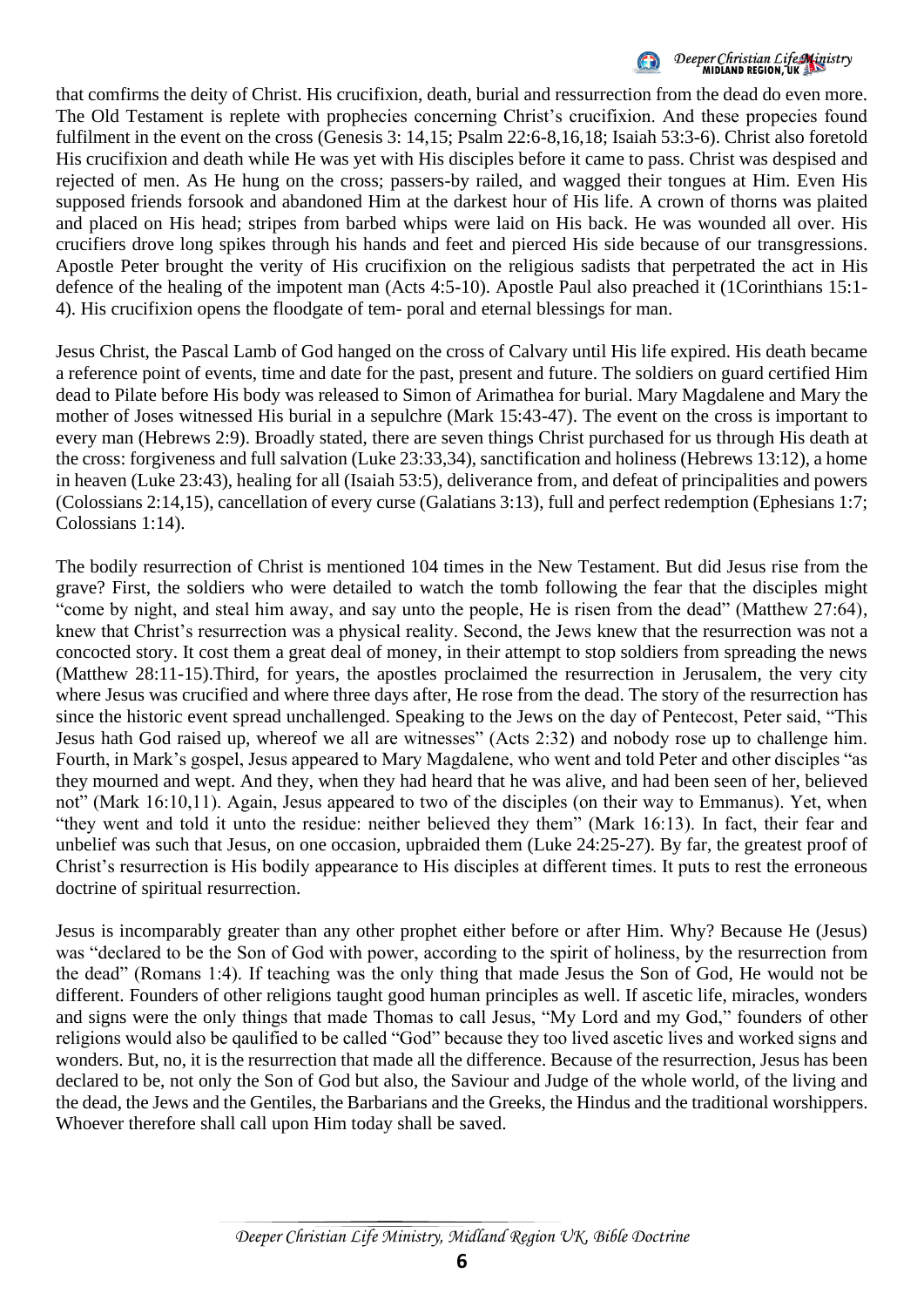

that comfirms the deity of Christ. His crucifixion, death, burial and ressurrection from the dead do even more. The Old Testament is replete with prophecies concerning Christ's crucifixion. And these propecies found fulfilment in the event on the cross (Genesis 3: 14,15; Psalm 22:6-8,16,18; Isaiah 53:3-6). Christ also foretold His crucifixion and death while He was yet with His disciples before it came to pass. Christ was despised and rejected of men. As He hung on the cross; passers-by railed, and wagged their tongues at Him. Even His supposed friends forsook and abandoned Him at the darkest hour of His life. A crown of thorns was plaited and placed on His head; stripes from barbed whips were laid on His back. He was wounded all over. His crucifiers drove long spikes through his hands and feet and pierced His side because of our transgressions. Apostle Peter brought the verity of His crucifixion on the religious sadists that perpetrated the act in His defence of the healing of the impotent man (Acts 4:5-10). Apostle Paul also preached it (1Corinthians 15:1- 4). His crucifixion opens the floodgate of tem- poral and eternal blessings for man.

Jesus Christ, the Pascal Lamb of God hanged on the cross of Calvary until His life expired. His death became a reference point of events, time and date for the past, present and future. The soldiers on guard certified Him dead to Pilate before His body was released to Simon of Arimathea for burial. Mary Magdalene and Mary the mother of Joses witnessed His burial in a sepulchre (Mark 15:43-47). The event on the cross is important to every man (Hebrews 2:9). Broadly stated, there are seven things Christ purchased for us through His death at the cross: forgiveness and full salvation (Luke 23:33,34), sanctification and holiness (Hebrews 13:12), a home in heaven (Luke 23:43), healing for all (Isaiah 53:5), deliverance from, and defeat of principalities and powers (Colossians 2:14,15), cancellation of every curse (Galatians 3:13), full and perfect redemption (Ephesians 1:7; Colossians 1:14).

The bodily resurrection of Christ is mentioned 104 times in the New Testament. But did Jesus rise from the grave? First, the soldiers who were detailed to watch the tomb following the fear that the disciples might "come by night, and steal him away, and say unto the people, He is risen from the dead" (Matthew 27:64), knew that Christ's resurrection was a physical reality. Second, the Jews knew that the resurrection was not a concocted story. It cost them a great deal of money, in their attempt to stop soldiers from spreading the news (Matthew 28:11-15).Third, for years, the apostles proclaimed the resurrection in Jerusalem, the very city where Jesus was crucified and where three days after, He rose from the dead. The story of the resurrection has since the historic event spread unchallenged. Speaking to the Jews on the day of Pentecost, Peter said, "This Jesus hath God raised up, whereof we all are witnesses" (Acts 2:32) and nobody rose up to challenge him. Fourth, in Mark's gospel, Jesus appeared to Mary Magdalene, who went and told Peter and other disciples "as they mourned and wept. And they, when they had heard that he was alive, and had been seen of her, believed not" (Mark 16:10,11). Again, Jesus appeared to two of the disciples (on their way to Emmanus). Yet, when "they went and told it unto the residue: neither believed they them" (Mark 16:13). In fact, their fear and unbelief was such that Jesus, on one occasion, upbraided them (Luke 24:25-27). By far, the greatest proof of Christ's resurrection is His bodily appearance to His disciples at different times. It puts to rest the erroneous doctrine of spiritual resurrection.

Jesus is incomparably greater than any other prophet either before or after Him. Why? Because He (Jesus) was "declared to be the Son of God with power, according to the spirit of holiness, by the resurrection from the dead" (Romans 1:4). If teaching was the only thing that made Jesus the Son of God, He would not be different. Founders of other religions taught good human principles as well. If ascetic life, miracles, wonders and signs were the only things that made Thomas to call Jesus, "My Lord and my God," founders of other religions would also be qaulified to be called "God" because they too lived ascetic lives and worked signs and wonders. But, no, it is the resurrection that made all the difference. Because of the resurrection, Jesus has been declared to be, not only the Son of God but also, the Saviour and Judge of the whole world, of the living and the dead, the Jews and the Gentiles, the Barbarians and the Greeks, the Hindus and the traditional worshippers. Whoever therefore shall call upon Him today shall be saved.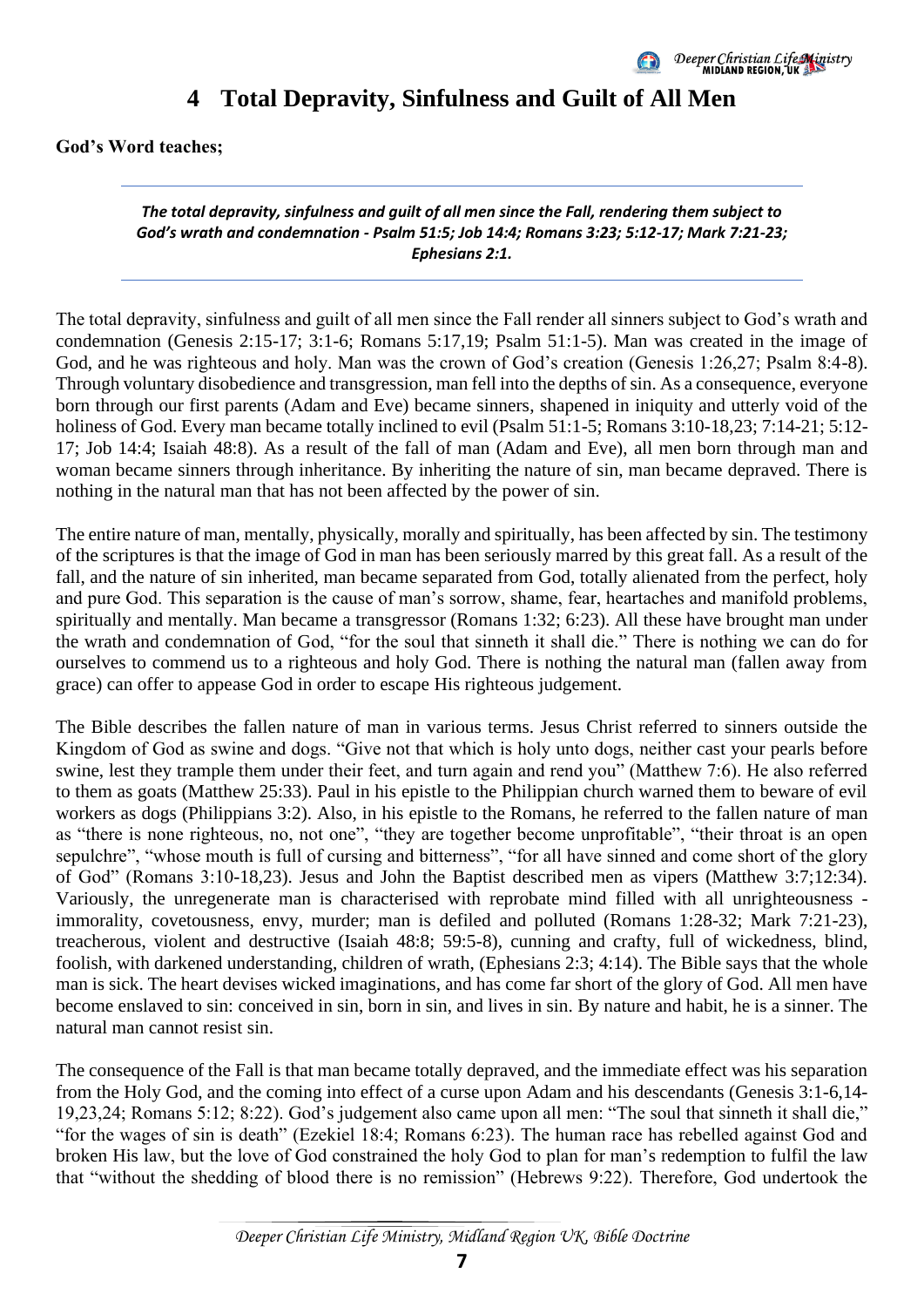

### **4 Total Depravity, Sinfulness and Guilt of All Men**

<span id="page-10-0"></span>**God's Word teaches;** 

*The total depravity, sinfulness and guilt of all men since the Fall, rendering them subject to God's wrath and condemnation - Psalm 51:5; Job 14:4; Romans 3:23; 5:12-17; Mark 7:21-23; Ephesians 2:1.*

The total depravity, sinfulness and guilt of all men since the Fall render all sinners subject to God's wrath and condemnation (Genesis 2:15-17; 3:1-6; Romans 5:17,19; Psalm 51:1-5). Man was created in the image of God, and he was righteous and holy. Man was the crown of God's creation (Genesis 1:26,27; Psalm 8:4-8). Through voluntary disobedience and transgression, man fell into the depths of sin. As a consequence, everyone born through our first parents (Adam and Eve) became sinners, shapened in iniquity and utterly void of the holiness of God. Every man became totally inclined to evil (Psalm 51:1-5; Romans 3:10-18,23; 7:14-21; 5:12-17; Job 14:4; Isaiah 48:8). As a result of the fall of man (Adam and Eve), all men born through man and woman became sinners through inheritance. By inheriting the nature of sin, man became depraved. There is nothing in the natural man that has not been affected by the power of sin.

The entire nature of man, mentally, physically, morally and spiritually, has been affected by sin. The testimony of the scriptures is that the image of God in man has been seriously marred by this great fall. As a result of the fall, and the nature of sin inherited, man became separated from God, totally alienated from the perfect, holy and pure God. This separation is the cause of man's sorrow, shame, fear, heartaches and manifold problems, spiritually and mentally. Man became a transgressor (Romans 1:32; 6:23). All these have brought man under the wrath and condemnation of God, "for the soul that sinneth it shall die." There is nothing we can do for ourselves to commend us to a righteous and holy God. There is nothing the natural man (fallen away from grace) can offer to appease God in order to escape His righteous judgement.

The Bible describes the fallen nature of man in various terms. Jesus Christ referred to sinners outside the Kingdom of God as swine and dogs. "Give not that which is holy unto dogs, neither cast your pearls before swine, lest they trample them under their feet, and turn again and rend you" (Matthew 7:6). He also referred to them as goats (Matthew 25:33). Paul in his epistle to the Philippian church warned them to beware of evil workers as dogs (Philippians 3:2). Also, in his epistle to the Romans, he referred to the fallen nature of man as "there is none righteous, no, not one", "they are together become unprofitable", "their throat is an open sepulchre", "whose mouth is full of cursing and bitterness", "for all have sinned and come short of the glory of God" (Romans 3:10-18,23). Jesus and John the Baptist described men as vipers (Matthew 3:7;12:34). Variously, the unregenerate man is characterised with reprobate mind filled with all unrighteousness immorality, covetousness, envy, murder; man is defiled and polluted (Romans 1:28-32; Mark 7:21-23), treacherous, violent and destructive (Isaiah 48:8; 59:5-8), cunning and crafty, full of wickedness, blind, foolish, with darkened understanding, children of wrath, (Ephesians 2:3; 4:14). The Bible says that the whole man is sick. The heart devises wicked imaginations, and has come far short of the glory of God. All men have become enslaved to sin: conceived in sin, born in sin, and lives in sin. By nature and habit, he is a sinner. The natural man cannot resist sin.

The consequence of the Fall is that man became totally depraved, and the immediate effect was his separation from the Holy God, and the coming into effect of a curse upon Adam and his descendants (Genesis 3:1-6,14- 19,23,24; Romans 5:12; 8:22). God's judgement also came upon all men: "The soul that sinneth it shall die," "for the wages of sin is death" (Ezekiel 18:4; Romans 6:23). The human race has rebelled against God and broken His law, but the love of God constrained the holy God to plan for man's redemption to fulfil the law that "without the shedding of blood there is no remission" (Hebrews 9:22). Therefore, God undertook the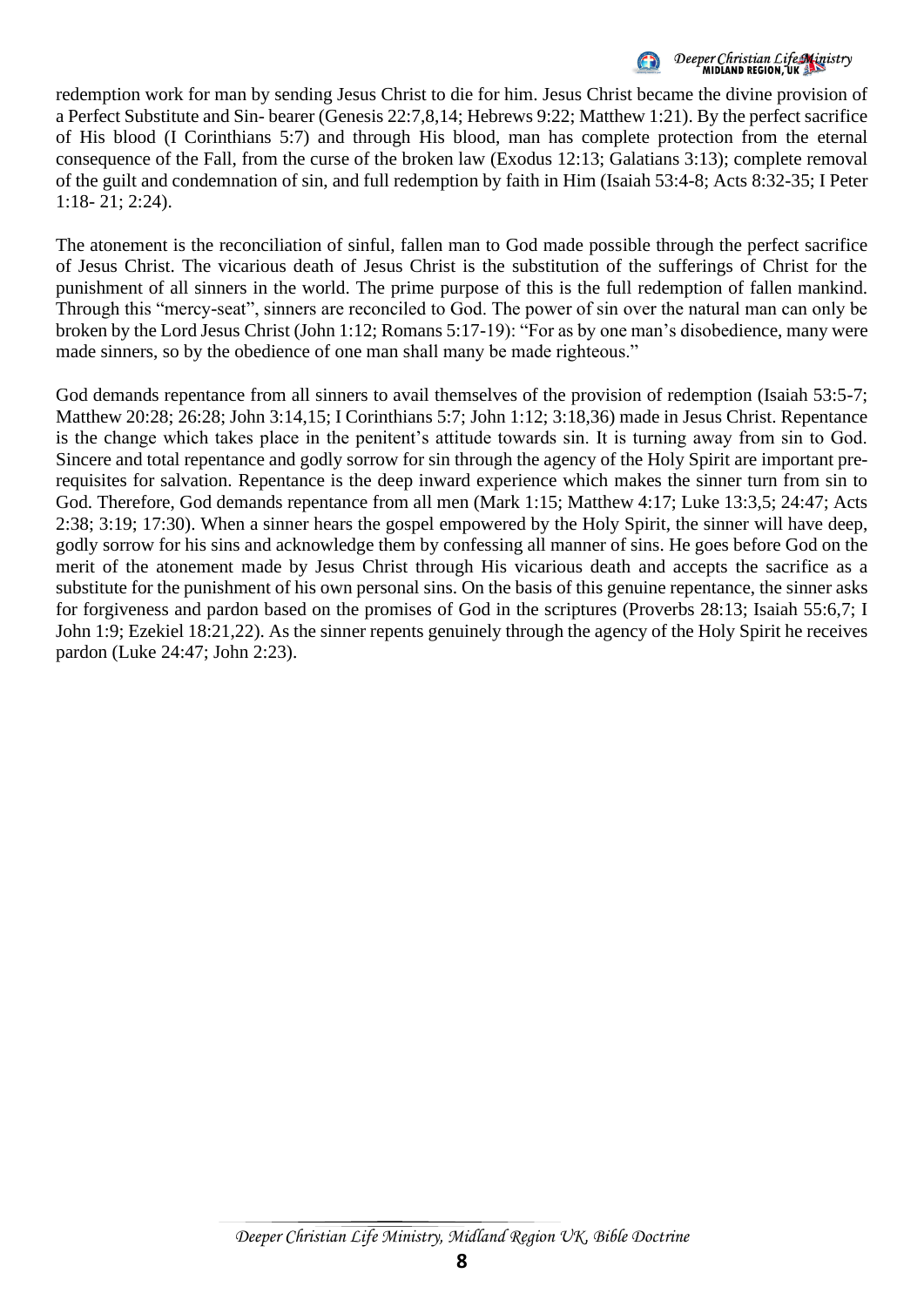

### Deeper Christian Life Ministry<br>MIDIAND REGION, UK

redemption work for man by sending Jesus Christ to die for him. Jesus Christ became the divine provision of a Perfect Substitute and Sin- bearer (Genesis 22:7,8,14; Hebrews 9:22; Matthew 1:21). By the perfect sacrifice of His blood (I Corinthians 5:7) and through His blood, man has complete protection from the eternal consequence of the Fall, from the curse of the broken law (Exodus 12:13; Galatians 3:13); complete removal of the guilt and condemnation of sin, and full redemption by faith in Him (Isaiah 53:4-8; Acts 8:32-35; I Peter 1:18- 21; 2:24).

The atonement is the reconciliation of sinful, fallen man to God made possible through the perfect sacrifice of Jesus Christ. The vicarious death of Jesus Christ is the substitution of the sufferings of Christ for the punishment of all sinners in the world. The prime purpose of this is the full redemption of fallen mankind. Through this "mercy-seat", sinners are reconciled to God. The power of sin over the natural man can only be broken by the Lord Jesus Christ (John 1:12; Romans 5:17-19): "For as by one man's disobedience, many were made sinners, so by the obedience of one man shall many be made righteous."

God demands repentance from all sinners to avail themselves of the provision of redemption (Isaiah 53:5-7; Matthew 20:28; 26:28; John 3:14,15; I Corinthians 5:7; John 1:12; 3:18,36) made in Jesus Christ. Repentance is the change which takes place in the penitent's attitude towards sin. It is turning away from sin to God. Sincere and total repentance and godly sorrow for sin through the agency of the Holy Spirit are important prerequisites for salvation. Repentance is the deep inward experience which makes the sinner turn from sin to God. Therefore, God demands repentance from all men (Mark 1:15; Matthew 4:17; Luke 13:3,5; 24:47; Acts 2:38; 3:19; 17:30). When a sinner hears the gospel empowered by the Holy Spirit, the sinner will have deep, godly sorrow for his sins and acknowledge them by confessing all manner of sins. He goes before God on the merit of the atonement made by Jesus Christ through His vicarious death and accepts the sacrifice as a substitute for the punishment of his own personal sins. On the basis of this genuine repentance, the sinner asks for forgiveness and pardon based on the promises of God in the scriptures (Proverbs 28:13; Isaiah 55:6,7; I John 1:9; Ezekiel 18:21,22). As the sinner repents genuinely through the agency of the Holy Spirit he receives pardon (Luke 24:47; John 2:23).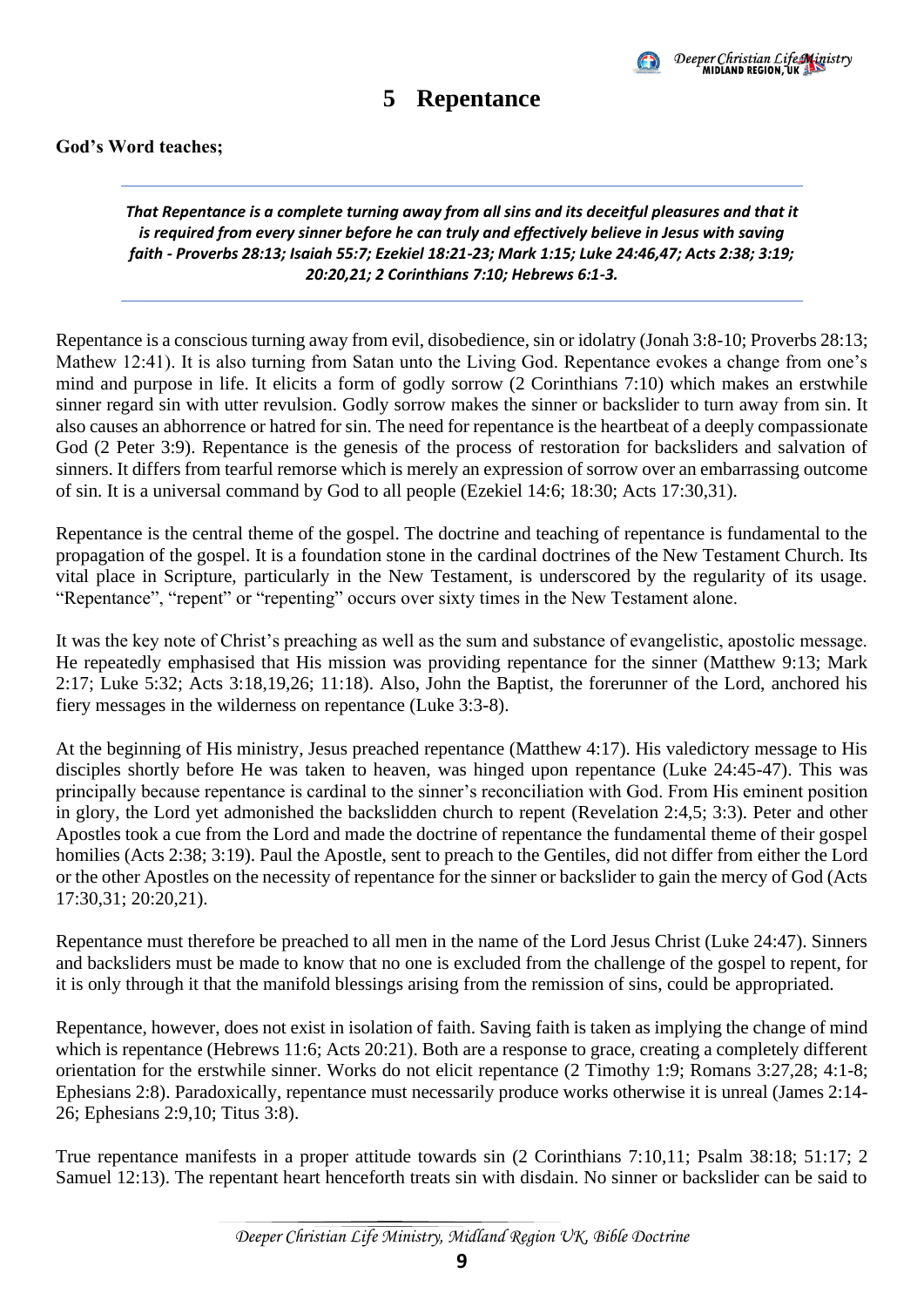

### **5 Repentance**

#### <span id="page-12-0"></span>**God's Word teaches;**

*That Repentance is a complete turning away from all sins and its deceitful pleasures and that it is required from every sinner before he can truly and effectively believe in Jesus with saving faith - Proverbs 28:13; Isaiah 55:7; Ezekiel 18:21-23; Mark 1:15; Luke 24:46,47; Acts 2:38; 3:19; 20:20,21; 2 Corinthians 7:10; Hebrews 6:1-3.*

Repentance is a conscious turning away from evil, disobedience, sin or idolatry (Jonah 3:8-10; Proverbs 28:13; Mathew 12:41). It is also turning from Satan unto the Living God. Repentance evokes a change from one's mind and purpose in life. It elicits a form of godly sorrow (2 Corinthians 7:10) which makes an erstwhile sinner regard sin with utter revulsion. Godly sorrow makes the sinner or backslider to turn away from sin. It also causes an abhorrence or hatred for sin. The need for repentance is the heartbeat of a deeply compassionate God (2 Peter 3:9). Repentance is the genesis of the process of restoration for backsliders and salvation of sinners. It differs from tearful remorse which is merely an expression of sorrow over an embarrassing outcome of sin. It is a universal command by God to all people (Ezekiel 14:6; 18:30; Acts 17:30,31).

Repentance is the central theme of the gospel. The doctrine and teaching of repentance is fundamental to the propagation of the gospel. It is a foundation stone in the cardinal doctrines of the New Testament Church. Its vital place in Scripture, particularly in the New Testament, is underscored by the regularity of its usage. "Repentance", "repent" or "repenting" occurs over sixty times in the New Testament alone.

It was the key note of Christ's preaching as well as the sum and substance of evangelistic, apostolic message. He repeatedly emphasised that His mission was providing repentance for the sinner (Matthew 9:13; Mark 2:17; Luke 5:32; Acts 3:18,19,26; 11:18). Also, John the Baptist, the forerunner of the Lord, anchored his fiery messages in the wilderness on repentance (Luke 3:3-8).

At the beginning of His ministry, Jesus preached repentance (Matthew 4:17). His valedictory message to His disciples shortly before He was taken to heaven, was hinged upon repentance (Luke 24:45-47). This was principally because repentance is cardinal to the sinner's reconciliation with God. From His eminent position in glory, the Lord yet admonished the backslidden church to repent (Revelation 2:4,5; 3:3). Peter and other Apostles took a cue from the Lord and made the doctrine of repentance the fundamental theme of their gospel homilies (Acts 2:38; 3:19). Paul the Apostle, sent to preach to the Gentiles, did not differ from either the Lord or the other Apostles on the necessity of repentance for the sinner or backslider to gain the mercy of God (Acts 17:30,31; 20:20,21).

Repentance must therefore be preached to all men in the name of the Lord Jesus Christ (Luke 24:47). Sinners and backsliders must be made to know that no one is excluded from the challenge of the gospel to repent, for it is only through it that the manifold blessings arising from the remission of sins, could be appropriated.

Repentance, however, does not exist in isolation of faith. Saving faith is taken as implying the change of mind which is repentance (Hebrews 11:6; Acts 20:21). Both are a response to grace, creating a completely different orientation for the erstwhile sinner. Works do not elicit repentance (2 Timothy 1:9; Romans 3:27,28; 4:1-8; Ephesians 2:8). Paradoxically, repentance must necessarily produce works otherwise it is unreal (James 2:14- 26; Ephesians 2:9,10; Titus 3:8).

True repentance manifests in a proper attitude towards sin (2 Corinthians 7:10,11; Psalm 38:18; 51:17; 2 Samuel 12:13). The repentant heart henceforth treats sin with disdain. No sinner or backslider can be said to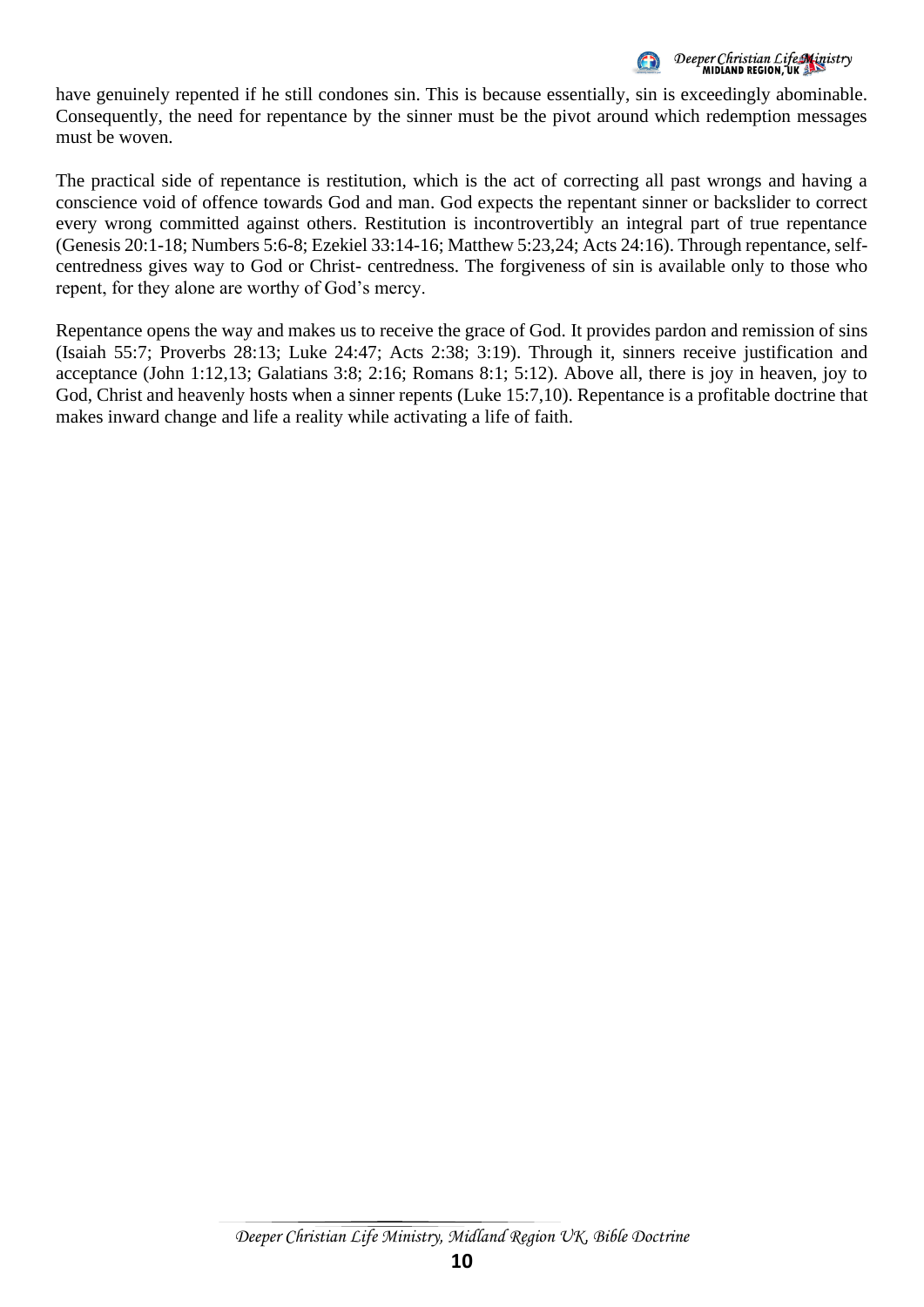

have genuinely repented if he still condones sin. This is because essentially, sin is exceedingly abominable. Consequently, the need for repentance by the sinner must be the pivot around which redemption messages must be woven.

The practical side of repentance is restitution, which is the act of correcting all past wrongs and having a conscience void of offence towards God and man. God expects the repentant sinner or backslider to correct every wrong committed against others. Restitution is incontrovertibly an integral part of true repentance (Genesis 20:1-18; Numbers 5:6-8; Ezekiel 33:14-16; Matthew 5:23,24; Acts 24:16). Through repentance, selfcentredness gives way to God or Christ- centredness. The forgiveness of sin is available only to those who repent, for they alone are worthy of God's mercy.

Repentance opens the way and makes us to receive the grace of God. It provides pardon and remission of sins (Isaiah 55:7; Proverbs 28:13; Luke 24:47; Acts 2:38; 3:19). Through it, sinners receive justification and acceptance (John 1:12,13; Galatians 3:8; 2:16; Romans 8:1; 5:12). Above all, there is joy in heaven, joy to God, Christ and heavenly hosts when a sinner repents (Luke 15:7,10). Repentance is a profitable doctrine that makes inward change and life a reality while activating a life of faith.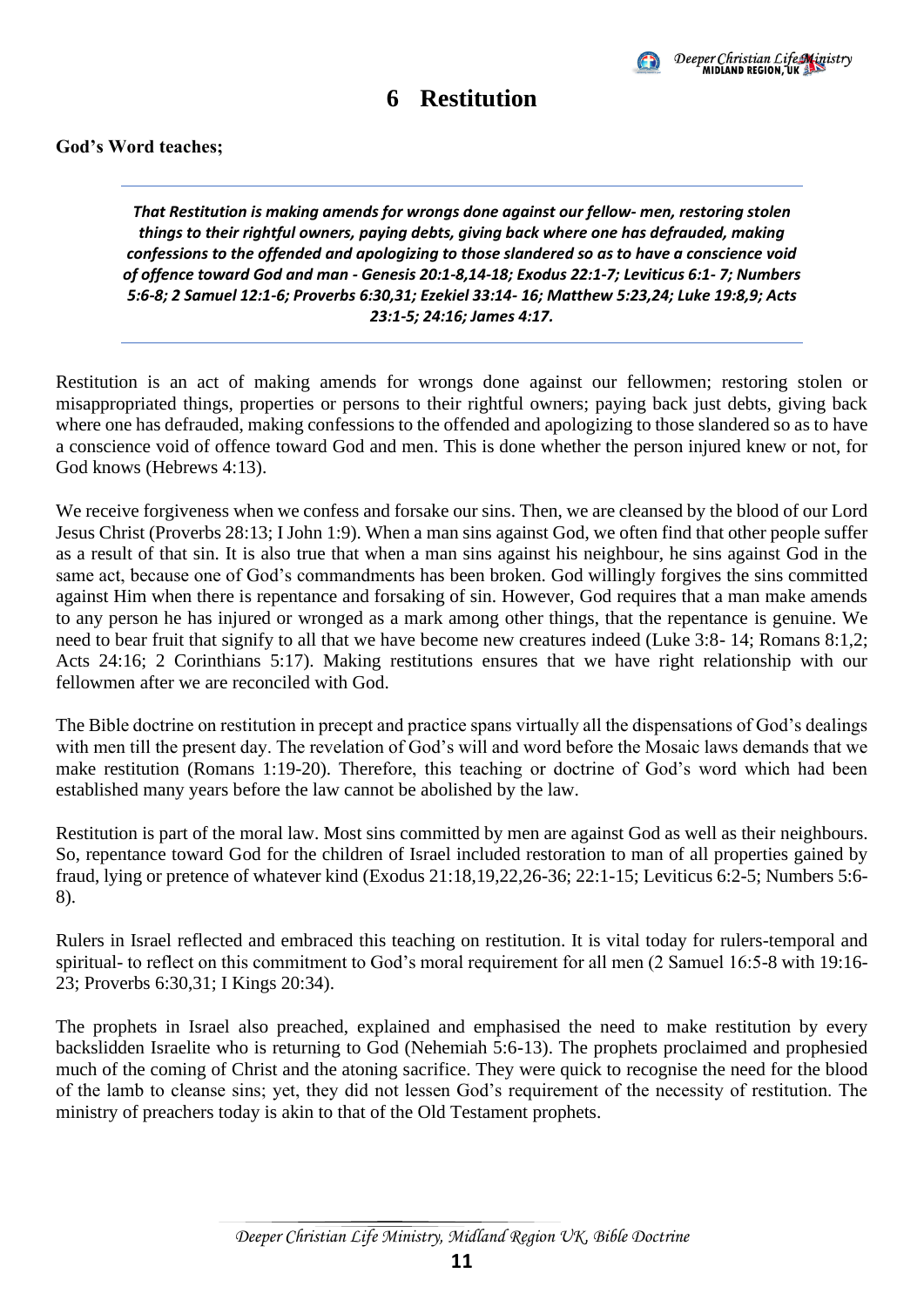

#### **6 Restitution**

#### <span id="page-14-0"></span>**God's Word teaches;**

*That Restitution is making amends for wrongs done against our fellow- men, restoring stolen things to their rightful owners, paying debts, giving back where one has defrauded, making confessions to the offended and apologizing to those slandered so as to have a conscience void of offence toward God and man - Genesis 20:1-8,14-18; Exodus 22:1-7; Leviticus 6:1- 7; Numbers 5:6-8; 2 Samuel 12:1-6; Proverbs 6:30,31; Ezekiel 33:14- 16; Matthew 5:23,24; Luke 19:8,9; Acts 23:1-5; 24:16; James 4:17.*

Restitution is an act of making amends for wrongs done against our fellowmen; restoring stolen or misappropriated things, properties or persons to their rightful owners; paying back just debts, giving back where one has defrauded, making confessions to the offended and apologizing to those slandered so as to have a conscience void of offence toward God and men. This is done whether the person injured knew or not, for God knows (Hebrews 4:13).

We receive forgiveness when we confess and forsake our sins. Then, we are cleansed by the blood of our Lord Jesus Christ (Proverbs 28:13; I John 1:9). When a man sins against God, we often find that other people suffer as a result of that sin. It is also true that when a man sins against his neighbour, he sins against God in the same act, because one of God's commandments has been broken. God willingly forgives the sins committed against Him when there is repentance and forsaking of sin. However, God requires that a man make amends to any person he has injured or wronged as a mark among other things, that the repentance is genuine. We need to bear fruit that signify to all that we have become new creatures indeed (Luke 3:8- 14; Romans 8:1,2; Acts 24:16; 2 Corinthians 5:17). Making restitutions ensures that we have right relationship with our fellowmen after we are reconciled with God.

The Bible doctrine on restitution in precept and practice spans virtually all the dispensations of God's dealings with men till the present day. The revelation of God's will and word before the Mosaic laws demands that we make restitution (Romans 1:19-20). Therefore, this teaching or doctrine of God's word which had been established many years before the law cannot be abolished by the law.

Restitution is part of the moral law. Most sins committed by men are against God as well as their neighbours. So, repentance toward God for the children of Israel included restoration to man of all properties gained by fraud, lying or pretence of whatever kind (Exodus 21:18,19,22,26-36; 22:1-15; Leviticus 6:2-5; Numbers 5:6- 8).

Rulers in Israel reflected and embraced this teaching on restitution. It is vital today for rulers-temporal and spiritual- to reflect on this commitment to God's moral requirement for all men (2 Samuel 16:5-8 with 19:16- 23; Proverbs 6:30,31; I Kings 20:34).

The prophets in Israel also preached, explained and emphasised the need to make restitution by every backslidden Israelite who is returning to God (Nehemiah 5:6-13). The prophets proclaimed and prophesied much of the coming of Christ and the atoning sacrifice. They were quick to recognise the need for the blood of the lamb to cleanse sins; yet, they did not lessen God's requirement of the necessity of restitution. The ministry of preachers today is akin to that of the Old Testament prophets.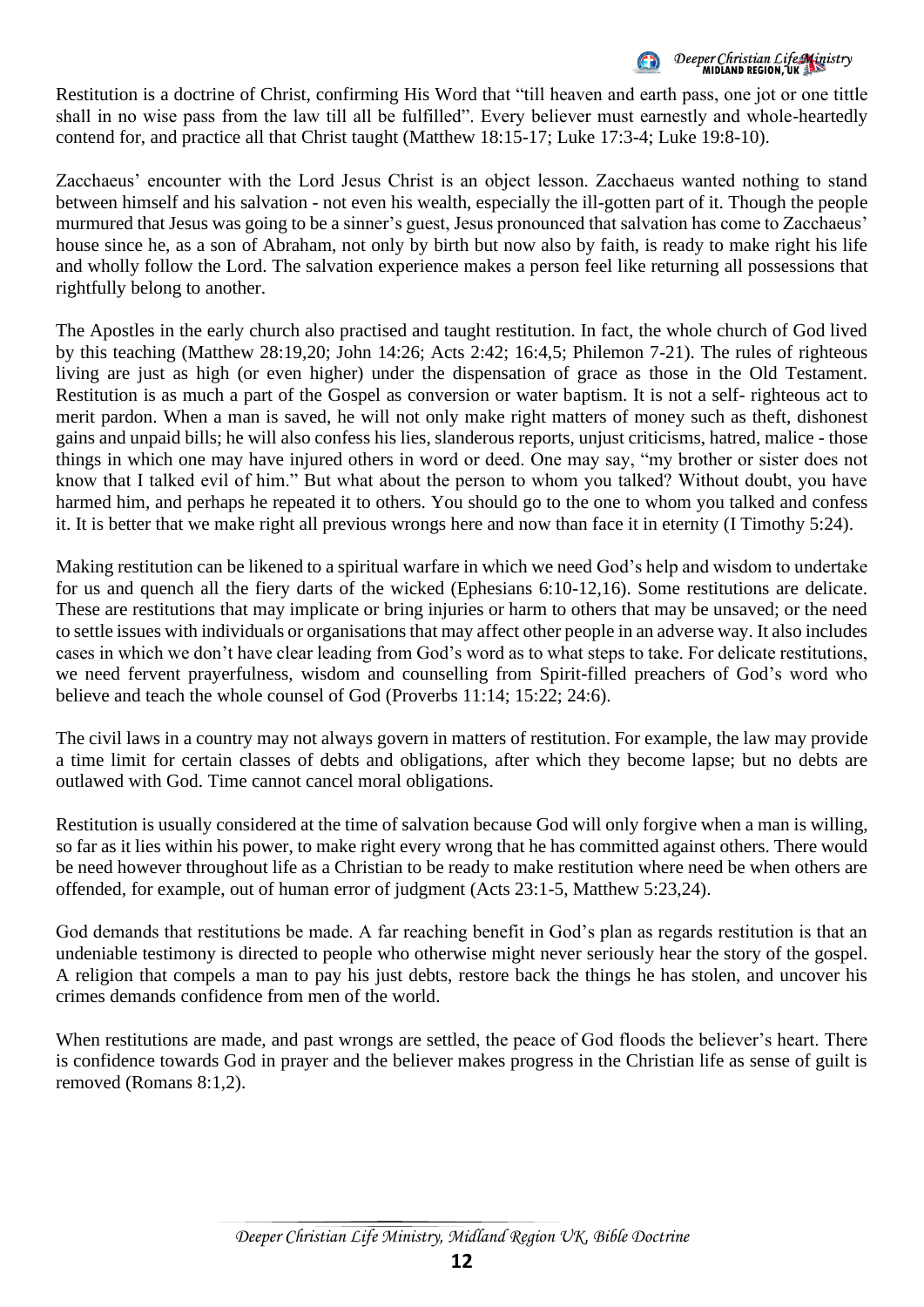Deeper Christian Life Ministry<br>MIDLAND REGION, UK

Restitution is a doctrine of Christ, confirming His Word that "till heaven and earth pass, one jot or one tittle shall in no wise pass from the law till all be fulfilled". Every believer must earnestly and whole-heartedly contend for, and practice all that Christ taught (Matthew 18:15-17; Luke 17:3-4; Luke 19:8-10).

Zacchaeus' encounter with the Lord Jesus Christ is an object lesson. Zacchaeus wanted nothing to stand between himself and his salvation - not even his wealth, especially the ill-gotten part of it. Though the people murmured that Jesus was going to be a sinner's guest, Jesus pronounced that salvation has come to Zacchaeus' house since he, as a son of Abraham, not only by birth but now also by faith, is ready to make right his life and wholly follow the Lord. The salvation experience makes a person feel like returning all possessions that rightfully belong to another.

The Apostles in the early church also practised and taught restitution. In fact, the whole church of God lived by this teaching (Matthew 28:19,20; John 14:26; Acts 2:42; 16:4,5; Philemon 7-21). The rules of righteous living are just as high (or even higher) under the dispensation of grace as those in the Old Testament. Restitution is as much a part of the Gospel as conversion or water baptism. It is not a self- righteous act to merit pardon. When a man is saved, he will not only make right matters of money such as theft, dishonest gains and unpaid bills; he will also confess his lies, slanderous reports, unjust criticisms, hatred, malice - those things in which one may have injured others in word or deed. One may say, "my brother or sister does not know that I talked evil of him." But what about the person to whom you talked? Without doubt, you have harmed him, and perhaps he repeated it to others. You should go to the one to whom you talked and confess it. It is better that we make right all previous wrongs here and now than face it in eternity (I Timothy 5:24).

Making restitution can be likened to a spiritual warfare in which we need God's help and wisdom to undertake for us and quench all the fiery darts of the wicked (Ephesians 6:10-12,16). Some restitutions are delicate. These are restitutions that may implicate or bring injuries or harm to others that may be unsaved; or the need to settle issues with individuals or organisations that may affect other people in an adverse way. It also includes cases in which we don't have clear leading from God's word as to what steps to take. For delicate restitutions, we need fervent prayerfulness, wisdom and counselling from Spirit-filled preachers of God's word who believe and teach the whole counsel of God (Proverbs 11:14; 15:22; 24:6).

The civil laws in a country may not always govern in matters of restitution. For example, the law may provide a time limit for certain classes of debts and obligations, after which they become lapse; but no debts are outlawed with God. Time cannot cancel moral obligations.

Restitution is usually considered at the time of salvation because God will only forgive when a man is willing, so far as it lies within his power, to make right every wrong that he has committed against others. There would be need however throughout life as a Christian to be ready to make restitution where need be when others are offended, for example, out of human error of judgment (Acts 23:1-5, Matthew 5:23,24).

God demands that restitutions be made. A far reaching benefit in God's plan as regards restitution is that an undeniable testimony is directed to people who otherwise might never seriously hear the story of the gospel. A religion that compels a man to pay his just debts, restore back the things he has stolen, and uncover his crimes demands confidence from men of the world.

When restitutions are made, and past wrongs are settled, the peace of God floods the believer's heart. There is confidence towards God in prayer and the believer makes progress in the Christian life as sense of guilt is removed (Romans 8:1,2).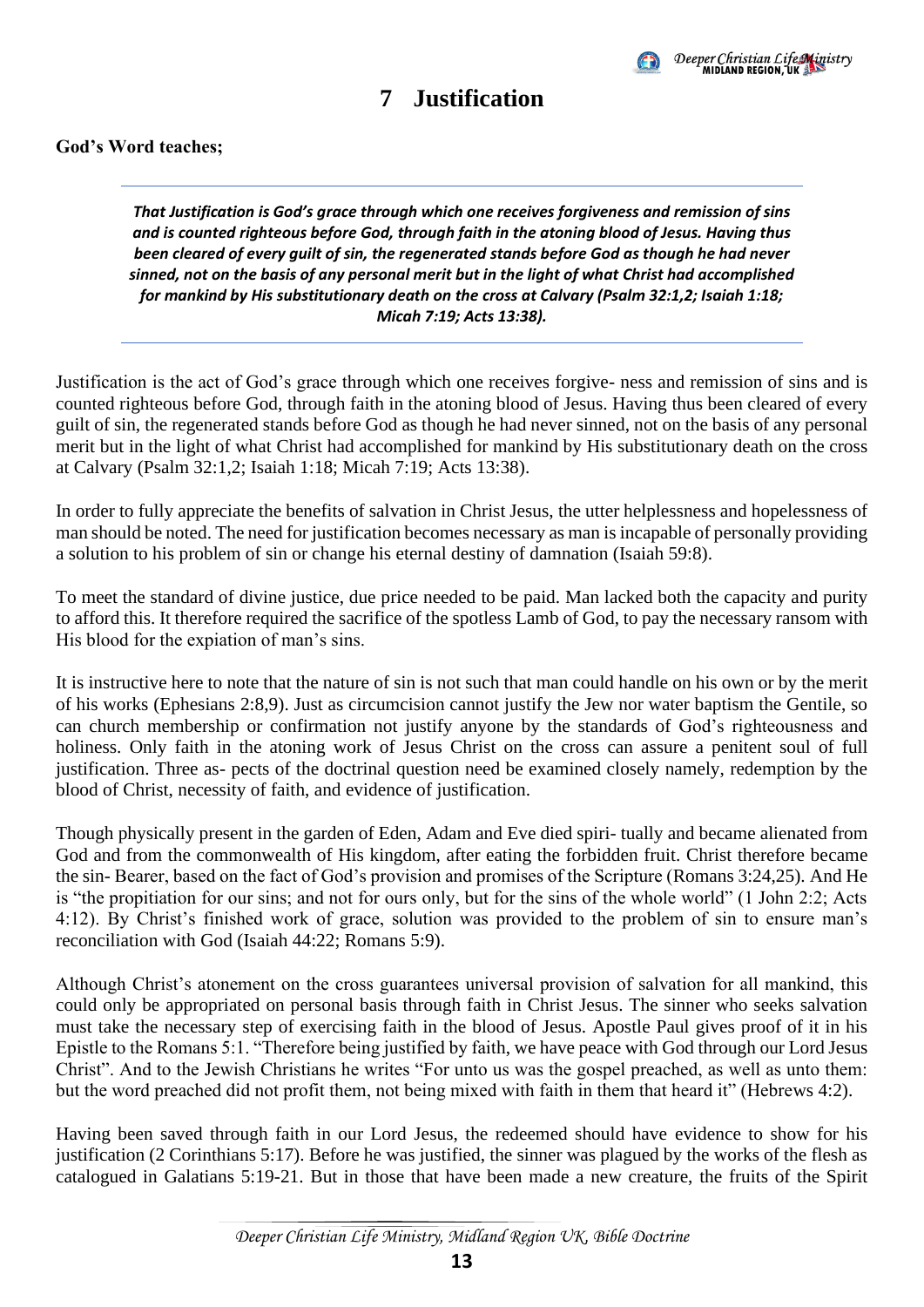

### **7 Justification**

#### <span id="page-16-0"></span>**God's Word teaches;**

*That Justification is God's grace through which one receives forgiveness and remission of sins and is counted righteous before God, through faith in the atoning blood of Jesus. Having thus been cleared of every guilt of sin, the regenerated stands before God as though he had never sinned, not on the basis of any personal merit but in the light of what Christ had accomplished for mankind by His substitutionary death on the cross at Calvary (Psalm 32:1,2; Isaiah 1:18; Micah 7:19; Acts 13:38).*

Justification is the act of God's grace through which one receives forgive- ness and remission of sins and is counted righteous before God, through faith in the atoning blood of Jesus. Having thus been cleared of every guilt of sin, the regenerated stands before God as though he had never sinned, not on the basis of any personal merit but in the light of what Christ had accomplished for mankind by His substitutionary death on the cross at Calvary (Psalm 32:1,2; Isaiah 1:18; Micah 7:19; Acts 13:38).

In order to fully appreciate the benefits of salvation in Christ Jesus, the utter helplessness and hopelessness of man should be noted. The need for justification becomes necessary as man is incapable of personally providing a solution to his problem of sin or change his eternal destiny of damnation (Isaiah 59:8).

To meet the standard of divine justice, due price needed to be paid. Man lacked both the capacity and purity to afford this. It therefore required the sacrifice of the spotless Lamb of God, to pay the necessary ransom with His blood for the expiation of man's sins.

It is instructive here to note that the nature of sin is not such that man could handle on his own or by the merit of his works (Ephesians 2:8,9). Just as circumcision cannot justify the Jew nor water baptism the Gentile, so can church membership or confirmation not justify anyone by the standards of God's righteousness and holiness. Only faith in the atoning work of Jesus Christ on the cross can assure a penitent soul of full justification. Three as- pects of the doctrinal question need be examined closely namely, redemption by the blood of Christ, necessity of faith, and evidence of justification.

Though physically present in the garden of Eden, Adam and Eve died spiri- tually and became alienated from God and from the commonwealth of His kingdom, after eating the forbidden fruit. Christ therefore became the sin- Bearer, based on the fact of God's provision and promises of the Scripture (Romans 3:24,25). And He is "the propitiation for our sins; and not for ours only, but for the sins of the whole world" (1 John 2:2; Acts 4:12). By Christ's finished work of grace, solution was provided to the problem of sin to ensure man's reconciliation with God (Isaiah 44:22; Romans 5:9).

Although Christ's atonement on the cross guarantees universal provision of salvation for all mankind, this could only be appropriated on personal basis through faith in Christ Jesus. The sinner who seeks salvation must take the necessary step of exercising faith in the blood of Jesus. Apostle Paul gives proof of it in his Epistle to the Romans 5:1. "Therefore being justified by faith, we have peace with God through our Lord Jesus Christ". And to the Jewish Christians he writes "For unto us was the gospel preached, as well as unto them: but the word preached did not profit them, not being mixed with faith in them that heard it" (Hebrews 4:2).

Having been saved through faith in our Lord Jesus, the redeemed should have evidence to show for his justification (2 Corinthians 5:17). Before he was justified, the sinner was plagued by the works of the flesh as catalogued in Galatians 5:19-21. But in those that have been made a new creature, the fruits of the Spirit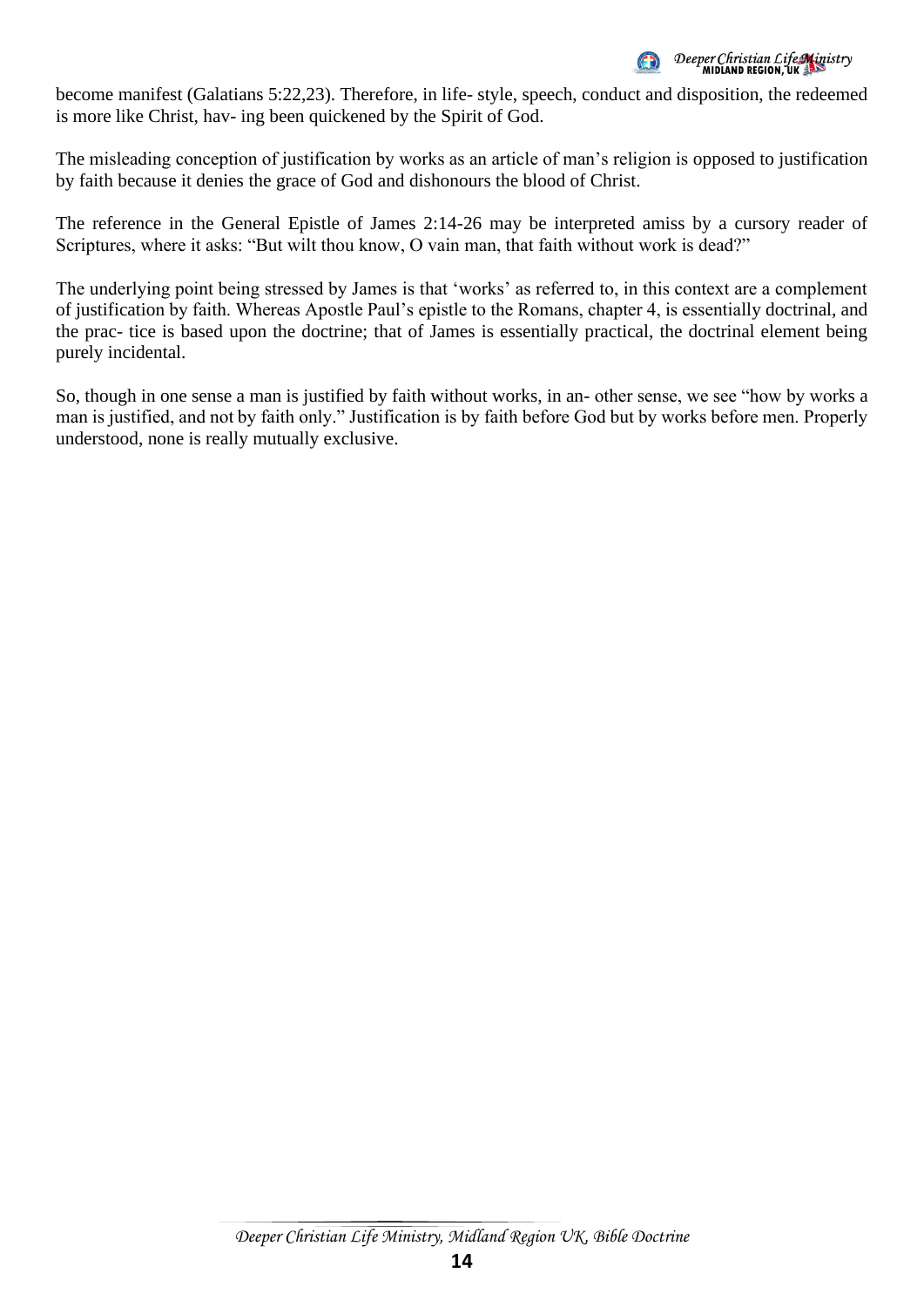

become manifest (Galatians 5:22,23). Therefore, in life- style, speech, conduct and disposition, the redeemed is more like Christ, hav- ing been quickened by the Spirit of God.

The misleading conception of justification by works as an article of man's religion is opposed to justification by faith because it denies the grace of God and dishonours the blood of Christ.

The reference in the General Epistle of James 2:14-26 may be interpreted amiss by a cursory reader of Scriptures, where it asks: "But wilt thou know, O vain man, that faith without work is dead?"

The underlying point being stressed by James is that 'works' as referred to, in this context are a complement of justification by faith. Whereas Apostle Paul's epistle to the Romans, chapter 4, is essentially doctrinal, and the prac- tice is based upon the doctrine; that of James is essentially practical, the doctrinal element being purely incidental.

So, though in one sense a man is justified by faith without works, in an- other sense, we see "how by works a man is justified, and not by faith only." Justification is by faith before God but by works before men. Properly understood, none is really mutually exclusive.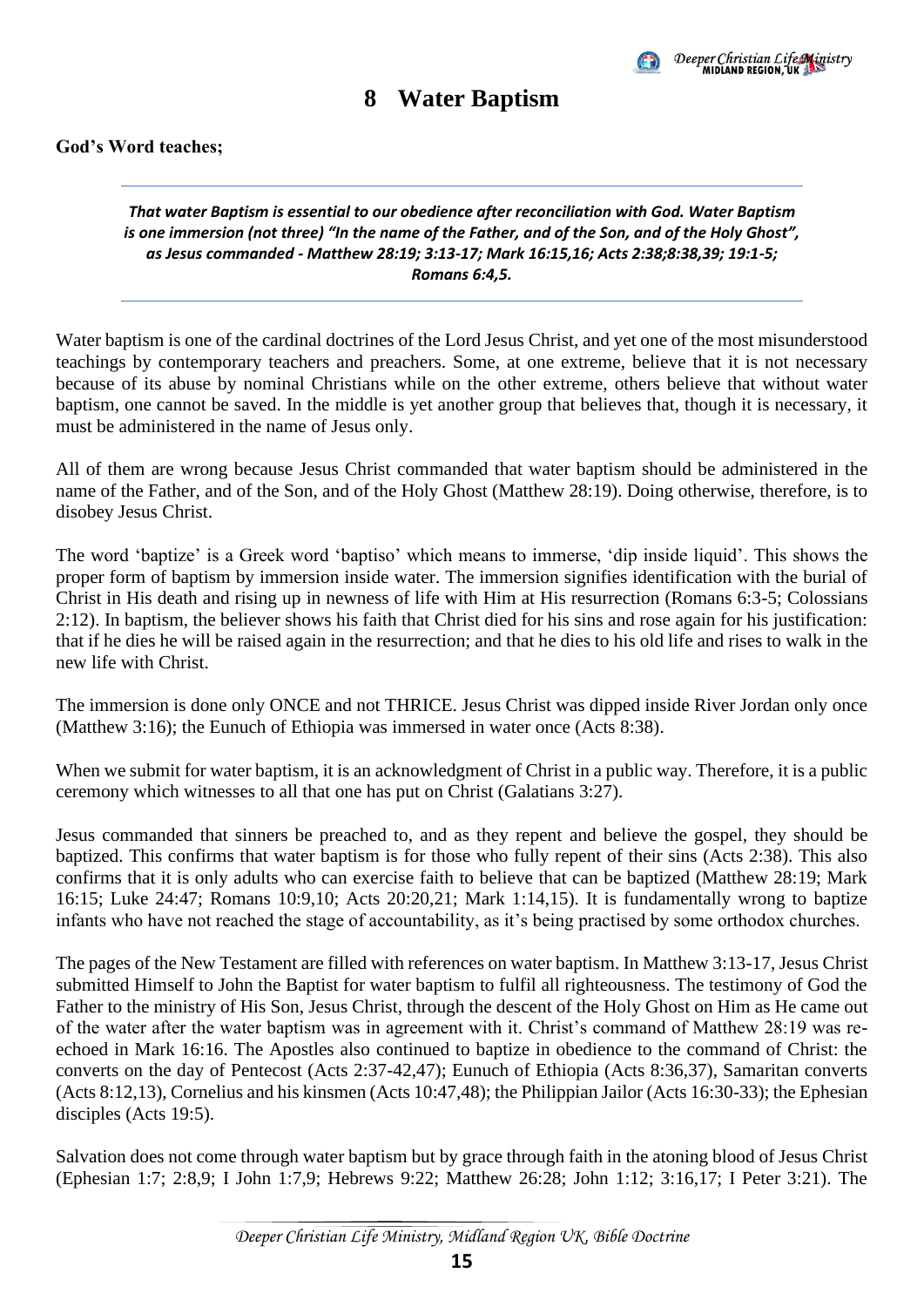

### **8 Water Baptism**

#### <span id="page-18-0"></span>**God's Word teaches;**

#### *That water Baptism is essential to our obedience after reconciliation with God. Water Baptism is one immersion (not three) "In the name of the Father, and of the Son, and of the Holy Ghost", as Jesus commanded - Matthew 28:19; 3:13-17; Mark 16:15,16; Acts 2:38;8:38,39; 19:1-5; Romans 6:4,5.*

Water baptism is one of the cardinal doctrines of the Lord Jesus Christ, and yet one of the most misunderstood teachings by contemporary teachers and preachers. Some, at one extreme, believe that it is not necessary because of its abuse by nominal Christians while on the other extreme, others believe that without water baptism, one cannot be saved. In the middle is yet another group that believes that, though it is necessary, it must be administered in the name of Jesus only.

All of them are wrong because Jesus Christ commanded that water baptism should be administered in the name of the Father, and of the Son, and of the Holy Ghost (Matthew 28:19). Doing otherwise, therefore, is to disobey Jesus Christ.

The word 'baptize' is a Greek word 'baptiso' which means to immerse, 'dip inside liquid'. This shows the proper form of baptism by immersion inside water. The immersion signifies identification with the burial of Christ in His death and rising up in newness of life with Him at His resurrection (Romans 6:3-5; Colossians 2:12). In baptism, the believer shows his faith that Christ died for his sins and rose again for his justification: that if he dies he will be raised again in the resurrection; and that he dies to his old life and rises to walk in the new life with Christ.

The immersion is done only ONCE and not THRICE. Jesus Christ was dipped inside River Jordan only once (Matthew 3:16); the Eunuch of Ethiopia was immersed in water once (Acts 8:38).

When we submit for water baptism, it is an acknowledgment of Christ in a public way. Therefore, it is a public ceremony which witnesses to all that one has put on Christ (Galatians 3:27).

Jesus commanded that sinners be preached to, and as they repent and believe the gospel, they should be baptized. This confirms that water baptism is for those who fully repent of their sins (Acts 2:38). This also confirms that it is only adults who can exercise faith to believe that can be baptized (Matthew 28:19; Mark 16:15; Luke 24:47; Romans 10:9,10; Acts 20:20,21; Mark 1:14,15). It is fundamentally wrong to baptize infants who have not reached the stage of accountability, as it's being practised by some orthodox churches.

The pages of the New Testament are filled with references on water baptism. In Matthew 3:13-17, Jesus Christ submitted Himself to John the Baptist for water baptism to fulfil all righteousness. The testimony of God the Father to the ministry of His Son, Jesus Christ, through the descent of the Holy Ghost on Him as He came out of the water after the water baptism was in agreement with it. Christ's command of Matthew 28:19 was reechoed in Mark 16:16. The Apostles also continued to baptize in obedience to the command of Christ: the converts on the day of Pentecost (Acts 2:37-42,47); Eunuch of Ethiopia (Acts 8:36,37), Samaritan converts (Acts 8:12,13), Cornelius and his kinsmen (Acts 10:47,48); the Philippian Jailor (Acts 16:30-33); the Ephesian disciples (Acts 19:5).

Salvation does not come through water baptism but by grace through faith in the atoning blood of Jesus Christ (Ephesian 1:7; 2:8,9; I John 1:7,9; Hebrews 9:22; Matthew 26:28; John 1:12; 3:16,17; I Peter 3:21). The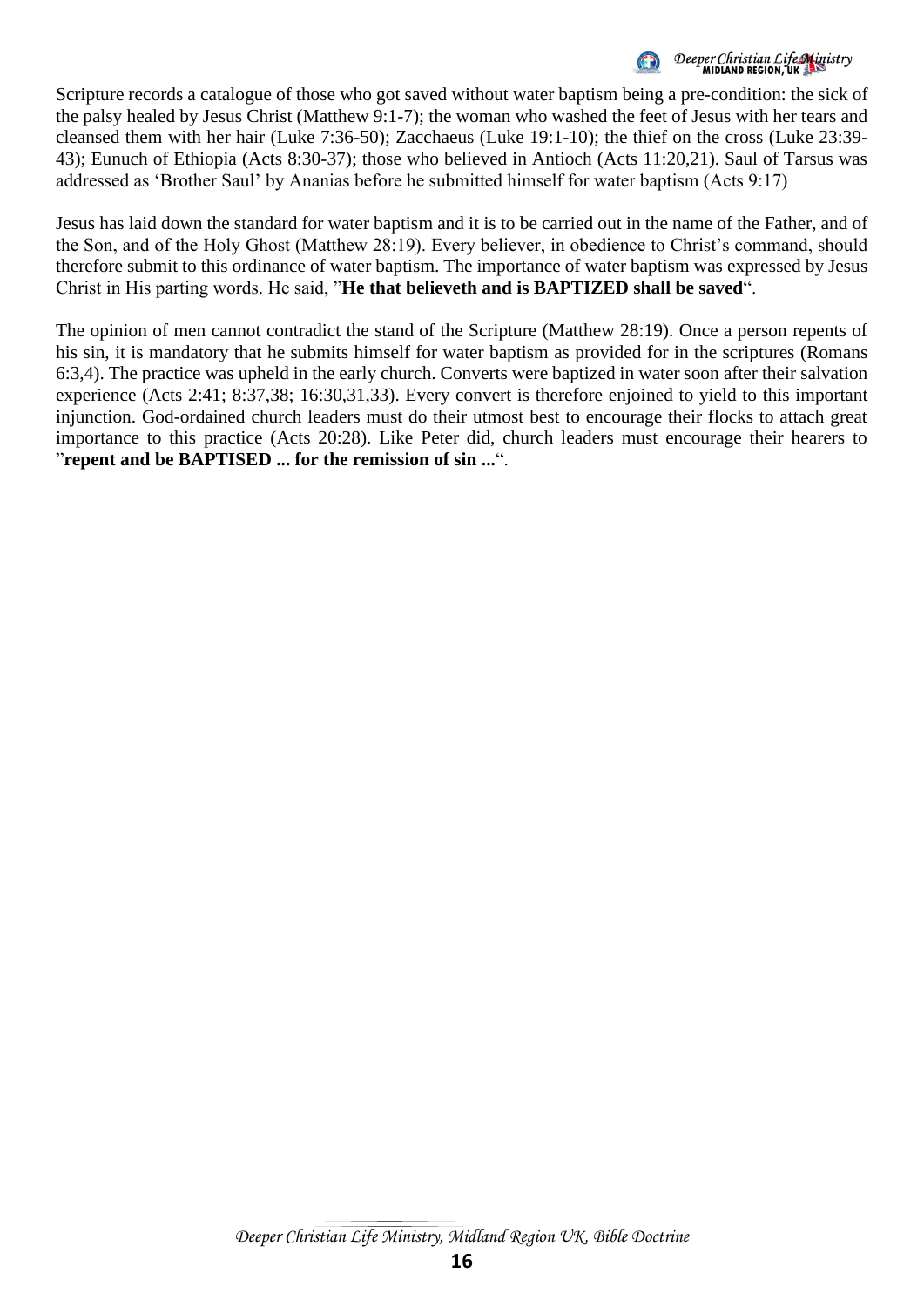Deeper Christian Life Ministry<br>MIDIAND REGION, UK

Scripture records a catalogue of those who got saved without water baptism being a pre-condition: the sick of the palsy healed by Jesus Christ (Matthew 9:1-7); the woman who washed the feet of Jesus with her tears and cleansed them with her hair (Luke 7:36-50); Zacchaeus (Luke 19:1-10); the thief on the cross (Luke 23:39- 43); Eunuch of Ethiopia (Acts 8:30-37); those who believed in Antioch (Acts 11:20,21). Saul of Tarsus was addressed as 'Brother Saul' by Ananias before he submitted himself for water baptism (Acts 9:17)

Jesus has laid down the standard for water baptism and it is to be carried out in the name of the Father, and of the Son, and of the Holy Ghost (Matthew 28:19). Every believer, in obedience to Christ's command, should therefore submit to this ordinance of water baptism. The importance of water baptism was expressed by Jesus Christ in His parting words. He said, "**He that believeth and is BAPTIZED shall be saved**".

The opinion of men cannot contradict the stand of the Scripture (Matthew 28:19). Once a person repents of his sin, it is mandatory that he submits himself for water baptism as provided for in the scriptures (Romans 6:3,4). The practice was upheld in the early church. Converts were baptized in water soon after their salvation experience (Acts 2:41; 8:37,38; 16:30,31,33). Every convert is therefore enjoined to yield to this important injunction. God-ordained church leaders must do their utmost best to encourage their flocks to attach great importance to this practice (Acts 20:28). Like Peter did, church leaders must encourage their hearers to "**repent and be BAPTISED ... for the remission of sin ...**".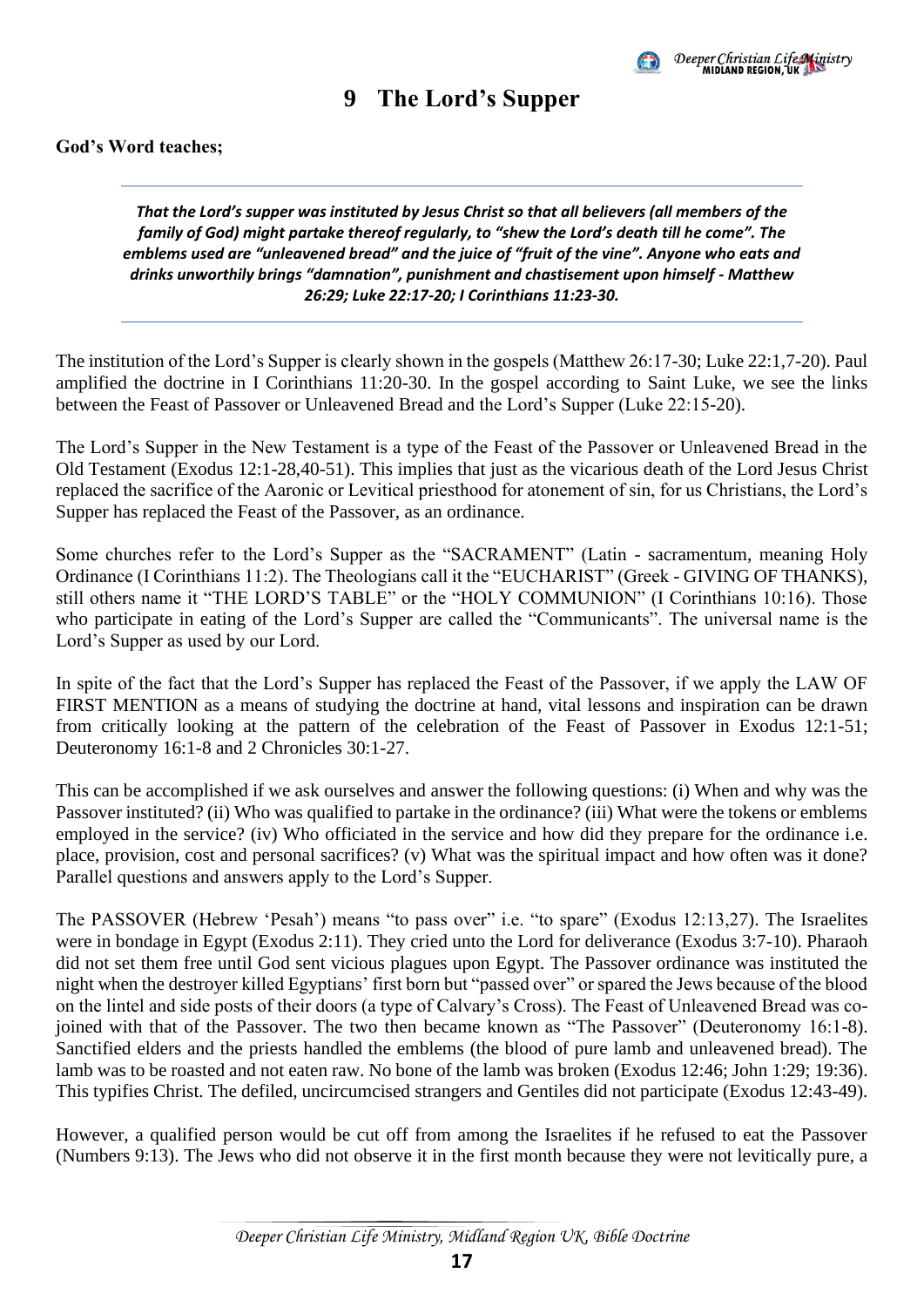

### **9 The Lord's Supper**

#### <span id="page-20-0"></span>**God's Word teaches;**

*That the Lord's supper was instituted by Jesus Christ so that all believers (all members of the family of God) might partake thereof regularly, to "shew the Lord's death till he come". The emblems used are "unleavened bread" and the juice of "fruit of the vine". Anyone who eats and drinks unworthily brings "damnation", punishment and chastisement upon himself - Matthew 26:29; Luke 22:17-20; I Corinthians 11:23-30.*

The institution of the Lord's Supper is clearly shown in the gospels (Matthew 26:17-30; Luke 22:1,7-20). Paul amplified the doctrine in I Corinthians 11:20-30. In the gospel according to Saint Luke, we see the links between the Feast of Passover or Unleavened Bread and the Lord's Supper (Luke 22:15-20).

The Lord's Supper in the New Testament is a type of the Feast of the Passover or Unleavened Bread in the Old Testament (Exodus 12:1-28,40-51). This implies that just as the vicarious death of the Lord Jesus Christ replaced the sacrifice of the Aaronic or Levitical priesthood for atonement of sin, for us Christians, the Lord's Supper has replaced the Feast of the Passover, as an ordinance.

Some churches refer to the Lord's Supper as the "SACRAMENT" (Latin - sacramentum, meaning Holy Ordinance (I Corinthians 11:2). The Theologians call it the "EUCHARIST" (Greek - GIVING OF THANKS), still others name it "THE LORD'S TABLE" or the "HOLY COMMUNION" (I Corinthians 10:16). Those who participate in eating of the Lord's Supper are called the "Communicants". The universal name is the Lord's Supper as used by our Lord.

In spite of the fact that the Lord's Supper has replaced the Feast of the Passover, if we apply the LAW OF FIRST MENTION as a means of studying the doctrine at hand, vital lessons and inspiration can be drawn from critically looking at the pattern of the celebration of the Feast of Passover in Exodus 12:1-51; Deuteronomy 16:1-8 and 2 Chronicles 30:1-27.

This can be accomplished if we ask ourselves and answer the following questions: (i) When and why was the Passover instituted? (ii) Who was qualified to partake in the ordinance? (iii) What were the tokens or emblems employed in the service? (iv) Who officiated in the service and how did they prepare for the ordinance i.e. place, provision, cost and personal sacrifices? (v) What was the spiritual impact and how often was it done? Parallel questions and answers apply to the Lord's Supper.

The PASSOVER (Hebrew 'Pesah') means "to pass over" i.e. "to spare" (Exodus 12:13,27). The Israelites were in bondage in Egypt (Exodus 2:11). They cried unto the Lord for deliverance (Exodus 3:7-10). Pharaoh did not set them free until God sent vicious plagues upon Egypt. The Passover ordinance was instituted the night when the destroyer killed Egyptians' first born but "passed over" or spared the Jews because of the blood on the lintel and side posts of their doors (a type of Calvary's Cross). The Feast of Unleavened Bread was cojoined with that of the Passover. The two then became known as "The Passover" (Deuteronomy 16:1-8). Sanctified elders and the priests handled the emblems (the blood of pure lamb and unleavened bread). The lamb was to be roasted and not eaten raw. No bone of the lamb was broken (Exodus 12:46; John 1:29; 19:36). This typifies Christ. The defiled, uncircumcised strangers and Gentiles did not participate (Exodus 12:43-49).

However, a qualified person would be cut off from among the Israelites if he refused to eat the Passover (Numbers 9:13). The Jews who did not observe it in the first month because they were not levitically pure, a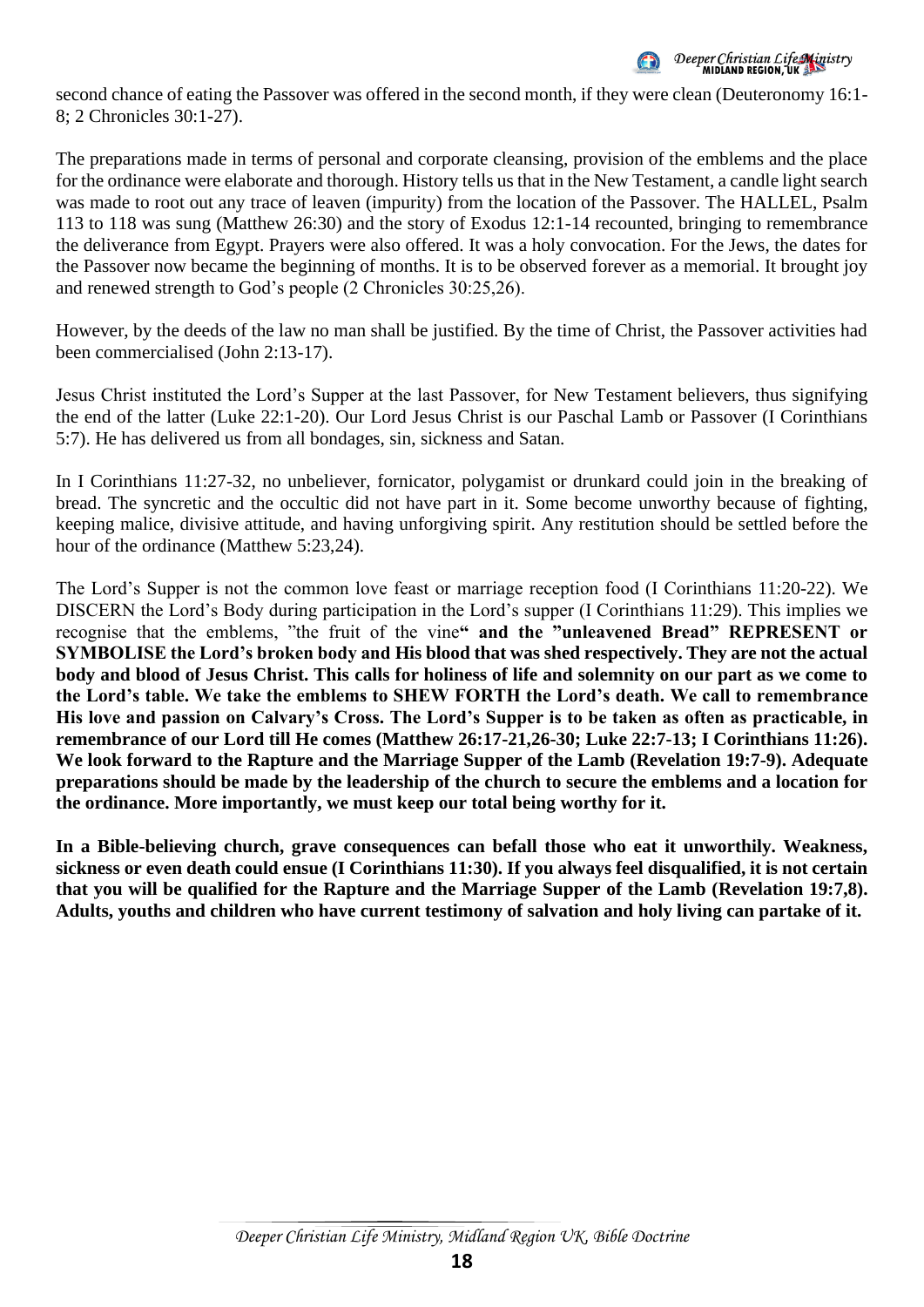

second chance of eating the Passover was offered in the second month, if they were clean (Deuteronomy 16:1- 8; 2 Chronicles 30:1-27).

The preparations made in terms of personal and corporate cleansing, provision of the emblems and the place for the ordinance were elaborate and thorough. History tells us that in the New Testament, a candle light search was made to root out any trace of leaven (impurity) from the location of the Passover. The HALLEL, Psalm 113 to 118 was sung (Matthew 26:30) and the story of Exodus 12:1-14 recounted, bringing to remembrance the deliverance from Egypt. Prayers were also offered. It was a holy convocation. For the Jews, the dates for the Passover now became the beginning of months. It is to be observed forever as a memorial. It brought joy and renewed strength to God's people (2 Chronicles 30:25,26).

However, by the deeds of the law no man shall be justified. By the time of Christ, the Passover activities had been commercialised (John 2:13-17).

Jesus Christ instituted the Lord's Supper at the last Passover, for New Testament believers, thus signifying the end of the latter (Luke 22:1-20). Our Lord Jesus Christ is our Paschal Lamb or Passover (I Corinthians 5:7). He has delivered us from all bondages, sin, sickness and Satan.

In I Corinthians 11:27-32, no unbeliever, fornicator, polygamist or drunkard could join in the breaking of bread. The syncretic and the occultic did not have part in it. Some become unworthy because of fighting, keeping malice, divisive attitude, and having unforgiving spirit. Any restitution should be settled before the hour of the ordinance (Matthew 5:23,24).

The Lord's Supper is not the common love feast or marriage reception food (I Corinthians 11:20-22). We DISCERN the Lord's Body during participation in the Lord's supper (I Corinthians 11:29). This implies we recognise that the emblems, "the fruit of the vine**" and the "unleavened Bread" REPRESENT or SYMBOLISE the Lord's broken body and His blood that was shed respectively. They are not the actual body and blood of Jesus Christ. This calls for holiness of life and solemnity on our part as we come to the Lord's table. We take the emblems to SHEW FORTH the Lord's death. We call to remembrance His love and passion on Calvary's Cross. The Lord's Supper is to be taken as often as practicable, in remembrance of our Lord till He comes (Matthew 26:17-21,26-30; Luke 22:7-13; I Corinthians 11:26). We look forward to the Rapture and the Marriage Supper of the Lamb (Revelation 19:7-9). Adequate preparations should be made by the leadership of the church to secure the emblems and a location for the ordinance. More importantly, we must keep our total being worthy for it.** 

**In a Bible-believing church, grave consequences can befall those who eat it unworthily. Weakness, sickness or even death could ensue (I Corinthians 11:30). If you always feel disqualified, it is not certain that you will be qualified for the Rapture and the Marriage Supper of the Lamb (Revelation 19:7,8). Adults, youths and children who have current testimony of salvation and holy living can partake of it.**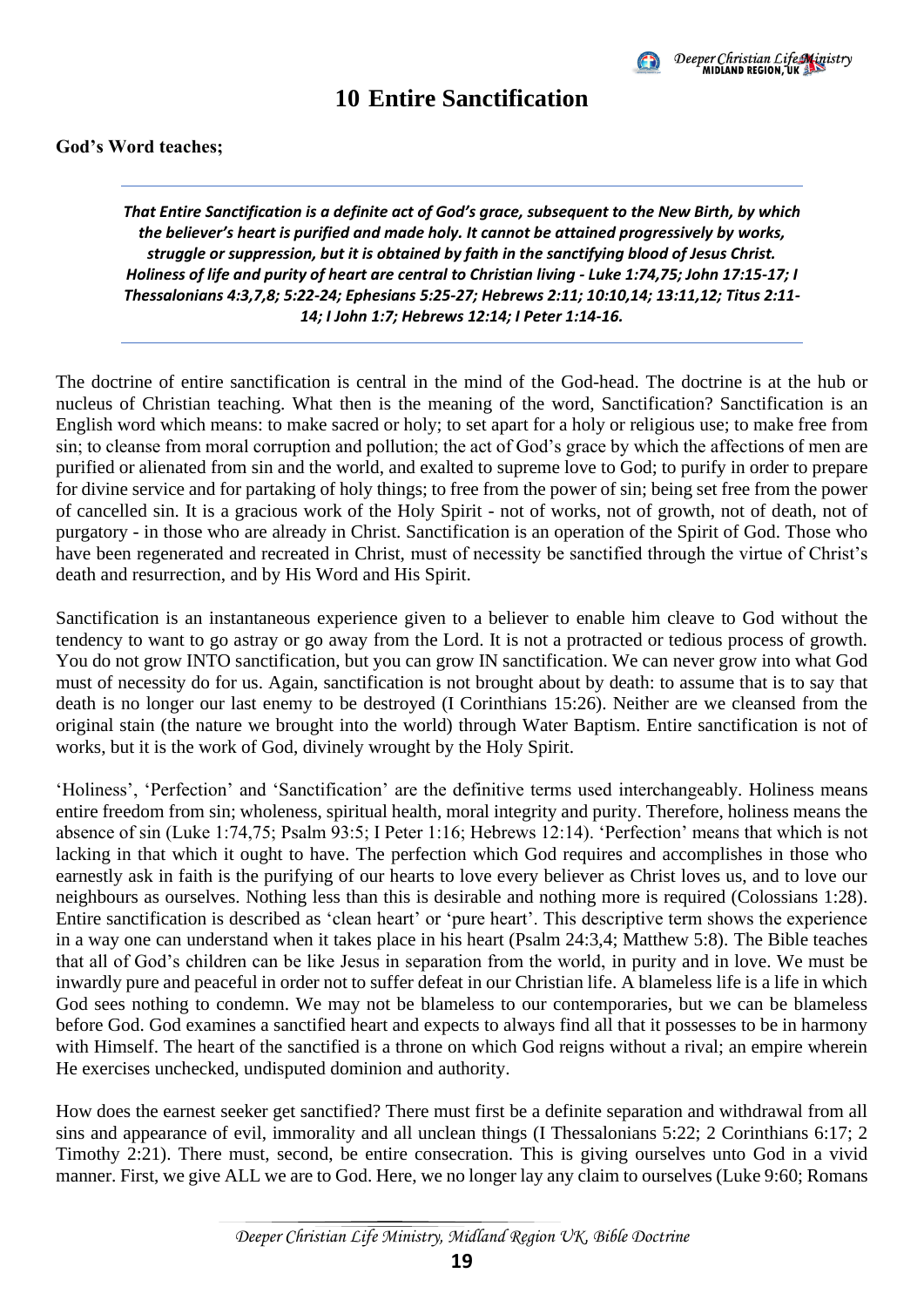

### **10 Entire Sanctification**

#### <span id="page-22-0"></span>**God's Word teaches;**

*That Entire Sanctification is a definite act of God's grace, subsequent to the New Birth, by which the believer's heart is purified and made holy. It cannot be attained progressively by works, struggle or suppression, but it is obtained by faith in the sanctifying blood of Jesus Christ. Holiness of life and purity of heart are central to Christian living - Luke 1:74,75; John 17:15-17; I Thessalonians 4:3,7,8; 5:22-24; Ephesians 5:25-27; Hebrews 2:11; 10:10,14; 13:11,12; Titus 2:11- 14; I John 1:7; Hebrews 12:14; I Peter 1:14-16.*

The doctrine of entire sanctification is central in the mind of the God-head. The doctrine is at the hub or nucleus of Christian teaching. What then is the meaning of the word, Sanctification? Sanctification is an English word which means: to make sacred or holy; to set apart for a holy or religious use; to make free from sin; to cleanse from moral corruption and pollution; the act of God's grace by which the affections of men are purified or alienated from sin and the world, and exalted to supreme love to God; to purify in order to prepare for divine service and for partaking of holy things; to free from the power of sin; being set free from the power of cancelled sin. It is a gracious work of the Holy Spirit - not of works, not of growth, not of death, not of purgatory - in those who are already in Christ. Sanctification is an operation of the Spirit of God. Those who have been regenerated and recreated in Christ, must of necessity be sanctified through the virtue of Christ's death and resurrection, and by His Word and His Spirit.

Sanctification is an instantaneous experience given to a believer to enable him cleave to God without the tendency to want to go astray or go away from the Lord. It is not a protracted or tedious process of growth. You do not grow INTO sanctification, but you can grow IN sanctification. We can never grow into what God must of necessity do for us. Again, sanctification is not brought about by death: to assume that is to say that death is no longer our last enemy to be destroyed (I Corinthians 15:26). Neither are we cleansed from the original stain (the nature we brought into the world) through Water Baptism. Entire sanctification is not of works, but it is the work of God, divinely wrought by the Holy Spirit.

'Holiness', 'Perfection' and 'Sanctification' are the definitive terms used interchangeably. Holiness means entire freedom from sin; wholeness, spiritual health, moral integrity and purity. Therefore, holiness means the absence of sin (Luke 1:74,75; Psalm 93:5; I Peter 1:16; Hebrews 12:14). 'Perfection' means that which is not lacking in that which it ought to have. The perfection which God requires and accomplishes in those who earnestly ask in faith is the purifying of our hearts to love every believer as Christ loves us, and to love our neighbours as ourselves. Nothing less than this is desirable and nothing more is required (Colossians 1:28). Entire sanctification is described as 'clean heart' or 'pure heart'. This descriptive term shows the experience in a way one can understand when it takes place in his heart (Psalm 24:3,4; Matthew 5:8). The Bible teaches that all of God's children can be like Jesus in separation from the world, in purity and in love. We must be inwardly pure and peaceful in order not to suffer defeat in our Christian life. A blameless life is a life in which God sees nothing to condemn. We may not be blameless to our contemporaries, but we can be blameless before God. God examines a sanctified heart and expects to always find all that it possesses to be in harmony with Himself. The heart of the sanctified is a throne on which God reigns without a rival; an empire wherein He exercises unchecked, undisputed dominion and authority.

How does the earnest seeker get sanctified? There must first be a definite separation and withdrawal from all sins and appearance of evil, immorality and all unclean things (I Thessalonians 5:22; 2 Corinthians 6:17; 2 Timothy 2:21). There must, second, be entire consecration. This is giving ourselves unto God in a vivid manner. First, we give ALL we are to God. Here, we no longer lay any claim to ourselves (Luke 9:60; Romans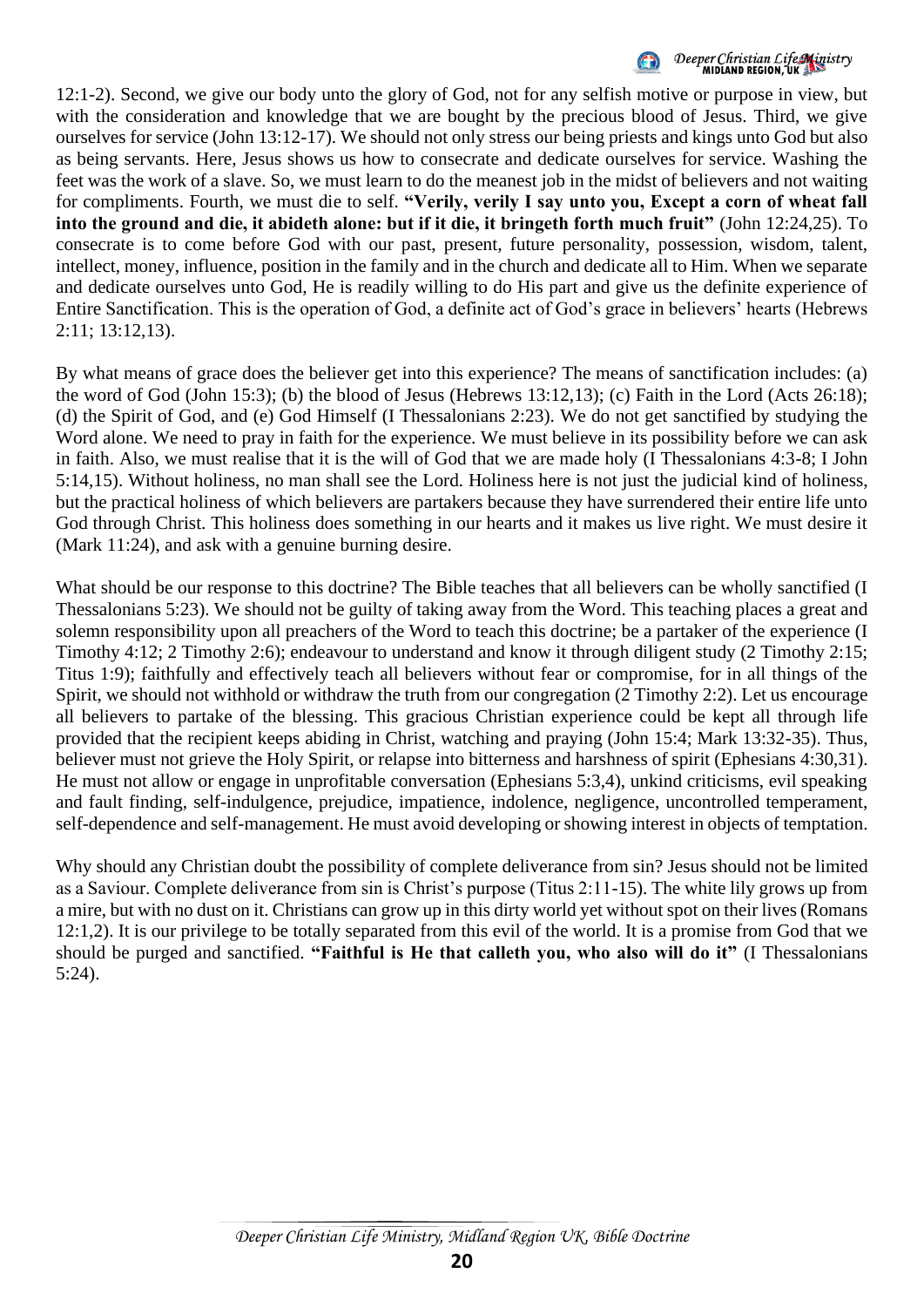

12:1-2). Second, we give our body unto the glory of God, not for any selfish motive or purpose in view, but with the consideration and knowledge that we are bought by the precious blood of Jesus. Third, we give ourselves for service (John 13:12-17). We should not only stress our being priests and kings unto God but also as being servants. Here, Jesus shows us how to consecrate and dedicate ourselves for service. Washing the feet was the work of a slave. So, we must learn to do the meanest job in the midst of believers and not waiting for compliments. Fourth, we must die to self. **"Verily, verily I say unto you, Except a corn of wheat fall into the ground and die, it abideth alone: but if it die, it bringeth forth much fruit"** (John 12:24,25). To consecrate is to come before God with our past, present, future personality, possession, wisdom, talent, intellect, money, influence, position in the family and in the church and dedicate all to Him. When we separate and dedicate ourselves unto God, He is readily willing to do His part and give us the definite experience of Entire Sanctification. This is the operation of God, a definite act of God's grace in believers' hearts (Hebrews 2:11; 13:12,13).

By what means of grace does the believer get into this experience? The means of sanctification includes: (a) the word of God (John 15:3); (b) the blood of Jesus (Hebrews 13:12,13); (c) Faith in the Lord (Acts 26:18); (d) the Spirit of God, and (e) God Himself (I Thessalonians 2:23). We do not get sanctified by studying the Word alone. We need to pray in faith for the experience. We must believe in its possibility before we can ask in faith. Also, we must realise that it is the will of God that we are made holy (I Thessalonians 4:3-8; I John 5:14,15). Without holiness, no man shall see the Lord. Holiness here is not just the judicial kind of holiness, but the practical holiness of which believers are partakers because they have surrendered their entire life unto God through Christ. This holiness does something in our hearts and it makes us live right. We must desire it (Mark 11:24), and ask with a genuine burning desire.

What should be our response to this doctrine? The Bible teaches that all believers can be wholly sanctified (I Thessalonians 5:23). We should not be guilty of taking away from the Word. This teaching places a great and solemn responsibility upon all preachers of the Word to teach this doctrine; be a partaker of the experience (I Timothy 4:12; 2 Timothy 2:6); endeavour to understand and know it through diligent study (2 Timothy 2:15; Titus 1:9); faithfully and effectively teach all believers without fear or compromise, for in all things of the Spirit, we should not withhold or withdraw the truth from our congregation (2 Timothy 2:2). Let us encourage all believers to partake of the blessing. This gracious Christian experience could be kept all through life provided that the recipient keeps abiding in Christ, watching and praying (John 15:4; Mark 13:32-35). Thus, believer must not grieve the Holy Spirit, or relapse into bitterness and harshness of spirit (Ephesians 4:30,31). He must not allow or engage in unprofitable conversation (Ephesians 5:3,4), unkind criticisms, evil speaking and fault finding, self-indulgence, prejudice, impatience, indolence, negligence, uncontrolled temperament, self-dependence and self-management. He must avoid developing or showing interest in objects of temptation.

Why should any Christian doubt the possibility of complete deliverance from sin? Jesus should not be limited as a Saviour. Complete deliverance from sin is Christ's purpose (Titus 2:11-15). The white lily grows up from a mire, but with no dust on it. Christians can grow up in this dirty world yet without spot on their lives (Romans 12:1,2). It is our privilege to be totally separated from this evil of the world. It is a promise from God that we should be purged and sanctified. **"Faithful is He that calleth you, who also will do it"** (I Thessalonians 5:24).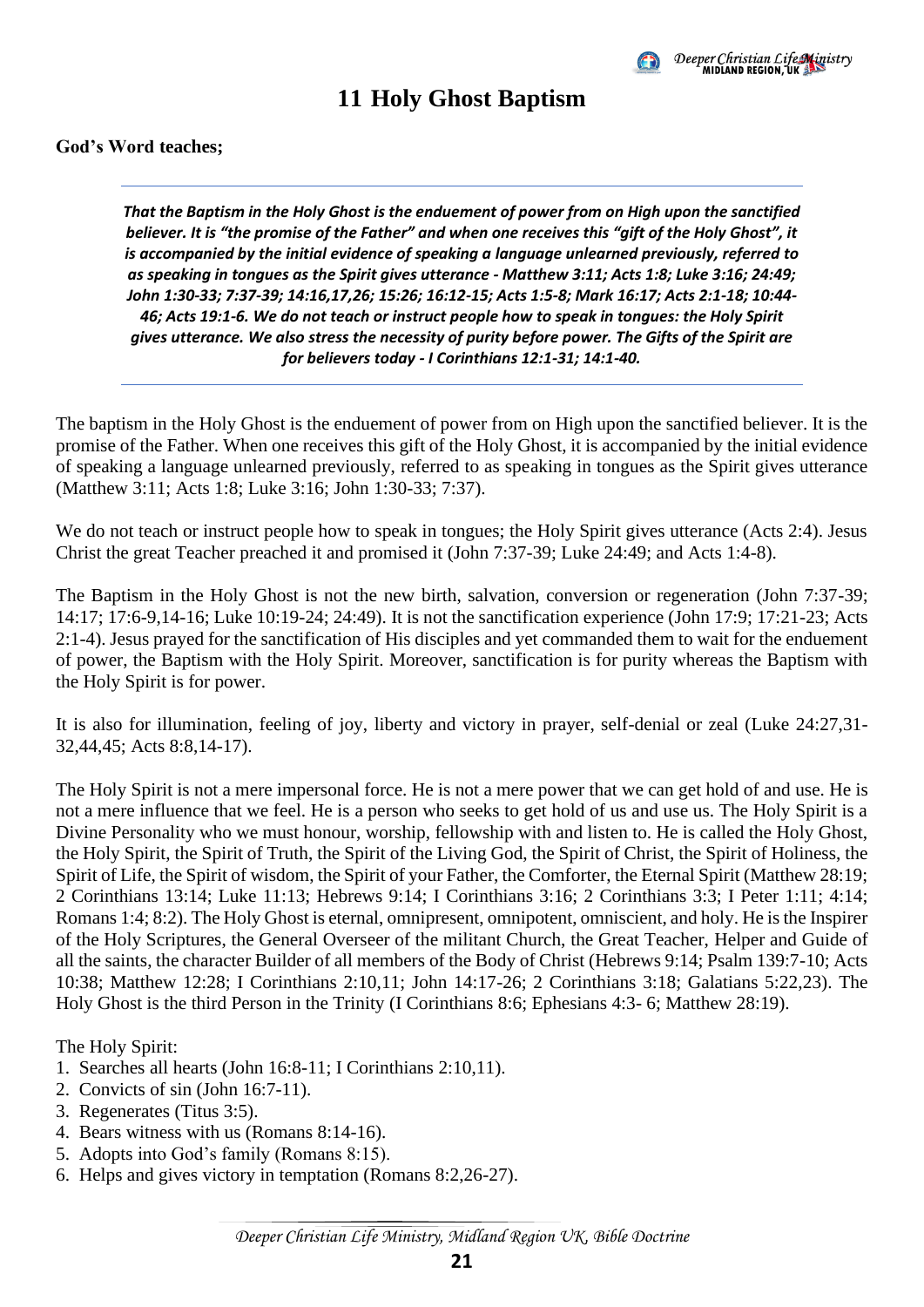

### **11 Holy Ghost Baptism**

#### <span id="page-24-0"></span>**God's Word teaches;**

*That the Baptism in the Holy Ghost is the enduement of power from on High upon the sanctified believer. It is "the promise of the Father" and when one receives this "gift of the Holy Ghost", it is accompanied by the initial evidence of speaking a language unlearned previously, referred to as speaking in tongues as the Spirit gives utterance - Matthew 3:11; Acts 1:8; Luke 3:16; 24:49; John 1:30-33; 7:37-39; 14:16,17,26; 15:26; 16:12-15; Acts 1:5-8; Mark 16:17; Acts 2:1-18; 10:44- 46; Acts 19:1-6. We do not teach or instruct people how to speak in tongues: the Holy Spirit gives utterance. We also stress the necessity of purity before power. The Gifts of the Spirit are for believers today - I Corinthians 12:1-31; 14:1-40.*

The baptism in the Holy Ghost is the enduement of power from on High upon the sanctified believer. It is the promise of the Father. When one receives this gift of the Holy Ghost, it is accompanied by the initial evidence of speaking a language unlearned previously, referred to as speaking in tongues as the Spirit gives utterance (Matthew 3:11; Acts 1:8; Luke 3:16; John 1:30-33; 7:37).

We do not teach or instruct people how to speak in tongues; the Holy Spirit gives utterance (Acts 2:4). Jesus Christ the great Teacher preached it and promised it (John 7:37-39; Luke 24:49; and Acts 1:4-8).

The Baptism in the Holy Ghost is not the new birth, salvation, conversion or regeneration (John 7:37-39; 14:17; 17:6-9,14-16; Luke 10:19-24; 24:49). It is not the sanctification experience (John 17:9; 17:21-23; Acts 2:1-4). Jesus prayed for the sanctification of His disciples and yet commanded them to wait for the enduement of power, the Baptism with the Holy Spirit. Moreover, sanctification is for purity whereas the Baptism with the Holy Spirit is for power.

It is also for illumination, feeling of joy, liberty and victory in prayer, self-denial or zeal (Luke 24:27,31- 32,44,45; Acts 8:8,14-17).

The Holy Spirit is not a mere impersonal force. He is not a mere power that we can get hold of and use. He is not a mere influence that we feel. He is a person who seeks to get hold of us and use us. The Holy Spirit is a Divine Personality who we must honour, worship, fellowship with and listen to. He is called the Holy Ghost, the Holy Spirit, the Spirit of Truth, the Spirit of the Living God, the Spirit of Christ, the Spirit of Holiness, the Spirit of Life, the Spirit of wisdom, the Spirit of your Father, the Comforter, the Eternal Spirit (Matthew 28:19; 2 Corinthians 13:14; Luke 11:13; Hebrews 9:14; I Corinthians 3:16; 2 Corinthians 3:3; I Peter 1:11; 4:14; Romans 1:4; 8:2). The Holy Ghost is eternal, omnipresent, omnipotent, omniscient, and holy. He is the Inspirer of the Holy Scriptures, the General Overseer of the militant Church, the Great Teacher, Helper and Guide of all the saints, the character Builder of all members of the Body of Christ (Hebrews 9:14; Psalm 139:7-10; Acts 10:38; Matthew 12:28; I Corinthians 2:10,11; John 14:17-26; 2 Corinthians 3:18; Galatians 5:22,23). The Holy Ghost is the third Person in the Trinity (I Corinthians 8:6; Ephesians 4:3- 6; Matthew 28:19).

The Holy Spirit:

- 1. Searches all hearts (John 16:8-11; I Corinthians 2:10,11).
- 2. Convicts of sin (John 16:7-11).
- 3. Regenerates (Titus 3:5).
- 4. Bears witness with us (Romans 8:14-16).
- 5. Adopts into God's family (Romans 8:15).
- 6. Helps and gives victory in temptation (Romans 8:2,26-27).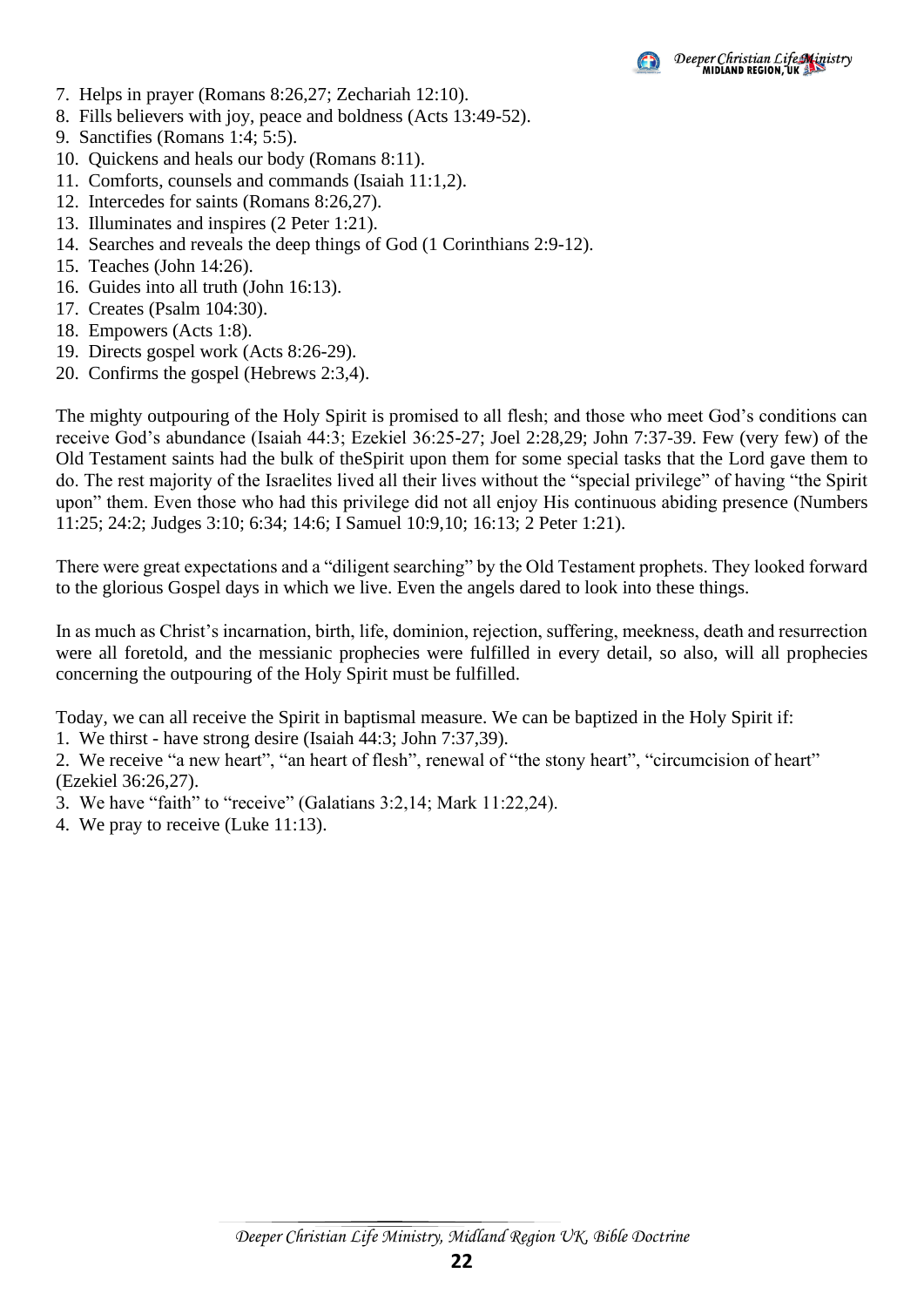- 7. Helps in prayer (Romans 8:26,27; Zechariah 12:10).
- 8. Fills believers with joy, peace and boldness (Acts 13:49-52).
- 9. Sanctifies (Romans 1:4; 5:5).
- 10. Quickens and heals our body (Romans 8:11).
- 11. Comforts, counsels and commands (Isaiah 11:1,2).
- 12. Intercedes for saints (Romans 8:26,27).
- 13. Illuminates and inspires (2 Peter 1:21).
- 14. Searches and reveals the deep things of God (1 Corinthians 2:9-12).
- 15. Teaches (John 14:26).
- 16. Guides into all truth (John 16:13).
- 17. Creates (Psalm 104:30).
- 18. Empowers (Acts 1:8).
- 19. Directs gospel work (Acts 8:26-29).
- 20. Confirms the gospel (Hebrews 2:3,4).

The mighty outpouring of the Holy Spirit is promised to all flesh; and those who meet God's conditions can receive God's abundance (Isaiah 44:3; Ezekiel 36:25-27; Joel 2:28,29; John 7:37-39. Few (very few) of the Old Testament saints had the bulk of theSpirit upon them for some special tasks that the Lord gave them to do. The rest majority of the Israelites lived all their lives without the "special privilege" of having "the Spirit upon" them. Even those who had this privilege did not all enjoy His continuous abiding presence (Numbers 11:25; 24:2; Judges 3:10; 6:34; 14:6; I Samuel 10:9,10; 16:13; 2 Peter 1:21).

There were great expectations and a "diligent searching" by the Old Testament prophets. They looked forward to the glorious Gospel days in which we live. Even the angels dared to look into these things.

In as much as Christ's incarnation, birth, life, dominion, rejection, suffering, meekness, death and resurrection were all foretold, and the messianic prophecies were fulfilled in every detail, so also, will all prophecies concerning the outpouring of the Holy Spirit must be fulfilled.

Today, we can all receive the Spirit in baptismal measure. We can be baptized in the Holy Spirit if:

1. We thirst - have strong desire (Isaiah 44:3; John 7:37,39).

2. We receive "a new heart", "an heart of flesh", renewal of "the stony heart", "circumcision of heart" (Ezekiel 36:26,27).

3. We have "faith" to "receive" (Galatians 3:2,14; Mark 11:22,24).

4. We pray to receive (Luke 11:13).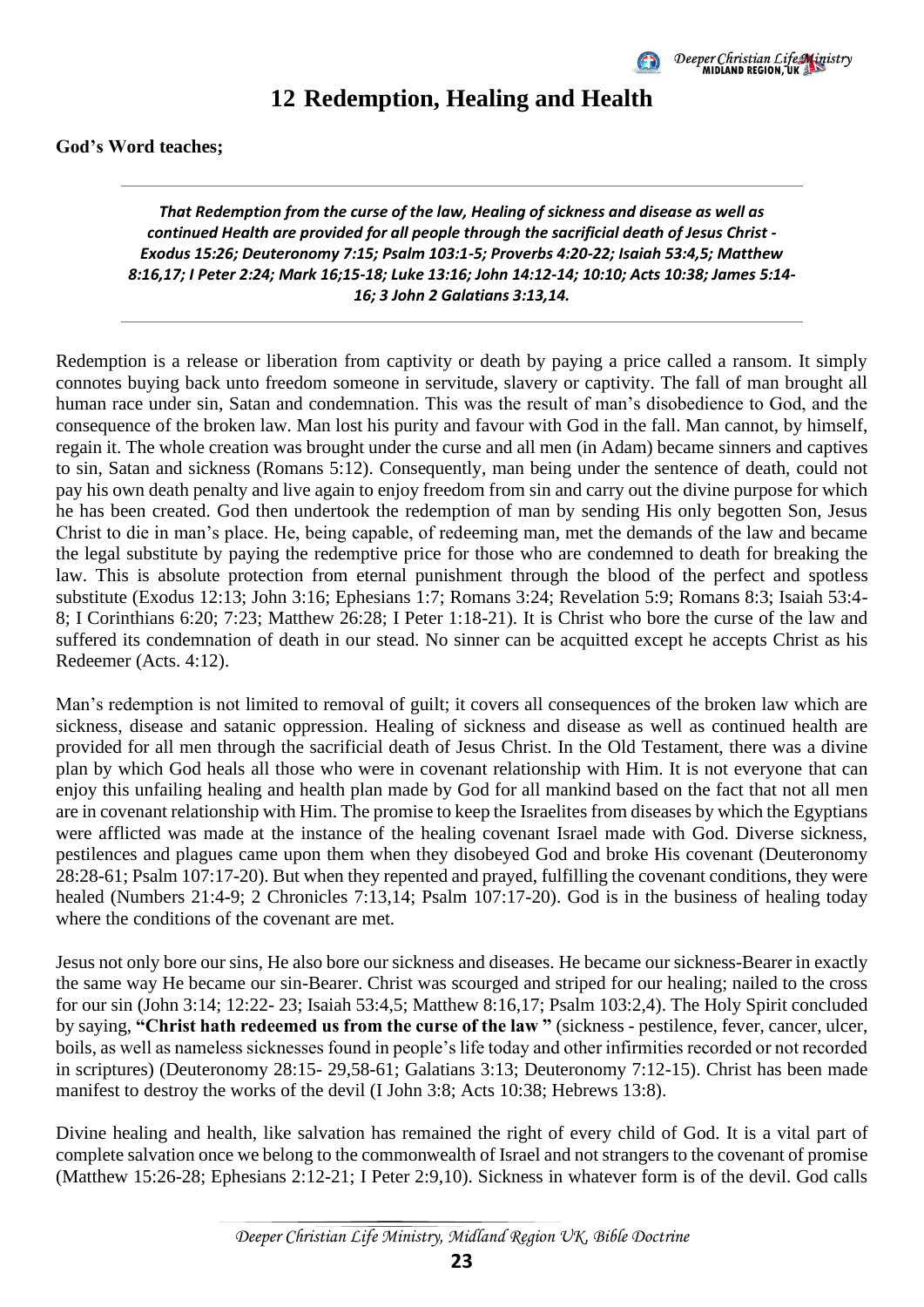

### **12 Redemption, Healing and Health**

<span id="page-26-0"></span>**God's Word teaches;** 

*That Redemption from the curse of the law, Healing of sickness and disease as well as continued Health are provided for all people through the sacrificial death of Jesus Christ - Exodus 15:26; Deuteronomy 7:15; Psalm 103:1-5; Proverbs 4:20-22; Isaiah 53:4,5; Matthew 8:16,17; I Peter 2:24; Mark 16;15-18; Luke 13:16; John 14:12-14; 10:10; Acts 10:38; James 5:14- 16; 3 John 2 Galatians 3:13,14.*

Redemption is a release or liberation from captivity or death by paying a price called a ransom. It simply connotes buying back unto freedom someone in servitude, slavery or captivity. The fall of man brought all human race under sin, Satan and condemnation. This was the result of man's disobedience to God, and the consequence of the broken law. Man lost his purity and favour with God in the fall. Man cannot, by himself, regain it. The whole creation was brought under the curse and all men (in Adam) became sinners and captives to sin, Satan and sickness (Romans 5:12). Consequently, man being under the sentence of death, could not pay his own death penalty and live again to enjoy freedom from sin and carry out the divine purpose for which he has been created. God then undertook the redemption of man by sending His only begotten Son, Jesus Christ to die in man's place. He, being capable, of redeeming man, met the demands of the law and became the legal substitute by paying the redemptive price for those who are condemned to death for breaking the law. This is absolute protection from eternal punishment through the blood of the perfect and spotless substitute (Exodus 12:13; John 3:16; Ephesians 1:7; Romans 3:24; Revelation 5:9; Romans 8:3; Isaiah 53:4- 8; I Corinthians 6:20; 7:23; Matthew 26:28; I Peter 1:18-21). It is Christ who bore the curse of the law and suffered its condemnation of death in our stead. No sinner can be acquitted except he accepts Christ as his Redeemer (Acts. 4:12).

Man's redemption is not limited to removal of guilt; it covers all consequences of the broken law which are sickness, disease and satanic oppression. Healing of sickness and disease as well as continued health are provided for all men through the sacrificial death of Jesus Christ. In the Old Testament, there was a divine plan by which God heals all those who were in covenant relationship with Him. It is not everyone that can enjoy this unfailing healing and health plan made by God for all mankind based on the fact that not all men are in covenant relationship with Him. The promise to keep the Israelites from diseases by which the Egyptians were afflicted was made at the instance of the healing covenant Israel made with God. Diverse sickness, pestilences and plagues came upon them when they disobeyed God and broke His covenant (Deuteronomy 28:28-61; Psalm 107:17-20). But when they repented and prayed, fulfilling the covenant conditions, they were healed (Numbers 21:4-9; 2 Chronicles 7:13,14; Psalm 107:17-20). God is in the business of healing today where the conditions of the covenant are met.

Jesus not only bore our sins, He also bore our sickness and diseases. He became our sickness-Bearer in exactly the same way He became our sin-Bearer. Christ was scourged and striped for our healing; nailed to the cross for our sin (John 3:14; 12:22- 23; Isaiah 53:4,5; Matthew 8:16,17; Psalm 103:2,4). The Holy Spirit concluded by saying, **"Christ hath redeemed us from the curse of the law "** (sickness - pestilence, fever, cancer, ulcer, boils, as well as nameless sicknesses found in people's life today and other infirmities recorded or not recorded in scriptures) (Deuteronomy 28:15- 29,58-61; Galatians 3:13; Deuteronomy 7:12-15). Christ has been made manifest to destroy the works of the devil (I John 3:8; Acts 10:38; Hebrews 13:8).

Divine healing and health, like salvation has remained the right of every child of God. It is a vital part of complete salvation once we belong to the commonwealth of Israel and not strangers to the covenant of promise (Matthew 15:26-28; Ephesians 2:12-21; I Peter 2:9,10). Sickness in whatever form is of the devil. God calls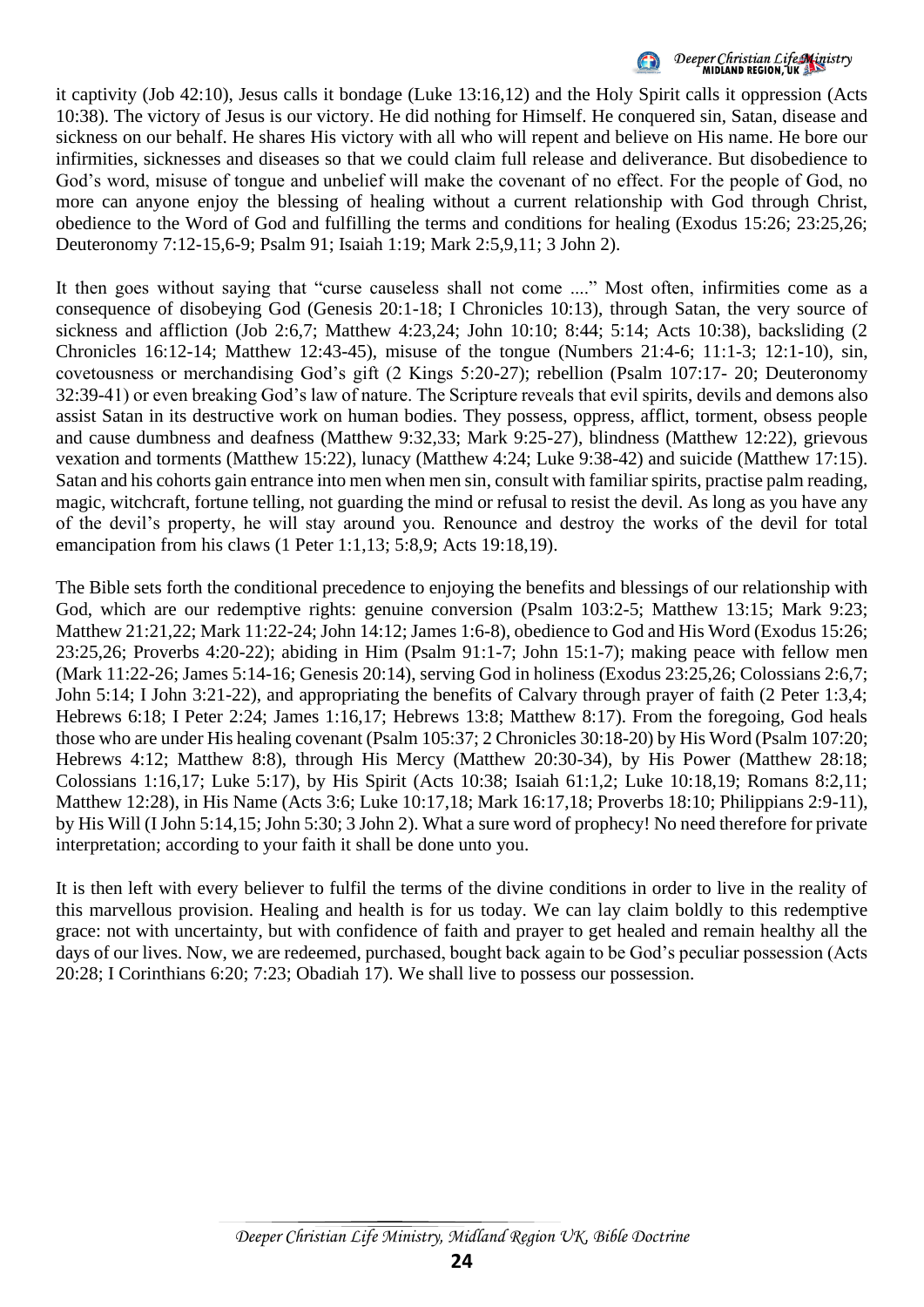

it captivity (Job 42:10), Jesus calls it bondage (Luke 13:16,12) and the Holy Spirit calls it oppression (Acts 10:38). The victory of Jesus is our victory. He did nothing for Himself. He conquered sin, Satan, disease and sickness on our behalf. He shares His victory with all who will repent and believe on His name. He bore our infirmities, sicknesses and diseases so that we could claim full release and deliverance. But disobedience to God's word, misuse of tongue and unbelief will make the covenant of no effect. For the people of God, no more can anyone enjoy the blessing of healing without a current relationship with God through Christ, obedience to the Word of God and fulfilling the terms and conditions for healing (Exodus 15:26; 23:25,26; Deuteronomy 7:12-15,6-9; Psalm 91; Isaiah 1:19; Mark 2:5,9,11; 3 John 2).

It then goes without saying that "curse causeless shall not come ...." Most often, infirmities come as a consequence of disobeying God (Genesis 20:1-18; I Chronicles 10:13), through Satan, the very source of sickness and affliction (Job 2:6,7; Matthew 4:23,24; John 10:10; 8:44; 5:14; Acts 10:38), backsliding (2 Chronicles 16:12-14; Matthew 12:43-45), misuse of the tongue (Numbers 21:4-6; 11:1-3; 12:1-10), sin, covetousness or merchandising God's gift (2 Kings 5:20-27); rebellion (Psalm 107:17- 20; Deuteronomy 32:39-41) or even breaking God's law of nature. The Scripture reveals that evil spirits, devils and demons also assist Satan in its destructive work on human bodies. They possess, oppress, afflict, torment, obsess people and cause dumbness and deafness (Matthew 9:32,33; Mark 9:25-27), blindness (Matthew 12:22), grievous vexation and torments (Matthew 15:22), lunacy (Matthew 4:24; Luke 9:38-42) and suicide (Matthew 17:15). Satan and his cohorts gain entrance into men when men sin, consult with familiar spirits, practise palm reading, magic, witchcraft, fortune telling, not guarding the mind or refusal to resist the devil. As long as you have any of the devil's property, he will stay around you. Renounce and destroy the works of the devil for total emancipation from his claws (1 Peter 1:1,13; 5:8,9; Acts 19:18,19).

The Bible sets forth the conditional precedence to enjoying the benefits and blessings of our relationship with God, which are our redemptive rights: genuine conversion (Psalm 103:2-5; Matthew 13:15; Mark 9:23; Matthew 21:21,22; Mark 11:22-24; John 14:12; James 1:6-8), obedience to God and His Word (Exodus 15:26; 23:25,26; Proverbs 4:20-22); abiding in Him (Psalm 91:1-7; John 15:1-7); making peace with fellow men (Mark 11:22-26; James 5:14-16; Genesis 20:14), serving God in holiness (Exodus 23:25,26; Colossians 2:6,7; John 5:14; I John 3:21-22), and appropriating the benefits of Calvary through prayer of faith (2 Peter 1:3,4; Hebrews 6:18; I Peter 2:24; James 1:16,17; Hebrews 13:8; Matthew 8:17). From the foregoing, God heals those who are under His healing covenant (Psalm 105:37; 2 Chronicles 30:18-20) by His Word (Psalm 107:20; Hebrews 4:12; Matthew 8:8), through His Mercy (Matthew 20:30-34), by His Power (Matthew 28:18; Colossians 1:16,17; Luke 5:17), by His Spirit (Acts 10:38; Isaiah 61:1,2; Luke 10:18,19; Romans 8:2,11; Matthew 12:28), in His Name (Acts 3:6; Luke 10:17,18; Mark 16:17,18; Proverbs 18:10; Philippians 2:9-11), by His Will (I John 5:14,15; John 5:30; 3 John 2). What a sure word of prophecy! No need therefore for private interpretation; according to your faith it shall be done unto you.

It is then left with every believer to fulfil the terms of the divine conditions in order to live in the reality of this marvellous provision. Healing and health is for us today. We can lay claim boldly to this redemptive grace: not with uncertainty, but with confidence of faith and prayer to get healed and remain healthy all the days of our lives. Now, we are redeemed, purchased, bought back again to be God's peculiar possession (Acts 20:28; I Corinthians 6:20; 7:23; Obadiah 17). We shall live to possess our possession.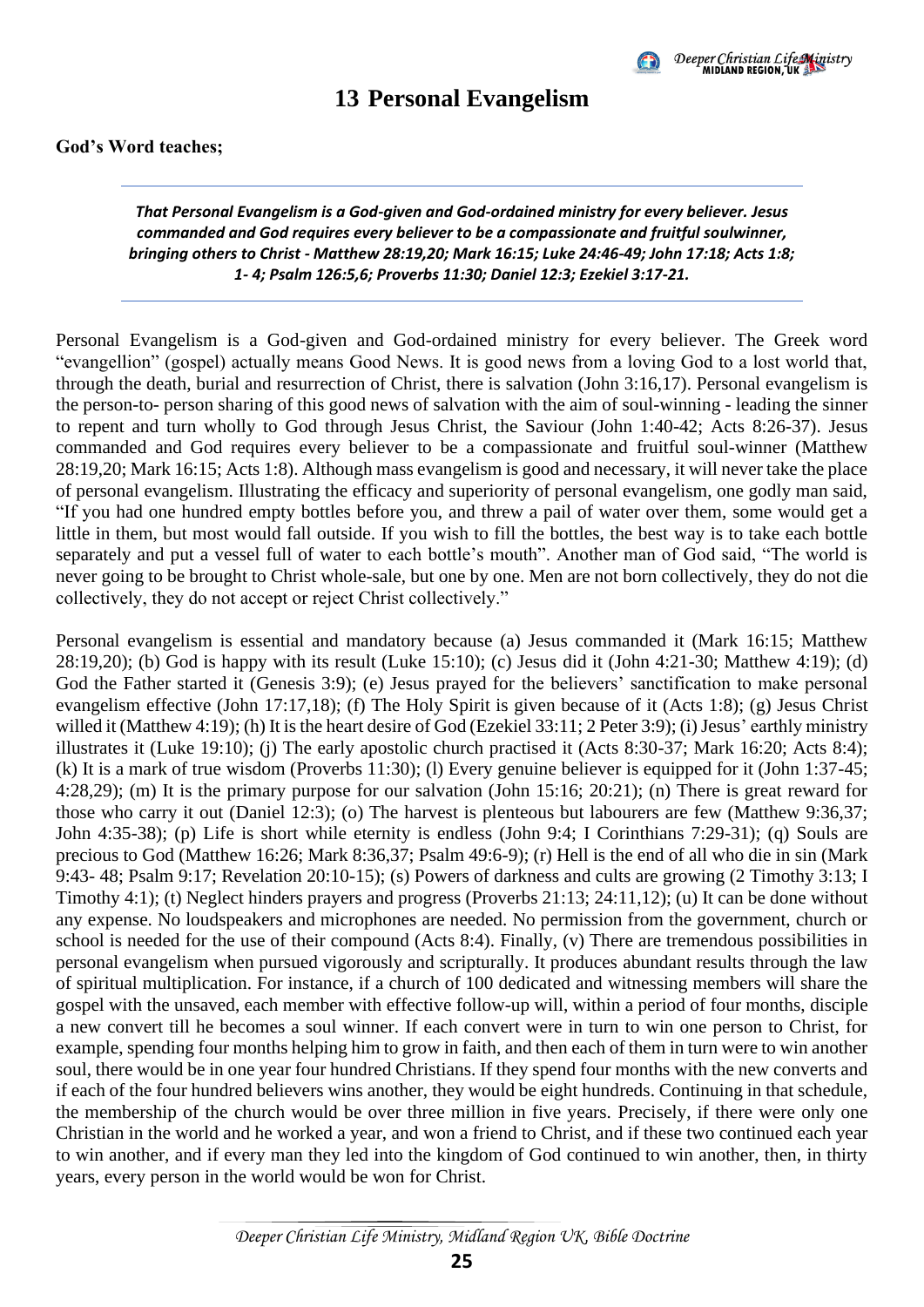

#### **13 Personal Evangelism**

#### <span id="page-28-0"></span>**God's Word teaches;**

*That Personal Evangelism is a God-given and God-ordained ministry for every believer. Jesus commanded and God requires every believer to be a compassionate and fruitful soulwinner, bringing others to Christ - Matthew 28:19,20; Mark 16:15; Luke 24:46-49; John 17:18; Acts 1:8; 1- 4; Psalm 126:5,6; Proverbs 11:30; Daniel 12:3; Ezekiel 3:17-21.*

Personal Evangelism is a God-given and God-ordained ministry for every believer. The Greek word "evangellion" (gospel) actually means Good News. It is good news from a loving God to a lost world that, through the death, burial and resurrection of Christ, there is salvation (John 3:16,17). Personal evangelism is the person-to- person sharing of this good news of salvation with the aim of soul-winning - leading the sinner to repent and turn wholly to God through Jesus Christ, the Saviour (John 1:40-42; Acts 8:26-37). Jesus commanded and God requires every believer to be a compassionate and fruitful soul-winner (Matthew 28:19,20; Mark 16:15; Acts 1:8). Although mass evangelism is good and necessary, it will never take the place of personal evangelism. Illustrating the efficacy and superiority of personal evangelism, one godly man said, "If you had one hundred empty bottles before you, and threw a pail of water over them, some would get a little in them, but most would fall outside. If you wish to fill the bottles, the best way is to take each bottle separately and put a vessel full of water to each bottle's mouth". Another man of God said, "The world is never going to be brought to Christ whole-sale, but one by one. Men are not born collectively, they do not die collectively, they do not accept or reject Christ collectively."

Personal evangelism is essential and mandatory because (a) Jesus commanded it (Mark 16:15; Matthew 28:19,20); (b) God is happy with its result (Luke 15:10); (c) Jesus did it (John 4:21-30; Matthew 4:19); (d) God the Father started it (Genesis 3:9); (e) Jesus prayed for the believers' sanctification to make personal evangelism effective (John 17:17,18); (f) The Holy Spirit is given because of it (Acts 1:8); (g) Jesus Christ willed it (Matthew 4:19); (h) It is the heart desire of God (Ezekiel 33:11; 2 Peter 3:9); (i) Jesus' earthly ministry illustrates it (Luke 19:10); (j) The early apostolic church practised it (Acts 8:30-37; Mark 16:20; Acts 8:4); (k) It is a mark of true wisdom (Proverbs 11:30); (l) Every genuine believer is equipped for it (John 1:37-45; 4:28,29); (m) It is the primary purpose for our salvation (John 15:16; 20:21); (n) There is great reward for those who carry it out (Daniel 12:3); (o) The harvest is plenteous but labourers are few (Matthew 9:36,37; John 4:35-38); (p) Life is short while eternity is endless (John 9:4; I Corinthians 7:29-31); (q) Souls are precious to God (Matthew 16:26; Mark 8:36,37; Psalm 49:6-9); (r) Hell is the end of all who die in sin (Mark 9:43- 48; Psalm 9:17; Revelation 20:10-15); (s) Powers of darkness and cults are growing (2 Timothy 3:13; I Timothy 4:1); (t) Neglect hinders prayers and progress (Proverbs 21:13; 24:11,12); (u) It can be done without any expense. No loudspeakers and microphones are needed. No permission from the government, church or school is needed for the use of their compound (Acts 8:4). Finally, (v) There are tremendous possibilities in personal evangelism when pursued vigorously and scripturally. It produces abundant results through the law of spiritual multiplication. For instance, if a church of 100 dedicated and witnessing members will share the gospel with the unsaved, each member with effective follow-up will, within a period of four months, disciple a new convert till he becomes a soul winner. If each convert were in turn to win one person to Christ, for example, spending four months helping him to grow in faith, and then each of them in turn were to win another soul, there would be in one year four hundred Christians. If they spend four months with the new converts and if each of the four hundred believers wins another, they would be eight hundreds. Continuing in that schedule, the membership of the church would be over three million in five years. Precisely, if there were only one Christian in the world and he worked a year, and won a friend to Christ, and if these two continued each year to win another, and if every man they led into the kingdom of God continued to win another, then, in thirty years, every person in the world would be won for Christ.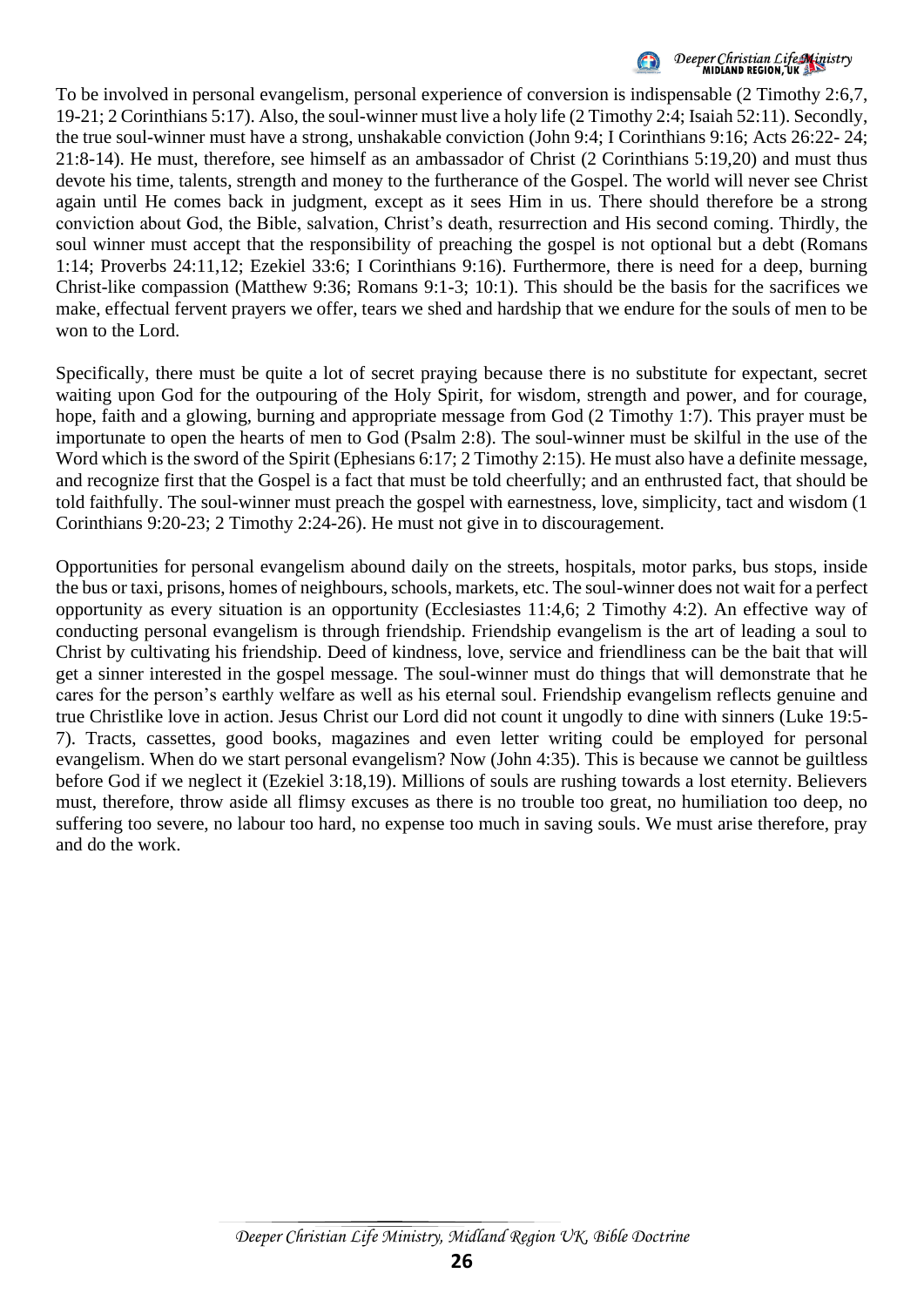

### Deeper Christian Life Ministry<br>MIDLAND REGION, UK

To be involved in personal evangelism, personal experience of conversion is indispensable (2 Timothy 2:6,7, 19-21; 2 Corinthians 5:17). Also, the soul-winner must live a holy life (2 Timothy 2:4; Isaiah 52:11). Secondly, the true soul-winner must have a strong, unshakable conviction (John 9:4; I Corinthians 9:16; Acts 26:22- 24; 21:8-14). He must, therefore, see himself as an ambassador of Christ (2 Corinthians 5:19,20) and must thus devote his time, talents, strength and money to the furtherance of the Gospel. The world will never see Christ again until He comes back in judgment, except as it sees Him in us. There should therefore be a strong conviction about God, the Bible, salvation, Christ's death, resurrection and His second coming. Thirdly, the soul winner must accept that the responsibility of preaching the gospel is not optional but a debt (Romans 1:14; Proverbs 24:11,12; Ezekiel 33:6; I Corinthians 9:16). Furthermore, there is need for a deep, burning Christ-like compassion (Matthew 9:36; Romans 9:1-3; 10:1). This should be the basis for the sacrifices we make, effectual fervent prayers we offer, tears we shed and hardship that we endure for the souls of men to be won to the Lord.

Specifically, there must be quite a lot of secret praying because there is no substitute for expectant, secret waiting upon God for the outpouring of the Holy Spirit, for wisdom, strength and power, and for courage, hope, faith and a glowing, burning and appropriate message from God (2 Timothy 1:7). This prayer must be importunate to open the hearts of men to God (Psalm 2:8). The soul-winner must be skilful in the use of the Word which is the sword of the Spirit (Ephesians 6:17; 2 Timothy 2:15). He must also have a definite message, and recognize first that the Gospel is a fact that must be told cheerfully; and an enthrusted fact, that should be told faithfully. The soul-winner must preach the gospel with earnestness, love, simplicity, tact and wisdom (1 Corinthians 9:20-23; 2 Timothy 2:24-26). He must not give in to discouragement.

Opportunities for personal evangelism abound daily on the streets, hospitals, motor parks, bus stops, inside the bus or taxi, prisons, homes of neighbours, schools, markets, etc. The soul-winner does not wait for a perfect opportunity as every situation is an opportunity (Ecclesiastes 11:4,6; 2 Timothy 4:2). An effective way of conducting personal evangelism is through friendship. Friendship evangelism is the art of leading a soul to Christ by cultivating his friendship. Deed of kindness, love, service and friendliness can be the bait that will get a sinner interested in the gospel message. The soul-winner must do things that will demonstrate that he cares for the person's earthly welfare as well as his eternal soul. Friendship evangelism reflects genuine and true Christlike love in action. Jesus Christ our Lord did not count it ungodly to dine with sinners (Luke 19:5- 7). Tracts, cassettes, good books, magazines and even letter writing could be employed for personal evangelism. When do we start personal evangelism? Now (John 4:35). This is because we cannot be guiltless before God if we neglect it (Ezekiel 3:18,19). Millions of souls are rushing towards a lost eternity. Believers must, therefore, throw aside all flimsy excuses as there is no trouble too great, no humiliation too deep, no suffering too severe, no labour too hard, no expense too much in saving souls. We must arise therefore, pray and do the work.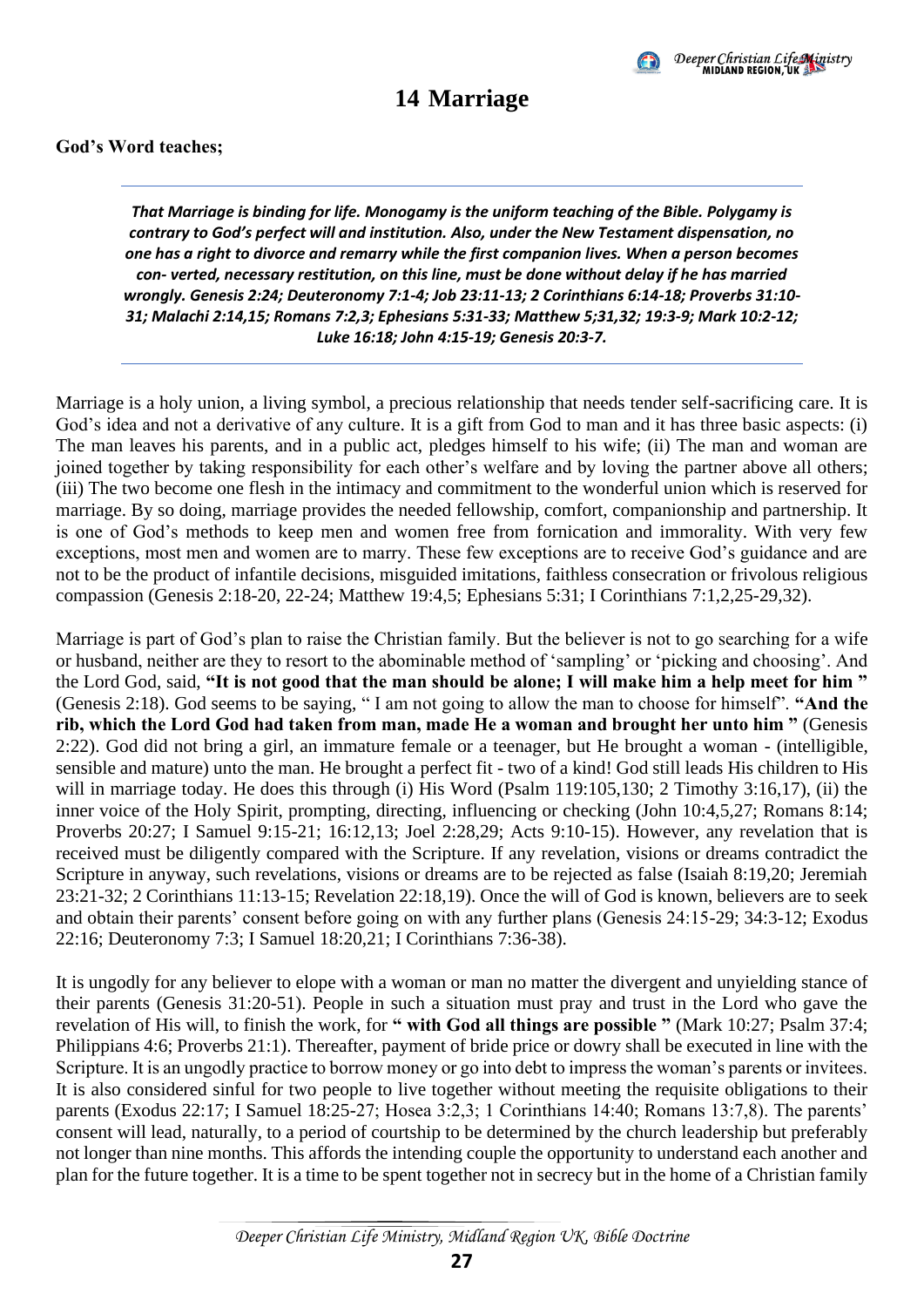

### **14 Marriage**

#### <span id="page-30-0"></span>**God's Word teaches;**

*That Marriage is binding for life. Monogamy is the uniform teaching of the Bible. Polygamy is contrary to God's perfect will and institution. Also, under the New Testament dispensation, no one has a right to divorce and remarry while the first companion lives. When a person becomes con- verted, necessary restitution, on this line, must be done without delay if he has married wrongly. Genesis 2:24; Deuteronomy 7:1-4; Job 23:11-13; 2 Corinthians 6:14-18; Proverbs 31:10- 31; Malachi 2:14,15; Romans 7:2,3; Ephesians 5:31-33; Matthew 5;31,32; 19:3-9; Mark 10:2-12; Luke 16:18; John 4:15-19; Genesis 20:3-7.*

Marriage is a holy union, a living symbol, a precious relationship that needs tender self-sacrificing care. It is God's idea and not a derivative of any culture. It is a gift from God to man and it has three basic aspects: (i) The man leaves his parents, and in a public act, pledges himself to his wife; (ii) The man and woman are joined together by taking responsibility for each other's welfare and by loving the partner above all others; (iii) The two become one flesh in the intimacy and commitment to the wonderful union which is reserved for marriage. By so doing, marriage provides the needed fellowship, comfort, companionship and partnership. It is one of God's methods to keep men and women free from fornication and immorality. With very few exceptions, most men and women are to marry. These few exceptions are to receive God's guidance and are not to be the product of infantile decisions, misguided imitations, faithless consecration or frivolous religious compassion (Genesis 2:18-20, 22-24; Matthew 19:4,5; Ephesians 5:31; I Corinthians 7:1,2,25-29,32).

Marriage is part of God's plan to raise the Christian family. But the believer is not to go searching for a wife or husband, neither are they to resort to the abominable method of 'sampling' or 'picking and choosing'. And the Lord God, said, **"It is not good that the man should be alone; I will make him a help meet for him "** (Genesis 2:18). God seems to be saying, " I am not going to allow the man to choose for himself". **"And the rib, which the Lord God had taken from man, made He a woman and brought her unto him "** (Genesis 2:22). God did not bring a girl, an immature female or a teenager, but He brought a woman - (intelligible, sensible and mature) unto the man. He brought a perfect fit - two of a kind! God still leads His children to His will in marriage today. He does this through (i) His Word (Psalm 119:105,130; 2 Timothy 3:16,17), (ii) the inner voice of the Holy Spirit, prompting, directing, influencing or checking (John 10:4,5,27; Romans 8:14; Proverbs 20:27; I Samuel 9:15-21; 16:12,13; Joel 2:28,29; Acts 9:10-15). However, any revelation that is received must be diligently compared with the Scripture. If any revelation, visions or dreams contradict the Scripture in anyway, such revelations, visions or dreams are to be rejected as false (Isaiah 8:19,20; Jeremiah 23:21-32; 2 Corinthians 11:13-15; Revelation 22:18,19). Once the will of God is known, believers are to seek and obtain their parents' consent before going on with any further plans (Genesis 24:15-29; 34:3-12; Exodus 22:16; Deuteronomy 7:3; I Samuel 18:20,21; I Corinthians 7:36-38).

It is ungodly for any believer to elope with a woman or man no matter the divergent and unyielding stance of their parents (Genesis 31:20-51). People in such a situation must pray and trust in the Lord who gave the revelation of His will, to finish the work, for **" with God all things are possible "** (Mark 10:27; Psalm 37:4; Philippians 4:6; Proverbs 21:1). Thereafter, payment of bride price or dowry shall be executed in line with the Scripture. It is an ungodly practice to borrow money or go into debt to impress the woman's parents or invitees. It is also considered sinful for two people to live together without meeting the requisite obligations to their parents (Exodus 22:17; I Samuel 18:25-27; Hosea 3:2,3; 1 Corinthians 14:40; Romans 13:7,8). The parents' consent will lead, naturally, to a period of courtship to be determined by the church leadership but preferably not longer than nine months. This affords the intending couple the opportunity to understand each another and plan for the future together. It is a time to be spent together not in secrecy but in the home of a Christian family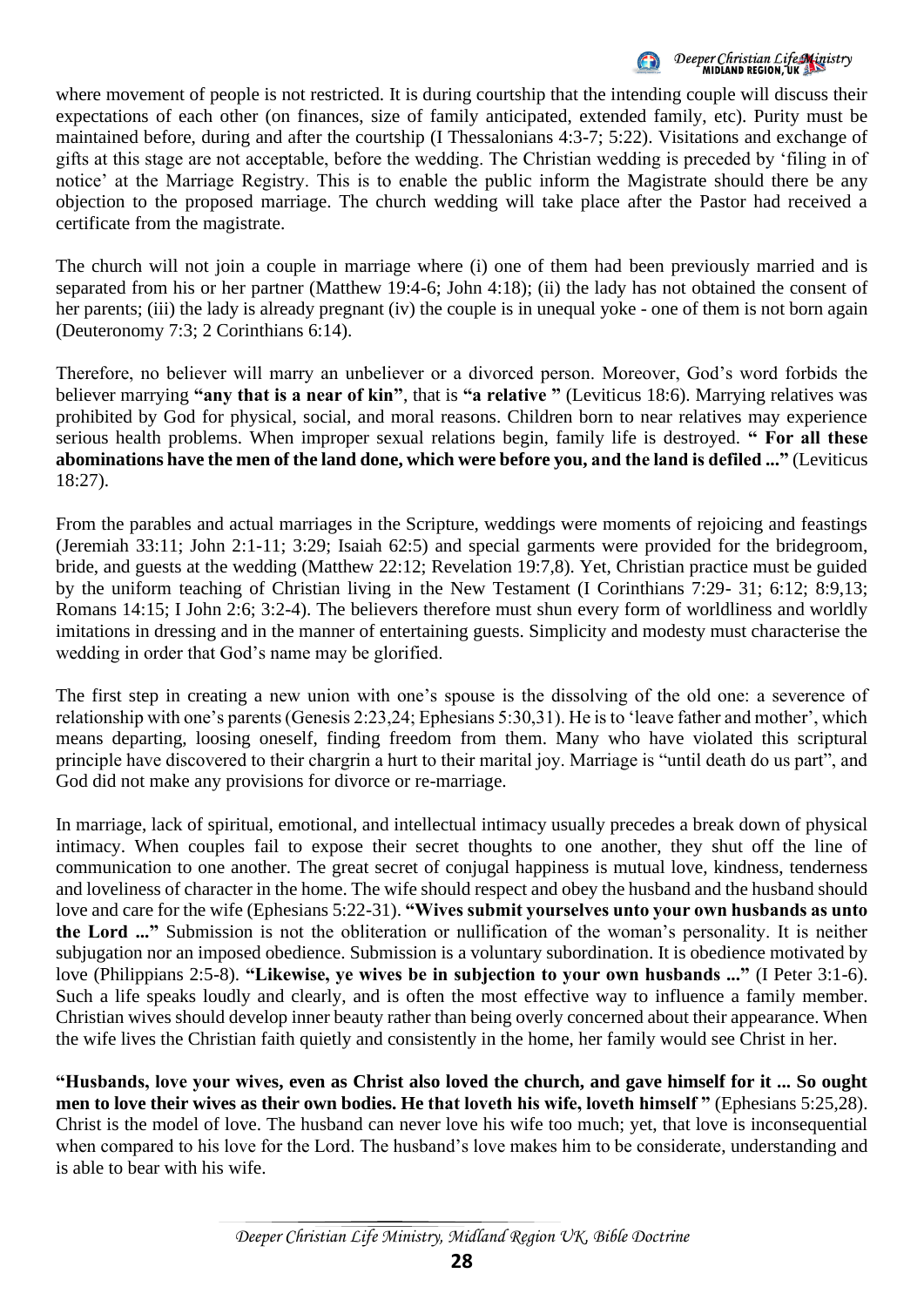

### Deeper Christian Life Ministry

where movement of people is not restricted. It is during courtship that the intending couple will discuss their expectations of each other (on finances, size of family anticipated, extended family, etc). Purity must be maintained before, during and after the courtship (I Thessalonians 4:3-7; 5:22). Visitations and exchange of gifts at this stage are not acceptable, before the wedding. The Christian wedding is preceded by 'filing in of notice' at the Marriage Registry. This is to enable the public inform the Magistrate should there be any objection to the proposed marriage. The church wedding will take place after the Pastor had received a certificate from the magistrate.

The church will not join a couple in marriage where (i) one of them had been previously married and is separated from his or her partner (Matthew 19:4-6; John 4:18); (ii) the lady has not obtained the consent of her parents; (iii) the lady is already pregnant (iv) the couple is in unequal yoke - one of them is not born again (Deuteronomy 7:3; 2 Corinthians 6:14).

Therefore, no believer will marry an unbeliever or a divorced person. Moreover, God's word forbids the believer marrying **"any that is a near of kin"**, that is **"a relative "** (Leviticus 18:6). Marrying relatives was prohibited by God for physical, social, and moral reasons. Children born to near relatives may experience serious health problems. When improper sexual relations begin, family life is destroyed. **" For all these abominations have the men of the land done, which were before you, and the land is defiled ..."** (Leviticus 18:27).

From the parables and actual marriages in the Scripture, weddings were moments of rejoicing and feastings (Jeremiah 33:11; John 2:1-11; 3:29; Isaiah 62:5) and special garments were provided for the bridegroom, bride, and guests at the wedding (Matthew 22:12; Revelation 19:7,8). Yet, Christian practice must be guided by the uniform teaching of Christian living in the New Testament (I Corinthians 7:29- 31; 6:12; 8:9,13; Romans 14:15; I John 2:6; 3:2-4). The believers therefore must shun every form of worldliness and worldly imitations in dressing and in the manner of entertaining guests. Simplicity and modesty must characterise the wedding in order that God's name may be glorified.

The first step in creating a new union with one's spouse is the dissolving of the old one: a severence of relationship with one's parents (Genesis 2:23,24; Ephesians 5:30,31). He is to 'leave father and mother', which means departing, loosing oneself, finding freedom from them. Many who have violated this scriptural principle have discovered to their chargrin a hurt to their marital joy. Marriage is "until death do us part", and God did not make any provisions for divorce or re-marriage.

In marriage, lack of spiritual, emotional, and intellectual intimacy usually precedes a break down of physical intimacy. When couples fail to expose their secret thoughts to one another, they shut off the line of communication to one another. The great secret of conjugal happiness is mutual love, kindness, tenderness and loveliness of character in the home. The wife should respect and obey the husband and the husband should love and care for the wife (Ephesians 5:22-31). **"Wives submit yourselves unto your own husbands as unto the Lord ..."** Submission is not the obliteration or nullification of the woman's personality. It is neither subjugation nor an imposed obedience. Submission is a voluntary subordination. It is obedience motivated by love (Philippians 2:5-8). **"Likewise, ye wives be in subjection to your own husbands ..."** (I Peter 3:1-6). Such a life speaks loudly and clearly, and is often the most effective way to influence a family member. Christian wives should develop inner beauty rather than being overly concerned about their appearance. When the wife lives the Christian faith quietly and consistently in the home, her family would see Christ in her.

**"Husbands, love your wives, even as Christ also loved the church, and gave himself for it ... So ought men to love their wives as their own bodies. He that loveth his wife, loveth himself "** (Ephesians 5:25,28). Christ is the model of love. The husband can never love his wife too much; yet, that love is inconsequential when compared to his love for the Lord. The husband's love makes him to be considerate, understanding and is able to bear with his wife.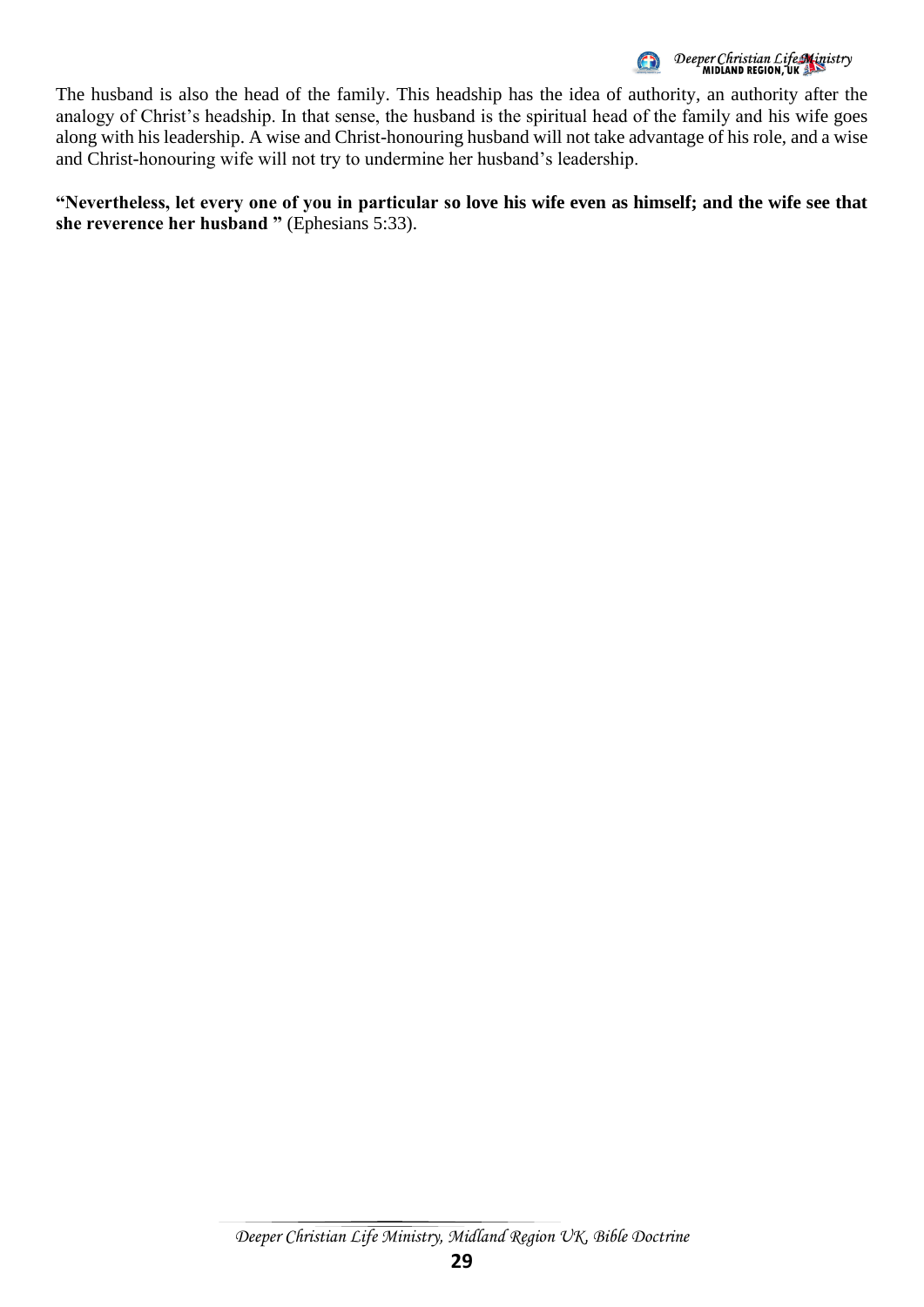

The husband is also the head of the family. This headship has the idea of authority, an authority after the analogy of Christ's headship. In that sense, the husband is the spiritual head of the family and his wife goes along with his leadership. A wise and Christ-honouring husband will not take advantage of his role, and a wise and Christ-honouring wife will not try to undermine her husband's leadership.

**"Nevertheless, let every one of you in particular so love his wife even as himself; and the wife see that she reverence her husband "** (Ephesians 5:33).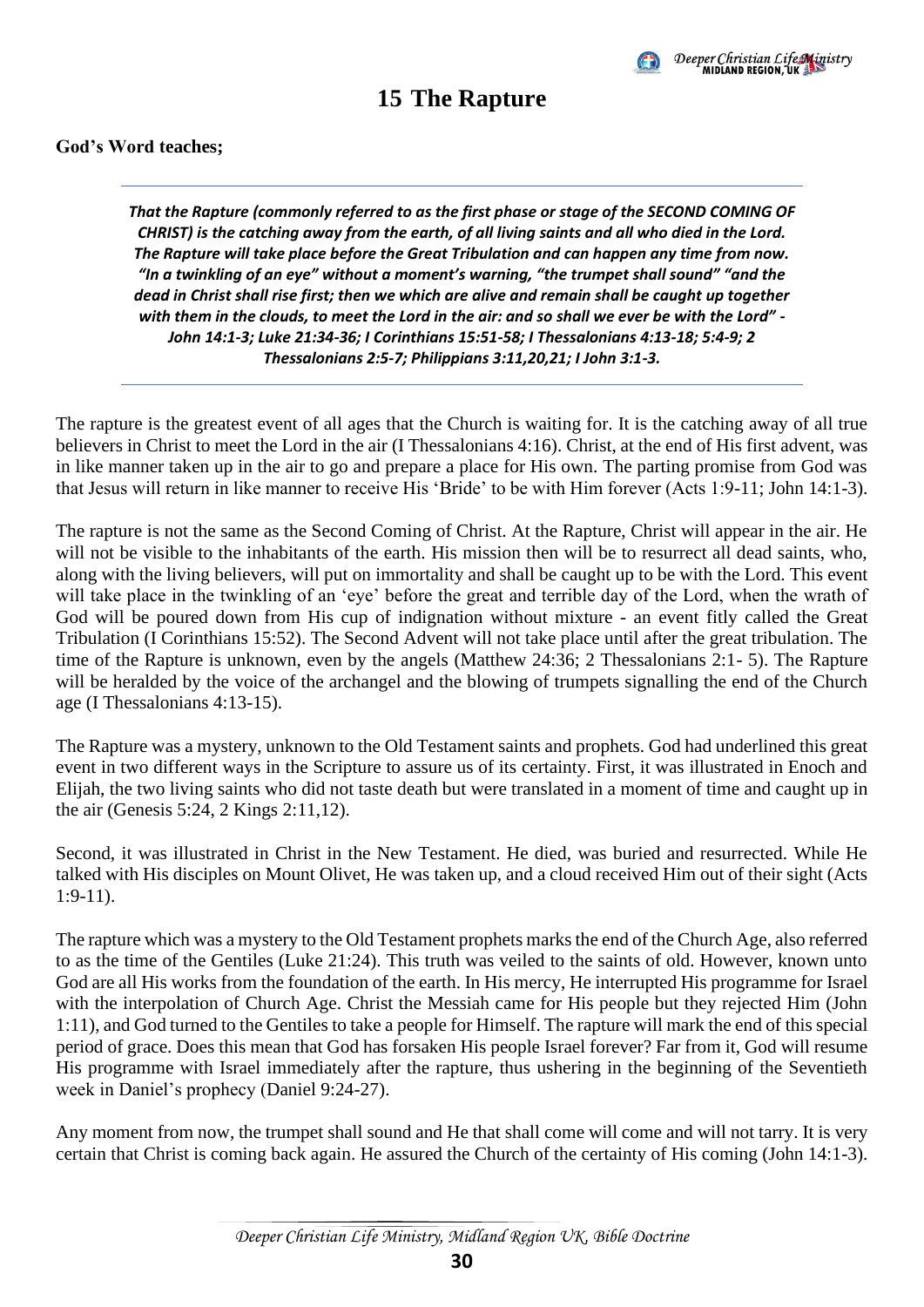

### **15 The Rapture**

#### <span id="page-33-0"></span>**God's Word teaches;**

*That the Rapture (commonly referred to as the first phase or stage of the SECOND COMING OF CHRIST) is the catching away from the earth, of all living saints and all who died in the Lord. The Rapture will take place before the Great Tribulation and can happen any time from now. "In a twinkling of an eye" without a moment's warning, "the trumpet shall sound" "and the dead in Christ shall rise first; then we which are alive and remain shall be caught up together with them in the clouds, to meet the Lord in the air: and so shall we ever be with the Lord" - John 14:1-3; Luke 21:34-36; I Corinthians 15:51-58; I Thessalonians 4:13-18; 5:4-9; 2 Thessalonians 2:5-7; Philippians 3:11,20,21; I John 3:1-3.*

The rapture is the greatest event of all ages that the Church is waiting for. It is the catching away of all true believers in Christ to meet the Lord in the air (I Thessalonians 4:16). Christ, at the end of His first advent, was in like manner taken up in the air to go and prepare a place for His own. The parting promise from God was that Jesus will return in like manner to receive His 'Bride' to be with Him forever (Acts 1:9-11; John 14:1-3).

The rapture is not the same as the Second Coming of Christ. At the Rapture, Christ will appear in the air. He will not be visible to the inhabitants of the earth. His mission then will be to resurrect all dead saints, who, along with the living believers, will put on immortality and shall be caught up to be with the Lord. This event will take place in the twinkling of an 'eye' before the great and terrible day of the Lord, when the wrath of God will be poured down from His cup of indignation without mixture - an event fitly called the Great Tribulation (I Corinthians 15:52). The Second Advent will not take place until after the great tribulation. The time of the Rapture is unknown, even by the angels (Matthew 24:36; 2 Thessalonians 2:1- 5). The Rapture will be heralded by the voice of the archangel and the blowing of trumpets signalling the end of the Church age (I Thessalonians 4:13-15).

The Rapture was a mystery, unknown to the Old Testament saints and prophets. God had underlined this great event in two different ways in the Scripture to assure us of its certainty. First, it was illustrated in Enoch and Elijah, the two living saints who did not taste death but were translated in a moment of time and caught up in the air (Genesis 5:24, 2 Kings 2:11,12).

Second, it was illustrated in Christ in the New Testament. He died, was buried and resurrected. While He talked with His disciples on Mount Olivet, He was taken up, and a cloud received Him out of their sight (Acts 1:9-11).

The rapture which was a mystery to the Old Testament prophets marks the end of the Church Age, also referred to as the time of the Gentiles (Luke 21:24). This truth was veiled to the saints of old. However, known unto God are all His works from the foundation of the earth. In His mercy, He interrupted His programme for Israel with the interpolation of Church Age. Christ the Messiah came for His people but they rejected Him (John 1:11), and God turned to the Gentiles to take a people for Himself. The rapture will mark the end of this special period of grace. Does this mean that God has forsaken His people Israel forever? Far from it, God will resume His programme with Israel immediately after the rapture, thus ushering in the beginning of the Seventieth week in Daniel's prophecy (Daniel 9:24-27).

Any moment from now, the trumpet shall sound and He that shall come will come and will not tarry. It is very certain that Christ is coming back again. He assured the Church of the certainty of His coming (John 14:1-3).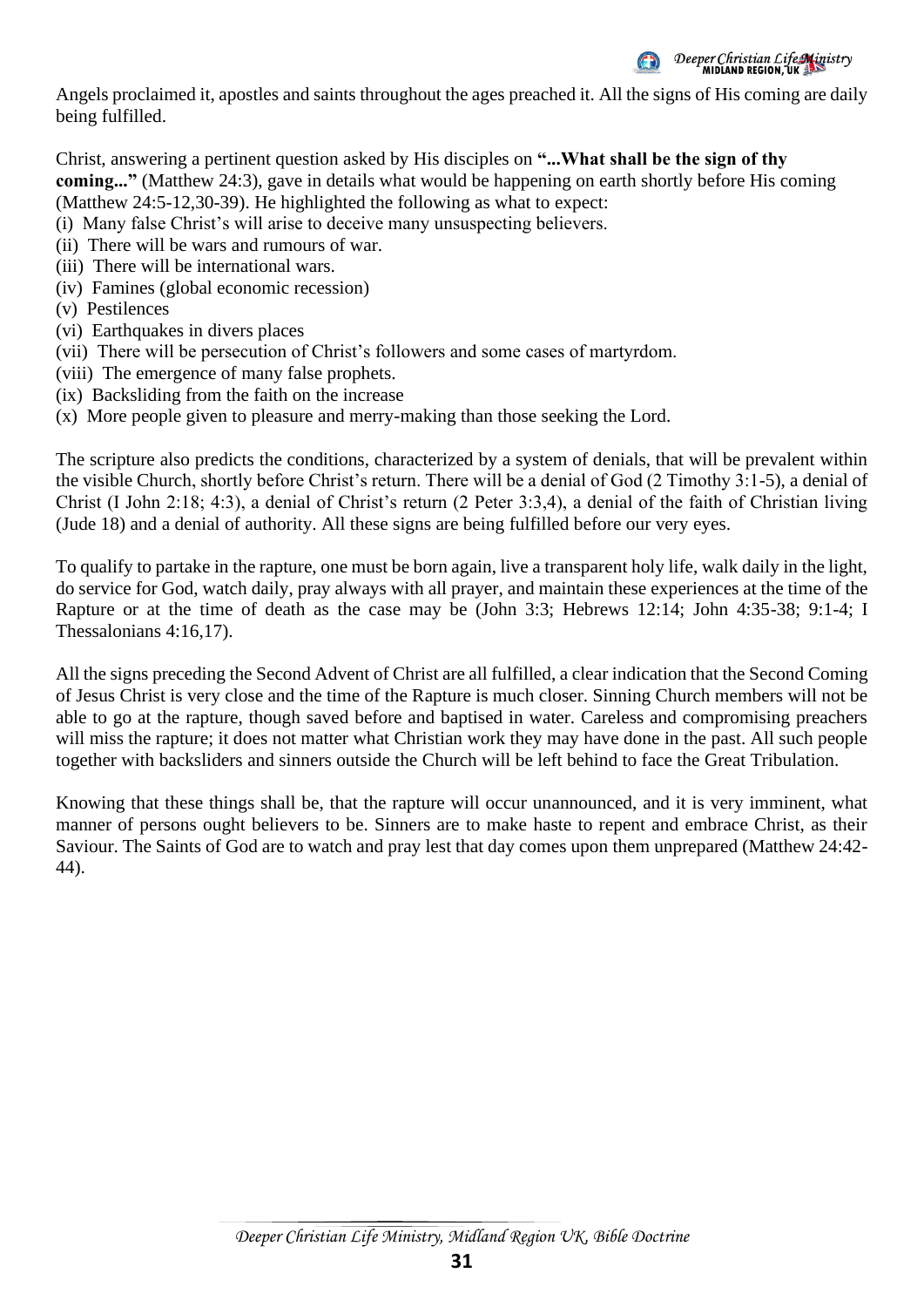

Angels proclaimed it, apostles and saints throughout the ages preached it. All the signs of His coming are daily being fulfilled.

Christ, answering a pertinent question asked by His disciples on **"...What shall be the sign of thy coming..."** (Matthew 24:3), gave in details what would be happening on earth shortly before His coming (Matthew 24:5-12,30-39). He highlighted the following as what to expect:

(i) Many false Christ's will arise to deceive many unsuspecting believers.

- (ii) There will be wars and rumours of war.
- (iii) There will be international wars.
- (iv) Famines (global economic recession)
- (v) Pestilences
- (vi) Earthquakes in divers places
- (vii) There will be persecution of Christ's followers and some cases of martyrdom.
- (viii) The emergence of many false prophets.
- (ix) Backsliding from the faith on the increase
- (x) More people given to pleasure and merry-making than those seeking the Lord.

The scripture also predicts the conditions, characterized by a system of denials, that will be prevalent within the visible Church, shortly before Christ's return. There will be a denial of God (2 Timothy 3:1-5), a denial of Christ (I John 2:18; 4:3), a denial of Christ's return (2 Peter 3:3,4), a denial of the faith of Christian living (Jude 18) and a denial of authority. All these signs are being fulfilled before our very eyes.

To qualify to partake in the rapture, one must be born again, live a transparent holy life, walk daily in the light, do service for God, watch daily, pray always with all prayer, and maintain these experiences at the time of the Rapture or at the time of death as the case may be (John 3:3; Hebrews 12:14; John 4:35-38; 9:1-4; I Thessalonians 4:16,17).

All the signs preceding the Second Advent of Christ are all fulfilled, a clear indication that the Second Coming of Jesus Christ is very close and the time of the Rapture is much closer. Sinning Church members will not be able to go at the rapture, though saved before and baptised in water. Careless and compromising preachers will miss the rapture; it does not matter what Christian work they may have done in the past. All such people together with backsliders and sinners outside the Church will be left behind to face the Great Tribulation.

Knowing that these things shall be, that the rapture will occur unannounced, and it is very imminent, what manner of persons ought believers to be. Sinners are to make haste to repent and embrace Christ, as their Saviour. The Saints of God are to watch and pray lest that day comes upon them unprepared (Matthew 24:42- 44).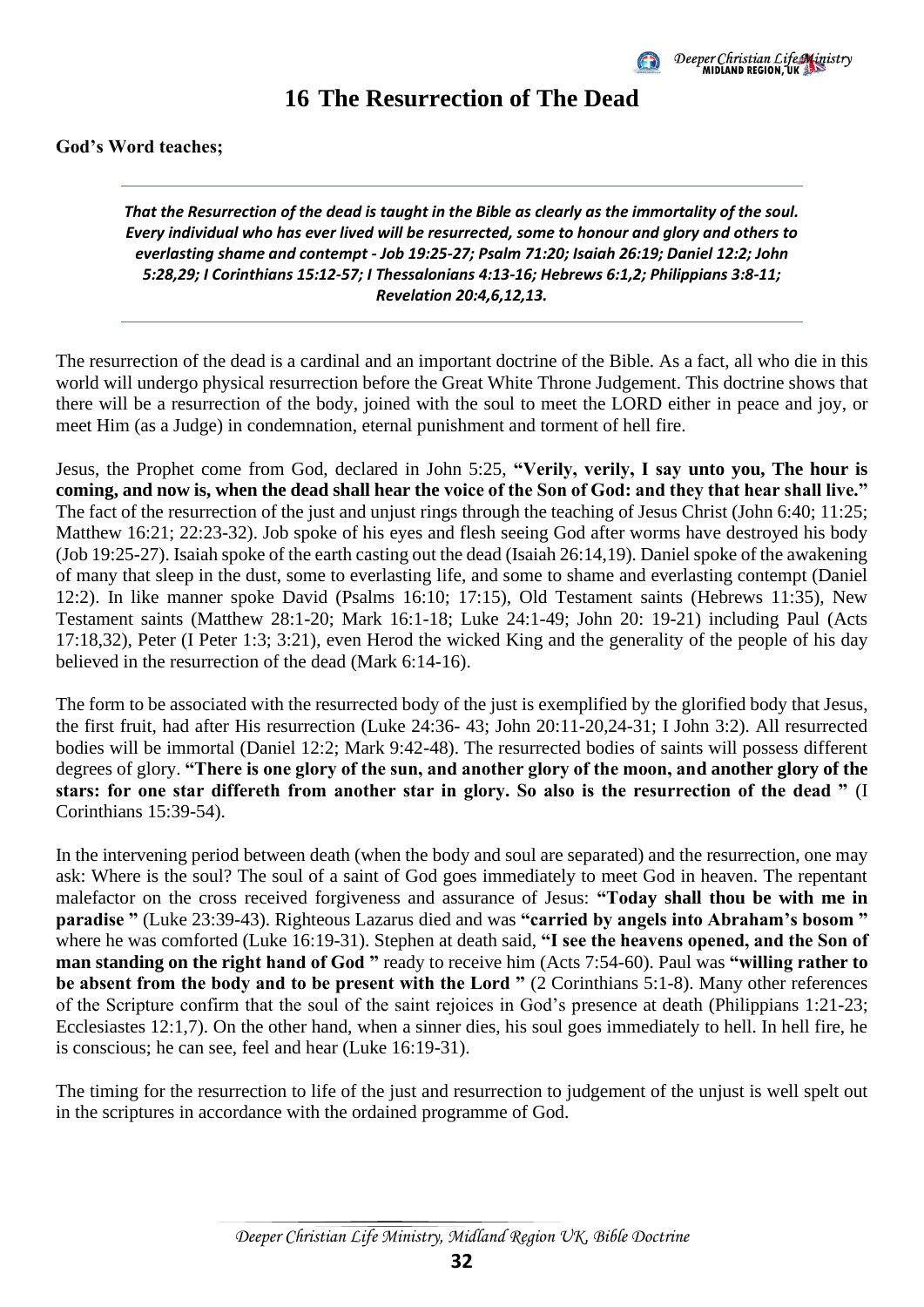

#### **16 The Resurrection of The Dead**

<span id="page-35-0"></span>**God's Word teaches;** 

*That the Resurrection of the dead is taught in the Bible as clearly as the immortality of the soul. Every individual who has ever lived will be resurrected, some to honour and glory and others to everlasting shame and contempt - Job 19:25-27; Psalm 71:20; Isaiah 26:19; Daniel 12:2; John 5:28,29; I Corinthians 15:12-57; I Thessalonians 4:13-16; Hebrews 6:1,2; Philippians 3:8-11; Revelation 20:4,6,12,13.*

The resurrection of the dead is a cardinal and an important doctrine of the Bible. As a fact, all who die in this world will undergo physical resurrection before the Great White Throne Judgement. This doctrine shows that there will be a resurrection of the body, joined with the soul to meet the LORD either in peace and joy, or meet Him (as a Judge) in condemnation, eternal punishment and torment of hell fire.

Jesus, the Prophet come from God, declared in John 5:25, **"Verily, verily, I say unto you, The hour is coming, and now is, when the dead shall hear the voice of the Son of God: and they that hear shall live."** The fact of the resurrection of the just and unjust rings through the teaching of Jesus Christ (John 6:40; 11:25; Matthew 16:21; 22:23-32). Job spoke of his eyes and flesh seeing God after worms have destroyed his body (Job 19:25-27). Isaiah spoke of the earth casting out the dead (Isaiah 26:14,19). Daniel spoke of the awakening of many that sleep in the dust, some to everlasting life, and some to shame and everlasting contempt (Daniel 12:2). In like manner spoke David (Psalms 16:10; 17:15), Old Testament saints (Hebrews 11:35), New Testament saints (Matthew 28:1-20; Mark 16:1-18; Luke 24:1-49; John 20: 19-21) including Paul (Acts 17:18,32), Peter (I Peter 1:3; 3:21), even Herod the wicked King and the generality of the people of his day believed in the resurrection of the dead (Mark 6:14-16).

The form to be associated with the resurrected body of the just is exemplified by the glorified body that Jesus, the first fruit, had after His resurrection (Luke 24:36- 43; John 20:11-20,24-31; I John 3:2). All resurrected bodies will be immortal (Daniel 12:2; Mark 9:42-48). The resurrected bodies of saints will possess different degrees of glory. **"There is one glory of the sun, and another glory of the moon, and another glory of the stars: for one star differeth from another star in glory. So also is the resurrection of the dead "** (I Corinthians 15:39-54).

In the intervening period between death (when the body and soul are separated) and the resurrection, one may ask: Where is the soul? The soul of a saint of God goes immediately to meet God in heaven. The repentant malefactor on the cross received forgiveness and assurance of Jesus: **"Today shall thou be with me in paradise "** (Luke 23:39-43). Righteous Lazarus died and was **"carried by angels into Abraham's bosom "** where he was comforted (Luke 16:19-31). Stephen at death said, **"I see the heavens opened, and the Son of man standing on the right hand of God "** ready to receive him (Acts 7:54-60). Paul was **"willing rather to be absent from the body and to be present with the Lord "** (2 Corinthians 5:1-8). Many other references of the Scripture confirm that the soul of the saint rejoices in God's presence at death (Philippians 1:21-23; Ecclesiastes 12:1,7). On the other hand, when a sinner dies, his soul goes immediately to hell. In hell fire, he is conscious; he can see, feel and hear (Luke 16:19-31).

The timing for the resurrection to life of the just and resurrection to judgement of the unjust is well spelt out in the scriptures in accordance with the ordained programme of God.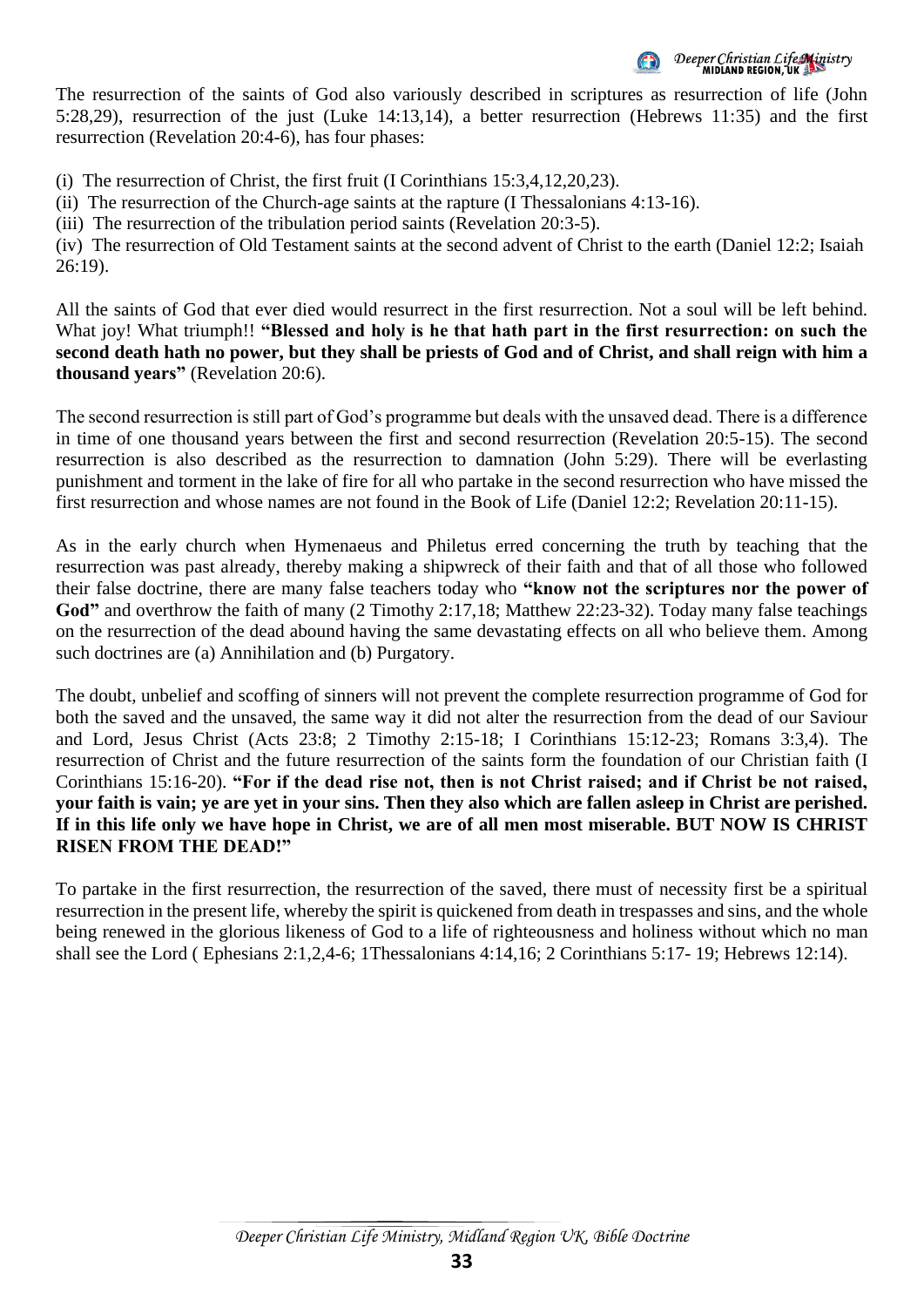Deeper Christian Life Ministry<br>MIDIAND REGION, UK

The resurrection of the saints of God also variously described in scriptures as resurrection of life (John 5:28,29), resurrection of the just (Luke 14:13,14), a better resurrection (Hebrews 11:35) and the first resurrection (Revelation 20:4-6), has four phases:

(i) The resurrection of Christ, the first fruit (I Corinthians 15:3,4,12,20,23).

(ii) The resurrection of the Church-age saints at the rapture (I Thessalonians 4:13-16).

(iii) The resurrection of the tribulation period saints (Revelation 20:3-5).

(iv) The resurrection of Old Testament saints at the second advent of Christ to the earth (Daniel 12:2; Isaiah 26:19).

All the saints of God that ever died would resurrect in the first resurrection. Not a soul will be left behind. What joy! What triumph!! "Blessed and holy is he that hath part in the first resurrection: on such the **second death hath no power, but they shall be priests of God and of Christ, and shall reign with him a thousand years"** (Revelation 20:6).

The second resurrection is still part of God's programme but deals with the unsaved dead. There is a difference in time of one thousand years between the first and second resurrection (Revelation 20:5-15). The second resurrection is also described as the resurrection to damnation (John 5:29). There will be everlasting punishment and torment in the lake of fire for all who partake in the second resurrection who have missed the first resurrection and whose names are not found in the Book of Life (Daniel 12:2; Revelation 20:11-15).

As in the early church when Hymenaeus and Philetus erred concerning the truth by teaching that the resurrection was past already, thereby making a shipwreck of their faith and that of all those who followed their false doctrine, there are many false teachers today who **"know not the scriptures nor the power of**  God" and overthrow the faith of many (2 Timothy 2:17,18; Matthew 22:23-32). Today many false teachings on the resurrection of the dead abound having the same devastating effects on all who believe them. Among such doctrines are (a) Annihilation and (b) Purgatory.

The doubt, unbelief and scoffing of sinners will not prevent the complete resurrection programme of God for both the saved and the unsaved, the same way it did not alter the resurrection from the dead of our Saviour and Lord, Jesus Christ (Acts 23:8; 2 Timothy 2:15-18; I Corinthians 15:12-23; Romans 3:3,4). The resurrection of Christ and the future resurrection of the saints form the foundation of our Christian faith (I Corinthians 15:16-20). **"For if the dead rise not, then is not Christ raised; and if Christ be not raised, your faith is vain; ye are yet in your sins. Then they also which are fallen asleep in Christ are perished. If in this life only we have hope in Christ, we are of all men most miserable. BUT NOW IS CHRIST RISEN FROM THE DEAD!"**

To partake in the first resurrection, the resurrection of the saved, there must of necessity first be a spiritual resurrection in the present life, whereby the spirit is quickened from death in trespasses and sins, and the whole being renewed in the glorious likeness of God to a life of righteousness and holiness without which no man shall see the Lord ( Ephesians 2:1,2,4-6; 1Thessalonians 4:14,16; 2 Corinthians 5:17- 19; Hebrews 12:14).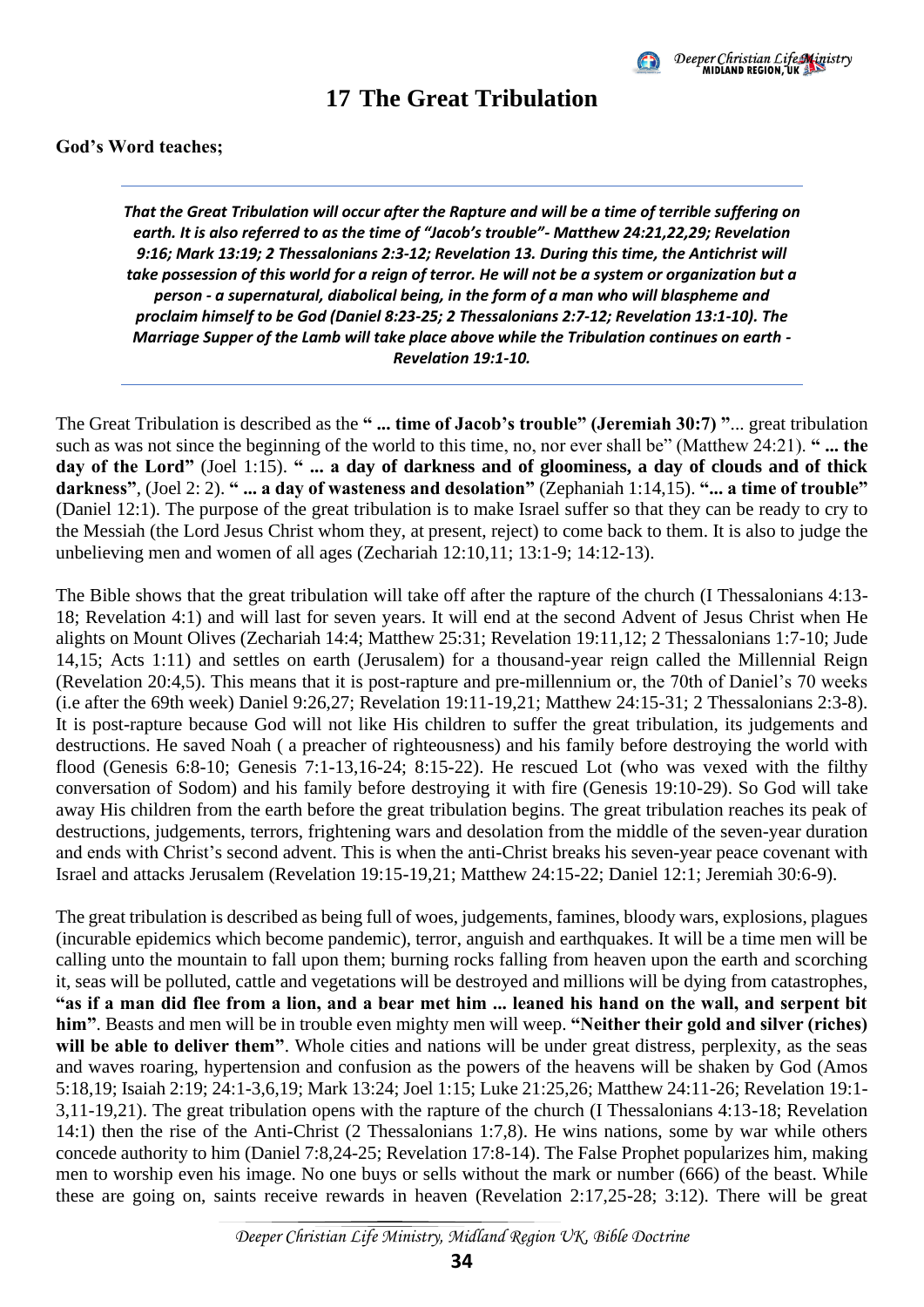

#### **17 The Great Tribulation**

#### <span id="page-37-0"></span>**God's Word teaches;**

*That the Great Tribulation will occur after the Rapture and will be a time of terrible suffering on earth. It is also referred to as the time of "Jacob's trouble"- Matthew 24:21,22,29; Revelation 9:16; Mark 13:19; 2 Thessalonians 2:3-12; Revelation 13. During this time, the Antichrist will take possession of this world for a reign of terror. He will not be a system or organization but a person - a supernatural, diabolical being, in the form of a man who will blaspheme and proclaim himself to be God (Daniel 8:23-25; 2 Thessalonians 2:7-12; Revelation 13:1-10). The Marriage Supper of the Lamb will take place above while the Tribulation continues on earth - Revelation 19:1-10.*

The Great Tribulation is described as the **" ... time of Jacob's trouble" (Jeremiah 30:7) "**... great tribulation such as was not since the beginning of the world to this time, no, nor ever shall be" (Matthew 24:21). " ... the **day of the Lord"** (Joel 1:15). **" ... a day of darkness and of gloominess, a day of clouds and of thick darkness"**, (Joel 2: 2). **" ... a day of wasteness and desolation"** (Zephaniah 1:14,15). **"... a time of trouble"** (Daniel 12:1). The purpose of the great tribulation is to make Israel suffer so that they can be ready to cry to the Messiah (the Lord Jesus Christ whom they, at present, reject) to come back to them. It is also to judge the unbelieving men and women of all ages (Zechariah 12:10,11; 13:1-9; 14:12-13).

The Bible shows that the great tribulation will take off after the rapture of the church (I Thessalonians 4:13- 18; Revelation 4:1) and will last for seven years. It will end at the second Advent of Jesus Christ when He alights on Mount Olives (Zechariah 14:4; Matthew 25:31; Revelation 19:11,12; 2 Thessalonians 1:7-10; Jude 14,15; Acts 1:11) and settles on earth (Jerusalem) for a thousand-year reign called the Millennial Reign (Revelation 20:4,5). This means that it is post-rapture and pre-millennium or, the 70th of Daniel's 70 weeks (i.e after the 69th week) Daniel 9:26,27; Revelation 19:11-19,21; Matthew 24:15-31; 2 Thessalonians 2:3-8). It is post-rapture because God will not like His children to suffer the great tribulation, its judgements and destructions. He saved Noah ( a preacher of righteousness) and his family before destroying the world with flood (Genesis 6:8-10; Genesis 7:1-13,16-24; 8:15-22). He rescued Lot (who was vexed with the filthy conversation of Sodom) and his family before destroying it with fire (Genesis 19:10-29). So God will take away His children from the earth before the great tribulation begins. The great tribulation reaches its peak of destructions, judgements, terrors, frightening wars and desolation from the middle of the seven-year duration and ends with Christ's second advent. This is when the anti-Christ breaks his seven-year peace covenant with Israel and attacks Jerusalem (Revelation 19:15-19,21; Matthew 24:15-22; Daniel 12:1; Jeremiah 30:6-9).

The great tribulation is described as being full of woes, judgements, famines, bloody wars, explosions, plagues (incurable epidemics which become pandemic), terror, anguish and earthquakes. It will be a time men will be calling unto the mountain to fall upon them; burning rocks falling from heaven upon the earth and scorching it, seas will be polluted, cattle and vegetations will be destroyed and millions will be dying from catastrophes, **"as if a man did flee from a lion, and a bear met him ... leaned his hand on the wall, and serpent bit him"**. Beasts and men will be in trouble even mighty men will weep. **"Neither their gold and silver (riches) will be able to deliver them"**. Whole cities and nations will be under great distress, perplexity, as the seas and waves roaring, hypertension and confusion as the powers of the heavens will be shaken by God (Amos 5:18,19; Isaiah 2:19; 24:1-3,6,19; Mark 13:24; Joel 1:15; Luke 21:25,26; Matthew 24:11-26; Revelation 19:1- 3,11-19,21). The great tribulation opens with the rapture of the church (I Thessalonians 4:13-18; Revelation 14:1) then the rise of the Anti-Christ (2 Thessalonians 1:7,8). He wins nations, some by war while others concede authority to him (Daniel 7:8,24-25; Revelation 17:8-14). The False Prophet popularizes him, making men to worship even his image. No one buys or sells without the mark or number (666) of the beast. While these are going on, saints receive rewards in heaven (Revelation 2:17,25-28; 3:12). There will be great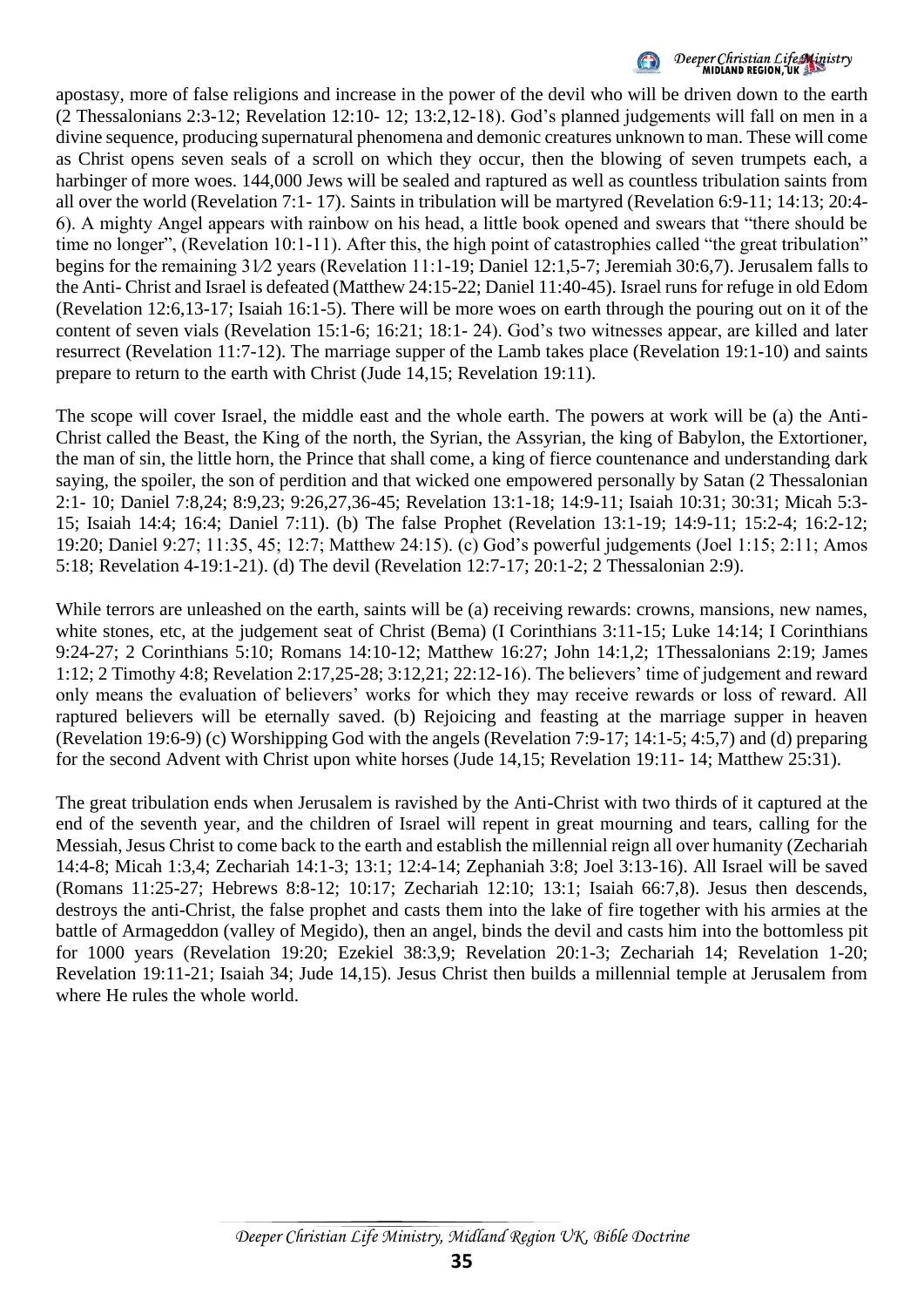

## Deeper Christian Life Ministry<br>MIDIAND REGION, UK

apostasy, more of false religions and increase in the power of the devil who will be driven down to the earth (2 Thessalonians 2:3-12; Revelation 12:10- 12; 13:2,12-18). God's planned judgements will fall on men in a divine sequence, producing supernatural phenomena and demonic creatures unknown to man. These will come as Christ opens seven seals of a scroll on which they occur, then the blowing of seven trumpets each, a harbinger of more woes. 144,000 Jews will be sealed and raptured as well as countless tribulation saints from all over the world (Revelation 7:1- 17). Saints in tribulation will be martyred (Revelation 6:9-11; 14:13; 20:4- 6). A mighty Angel appears with rainbow on his head, a little book opened and swears that "there should be time no longer", (Revelation 10:1-11). After this, the high point of catastrophies called "the great tribulation" begins for the remaining 31⁄2 years (Revelation 11:1-19; Daniel 12:1,5-7; Jeremiah 30:6,7). Jerusalem falls to the Anti- Christ and Israel is defeated (Matthew 24:15-22; Daniel 11:40-45). Israel runs for refuge in old Edom (Revelation 12:6,13-17; Isaiah 16:1-5). There will be more woes on earth through the pouring out on it of the content of seven vials (Revelation 15:1-6; 16:21; 18:1- 24). God's two witnesses appear, are killed and later resurrect (Revelation 11:7-12). The marriage supper of the Lamb takes place (Revelation 19:1-10) and saints prepare to return to the earth with Christ (Jude 14,15; Revelation 19:11).

The scope will cover Israel, the middle east and the whole earth. The powers at work will be (a) the Anti-Christ called the Beast, the King of the north, the Syrian, the Assyrian, the king of Babylon, the Extortioner, the man of sin, the little horn, the Prince that shall come, a king of fierce countenance and understanding dark saying, the spoiler, the son of perdition and that wicked one empowered personally by Satan (2 Thessalonian 2:1- 10; Daniel 7:8,24; 8:9,23; 9:26,27,36-45; Revelation 13:1-18; 14:9-11; Isaiah 10:31; 30:31; Micah 5:3- 15; Isaiah 14:4; 16:4; Daniel 7:11). (b) The false Prophet (Revelation 13:1-19; 14:9-11; 15:2-4; 16:2-12; 19:20; Daniel 9:27; 11:35, 45; 12:7; Matthew 24:15). (c) God's powerful judgements (Joel 1:15; 2:11; Amos 5:18; Revelation 4-19:1-21). (d) The devil (Revelation 12:7-17; 20:1-2; 2 Thessalonian 2:9).

While terrors are unleashed on the earth, saints will be (a) receiving rewards: crowns, mansions, new names, white stones, etc, at the judgement seat of Christ (Bema) (I Corinthians 3:11-15; Luke 14:14; I Corinthians 9:24-27; 2 Corinthians 5:10; Romans 14:10-12; Matthew 16:27; John 14:1,2; 1Thessalonians 2:19; James 1:12; 2 Timothy 4:8; Revelation 2:17,25-28; 3:12,21; 22:12-16). The believers' time of judgement and reward only means the evaluation of believers' works for which they may receive rewards or loss of reward. All raptured believers will be eternally saved. (b) Rejoicing and feasting at the marriage supper in heaven (Revelation 19:6-9) (c) Worshipping God with the angels (Revelation 7:9-17; 14:1-5; 4:5,7) and (d) preparing for the second Advent with Christ upon white horses (Jude 14,15; Revelation 19:11- 14; Matthew 25:31).

The great tribulation ends when Jerusalem is ravished by the Anti-Christ with two thirds of it captured at the end of the seventh year, and the children of Israel will repent in great mourning and tears, calling for the Messiah, Jesus Christ to come back to the earth and establish the millennial reign all over humanity (Zechariah 14:4-8; Micah 1:3,4; Zechariah 14:1-3; 13:1; 12:4-14; Zephaniah 3:8; Joel 3:13-16). All Israel will be saved (Romans 11:25-27; Hebrews 8:8-12; 10:17; Zechariah 12:10; 13:1; Isaiah 66:7,8). Jesus then descends, destroys the anti-Christ, the false prophet and casts them into the lake of fire together with his armies at the battle of Armageddon (valley of Megido), then an angel, binds the devil and casts him into the bottomless pit for 1000 years (Revelation 19:20; Ezekiel 38:3,9; Revelation 20:1-3; Zechariah 14; Revelation 1-20; Revelation 19:11-21; Isaiah 34; Jude 14,15). Jesus Christ then builds a millennial temple at Jerusalem from where He rules the whole world.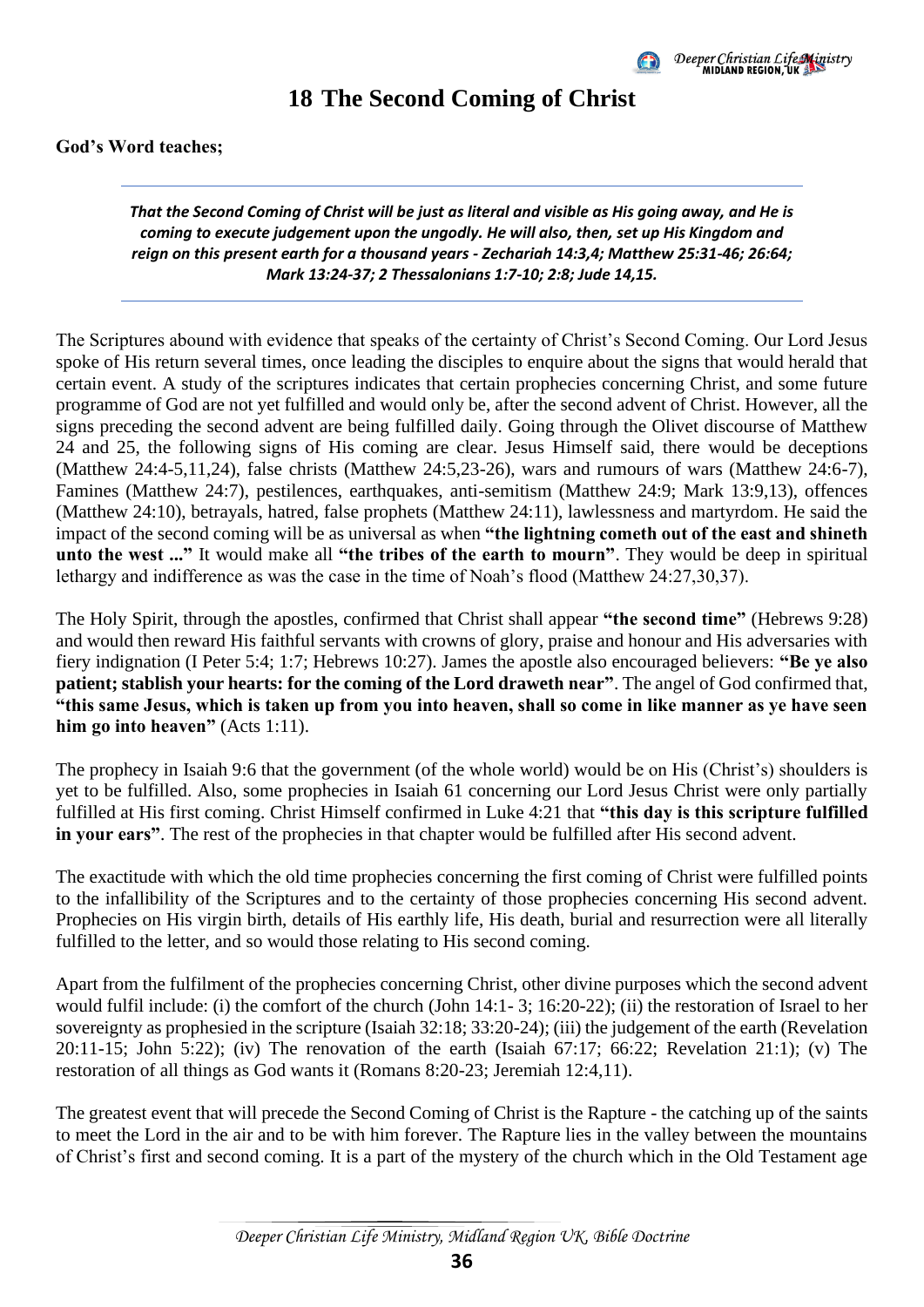

### **18 The Second Coming of Christ**

<span id="page-39-0"></span>**God's Word teaches;** 

*That the Second Coming of Christ will be just as literal and visible as His going away, and He is coming to execute judgement upon the ungodly. He will also, then, set up His Kingdom and reign on this present earth for a thousand years - Zechariah 14:3,4; Matthew 25:31-46; 26:64; Mark 13:24-37; 2 Thessalonians 1:7-10; 2:8; Jude 14,15.*

The Scriptures abound with evidence that speaks of the certainty of Christ's Second Coming. Our Lord Jesus spoke of His return several times, once leading the disciples to enquire about the signs that would herald that certain event. A study of the scriptures indicates that certain prophecies concerning Christ, and some future programme of God are not yet fulfilled and would only be, after the second advent of Christ. However, all the signs preceding the second advent are being fulfilled daily. Going through the Olivet discourse of Matthew 24 and 25, the following signs of His coming are clear. Jesus Himself said, there would be deceptions (Matthew 24:4-5,11,24), false christs (Matthew 24:5,23-26), wars and rumours of wars (Matthew 24:6-7), Famines (Matthew 24:7), pestilences, earthquakes, anti-semitism (Matthew 24:9; Mark 13:9,13), offences (Matthew 24:10), betrayals, hatred, false prophets (Matthew 24:11), lawlessness and martyrdom. He said the impact of the second coming will be as universal as when **"the lightning cometh out of the east and shineth unto the west ..."** It would make all **"the tribes of the earth to mourn"**. They would be deep in spiritual lethargy and indifference as was the case in the time of Noah's flood (Matthew 24:27,30,37).

The Holy Spirit, through the apostles, confirmed that Christ shall appear **"the second time"** (Hebrews 9:28) and would then reward His faithful servants with crowns of glory, praise and honour and His adversaries with fiery indignation (I Peter 5:4; 1:7; Hebrews 10:27). James the apostle also encouraged believers: **"Be ye also patient; stablish your hearts: for the coming of the Lord draweth near"**. The angel of God confirmed that, **"this same Jesus, which is taken up from you into heaven, shall so come in like manner as ye have seen him go into heaven"** (Acts 1:11).

The prophecy in Isaiah 9:6 that the government (of the whole world) would be on His (Christ's) shoulders is yet to be fulfilled. Also, some prophecies in Isaiah 61 concerning our Lord Jesus Christ were only partially fulfilled at His first coming. Christ Himself confirmed in Luke 4:21 that **"this day is this scripture fulfilled in** your ears". The rest of the prophecies in that chapter would be fulfilled after His second advent.

The exactitude with which the old time prophecies concerning the first coming of Christ were fulfilled points to the infallibility of the Scriptures and to the certainty of those prophecies concerning His second advent. Prophecies on His virgin birth, details of His earthly life, His death, burial and resurrection were all literally fulfilled to the letter, and so would those relating to His second coming.

Apart from the fulfilment of the prophecies concerning Christ, other divine purposes which the second advent would fulfil include: (i) the comfort of the church (John 14:1- 3; 16:20-22); (ii) the restoration of Israel to her sovereignty as prophesied in the scripture (Isaiah 32:18; 33:20-24); (iii) the judgement of the earth (Revelation 20:11-15; John 5:22); (iv) The renovation of the earth (Isaiah 67:17; 66:22; Revelation 21:1); (v) The restoration of all things as God wants it (Romans 8:20-23; Jeremiah 12:4,11).

The greatest event that will precede the Second Coming of Christ is the Rapture - the catching up of the saints to meet the Lord in the air and to be with him forever. The Rapture lies in the valley between the mountains of Christ's first and second coming. It is a part of the mystery of the church which in the Old Testament age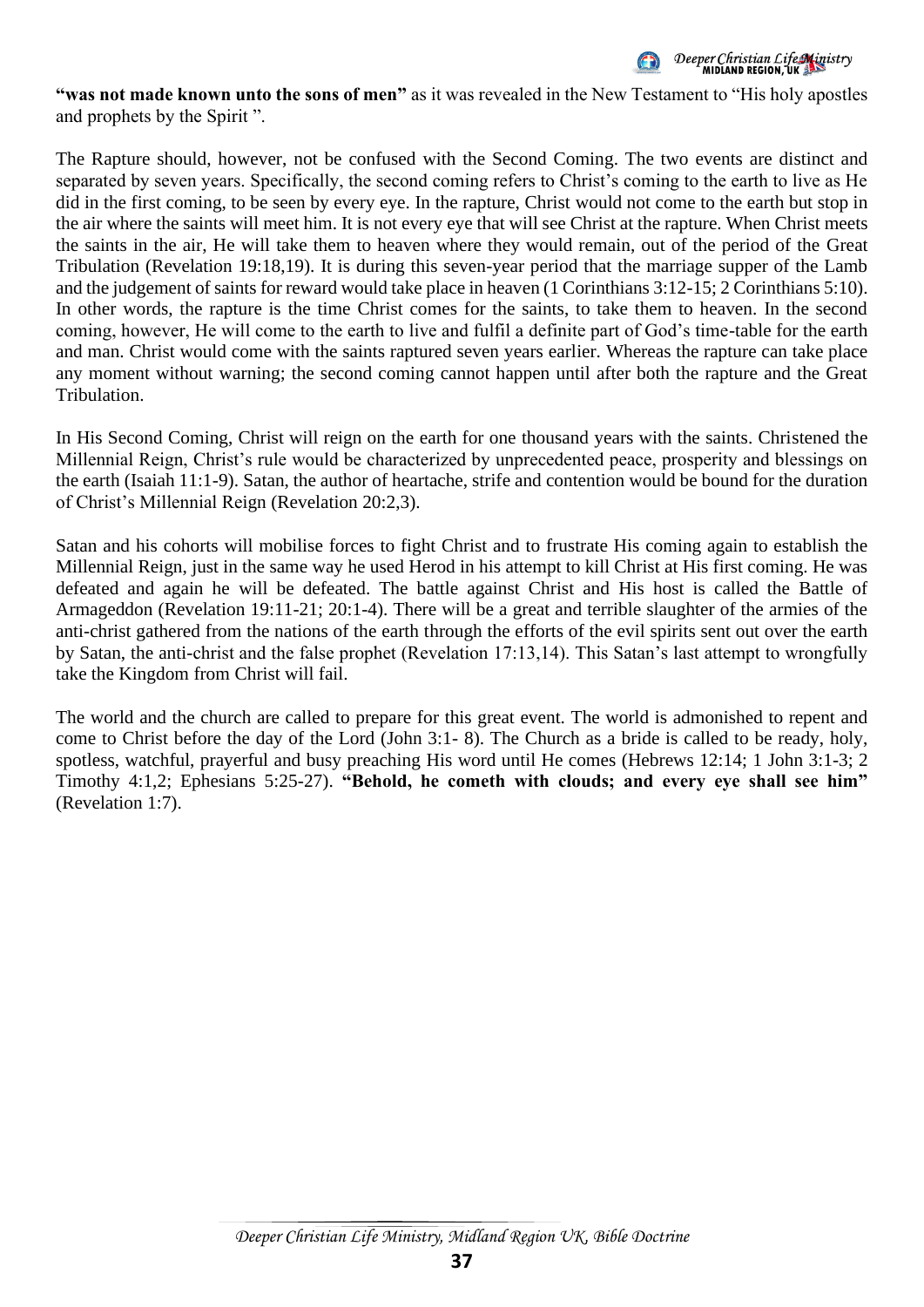

**"was not made known unto the sons of men"** as it was revealed in the New Testament to "His holy apostles and prophets by the Spirit ".

The Rapture should, however, not be confused with the Second Coming. The two events are distinct and separated by seven years. Specifically, the second coming refers to Christ's coming to the earth to live as He did in the first coming, to be seen by every eye. In the rapture, Christ would not come to the earth but stop in the air where the saints will meet him. It is not every eye that will see Christ at the rapture. When Christ meets the saints in the air, He will take them to heaven where they would remain, out of the period of the Great Tribulation (Revelation 19:18,19). It is during this seven-year period that the marriage supper of the Lamb and the judgement of saints for reward would take place in heaven (1 Corinthians 3:12-15; 2 Corinthians 5:10). In other words, the rapture is the time Christ comes for the saints, to take them to heaven. In the second coming, however, He will come to the earth to live and fulfil a definite part of God's time-table for the earth and man. Christ would come with the saints raptured seven years earlier. Whereas the rapture can take place any moment without warning; the second coming cannot happen until after both the rapture and the Great Tribulation.

In His Second Coming, Christ will reign on the earth for one thousand years with the saints. Christened the Millennial Reign, Christ's rule would be characterized by unprecedented peace, prosperity and blessings on the earth (Isaiah 11:1-9). Satan, the author of heartache, strife and contention would be bound for the duration of Christ's Millennial Reign (Revelation 20:2,3).

Satan and his cohorts will mobilise forces to fight Christ and to frustrate His coming again to establish the Millennial Reign, just in the same way he used Herod in his attempt to kill Christ at His first coming. He was defeated and again he will be defeated. The battle against Christ and His host is called the Battle of Armageddon (Revelation 19:11-21; 20:1-4). There will be a great and terrible slaughter of the armies of the anti-christ gathered from the nations of the earth through the efforts of the evil spirits sent out over the earth by Satan, the anti-christ and the false prophet (Revelation 17:13,14). This Satan's last attempt to wrongfully take the Kingdom from Christ will fail.

The world and the church are called to prepare for this great event. The world is admonished to repent and come to Christ before the day of the Lord (John 3:1- 8). The Church as a bride is called to be ready, holy, spotless, watchful, prayerful and busy preaching His word until He comes (Hebrews 12:14; 1 John 3:1-3; 2 Timothy 4:1,2; Ephesians 5:25-27). **"Behold, he cometh with clouds; and every eye shall see him"** (Revelation 1:7).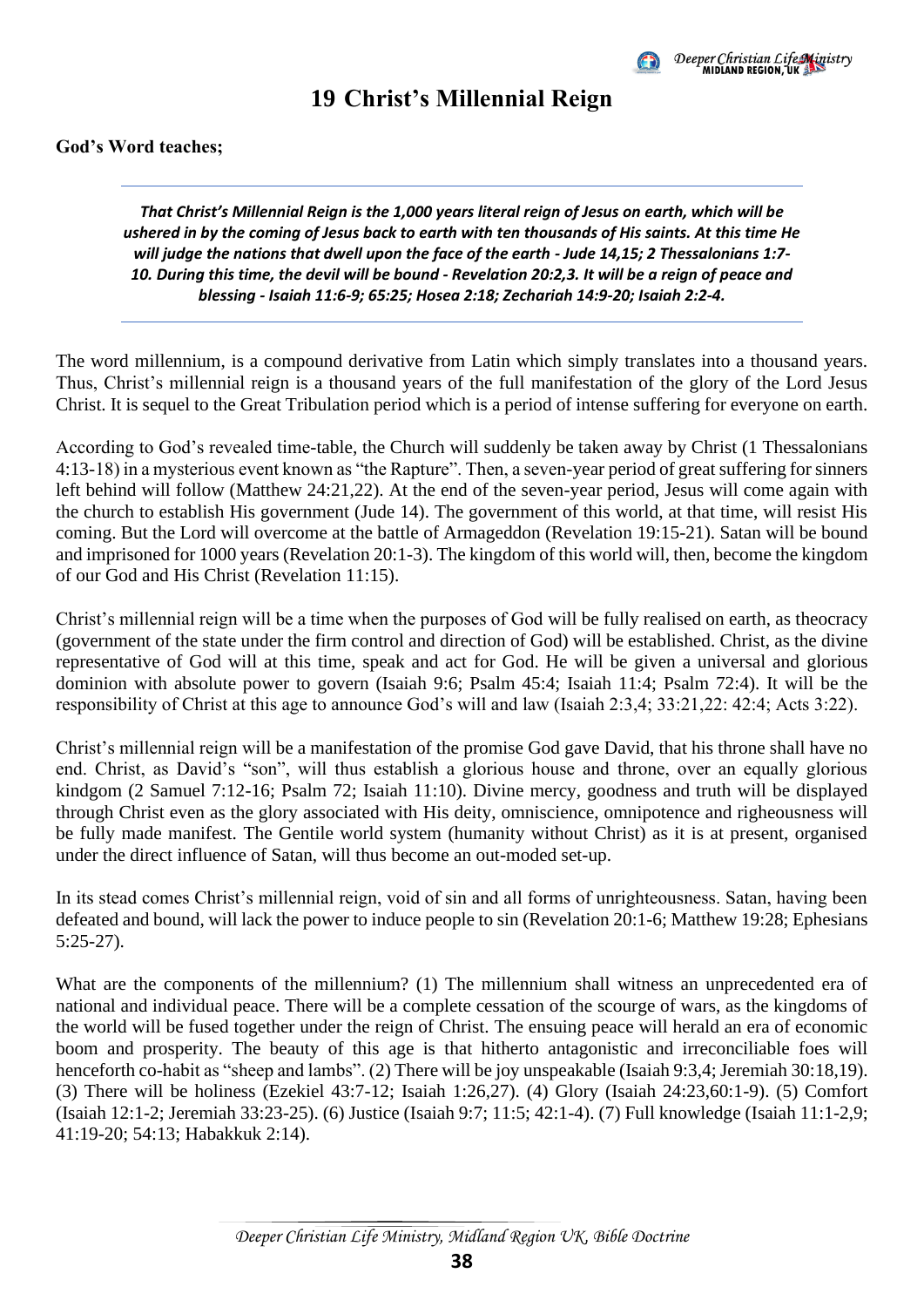

### **19 Christ's Millennial Reign**

#### <span id="page-41-0"></span>**God's Word teaches;**

*That Christ's Millennial Reign is the 1,000 years literal reign of Jesus on earth, which will be ushered in by the coming of Jesus back to earth with ten thousands of His saints. At this time He will judge the nations that dwell upon the face of the earth - Jude 14,15; 2 Thessalonians 1:7- 10. During this time, the devil will be bound - Revelation 20:2,3. It will be a reign of peace and blessing - Isaiah 11:6-9; 65:25; Hosea 2:18; Zechariah 14:9-20; Isaiah 2:2-4.*

The word millennium, is a compound derivative from Latin which simply translates into a thousand years. Thus, Christ's millennial reign is a thousand years of the full manifestation of the glory of the Lord Jesus Christ. It is sequel to the Great Tribulation period which is a period of intense suffering for everyone on earth.

According to God's revealed time-table, the Church will suddenly be taken away by Christ (1 Thessalonians 4:13-18) in a mysterious event known as "the Rapture". Then, a seven-year period of great suffering for sinners left behind will follow (Matthew 24:21,22). At the end of the seven-year period, Jesus will come again with the church to establish His government (Jude 14). The government of this world, at that time, will resist His coming. But the Lord will overcome at the battle of Armageddon (Revelation 19:15-21). Satan will be bound and imprisoned for 1000 years (Revelation 20:1-3). The kingdom of this world will, then, become the kingdom of our God and His Christ (Revelation 11:15).

Christ's millennial reign will be a time when the purposes of God will be fully realised on earth, as theocracy (government of the state under the firm control and direction of God) will be established. Christ, as the divine representative of God will at this time, speak and act for God. He will be given a universal and glorious dominion with absolute power to govern (Isaiah 9:6; Psalm 45:4; Isaiah 11:4; Psalm 72:4). It will be the responsibility of Christ at this age to announce God's will and law (Isaiah 2:3,4; 33:21,22: 42:4; Acts 3:22).

Christ's millennial reign will be a manifestation of the promise God gave David, that his throne shall have no end. Christ, as David's "son", will thus establish a glorious house and throne, over an equally glorious kindgom (2 Samuel 7:12-16; Psalm 72; Isaiah 11:10). Divine mercy, goodness and truth will be displayed through Christ even as the glory associated with His deity, omniscience, omnipotence and righeousness will be fully made manifest. The Gentile world system (humanity without Christ) as it is at present, organised under the direct influence of Satan, will thus become an out-moded set-up.

In its stead comes Christ's millennial reign, void of sin and all forms of unrighteousness. Satan, having been defeated and bound, will lack the power to induce people to sin (Revelation 20:1-6; Matthew 19:28; Ephesians 5:25-27).

What are the components of the millennium? (1) The millennium shall witness an unprecedented era of national and individual peace. There will be a complete cessation of the scourge of wars, as the kingdoms of the world will be fused together under the reign of Christ. The ensuing peace will herald an era of economic boom and prosperity. The beauty of this age is that hitherto antagonistic and irreconciliable foes will henceforth co-habit as "sheep and lambs". (2) There will be joy unspeakable (Isaiah 9:3,4; Jeremiah 30:18,19). (3) There will be holiness (Ezekiel 43:7-12; Isaiah 1:26,27). (4) Glory (Isaiah 24:23,60:1-9). (5) Comfort (Isaiah 12:1-2; Jeremiah 33:23-25). (6) Justice (Isaiah 9:7; 11:5; 42:1-4). (7) Full knowledge (Isaiah 11:1-2,9; 41:19-20; 54:13; Habakkuk 2:14).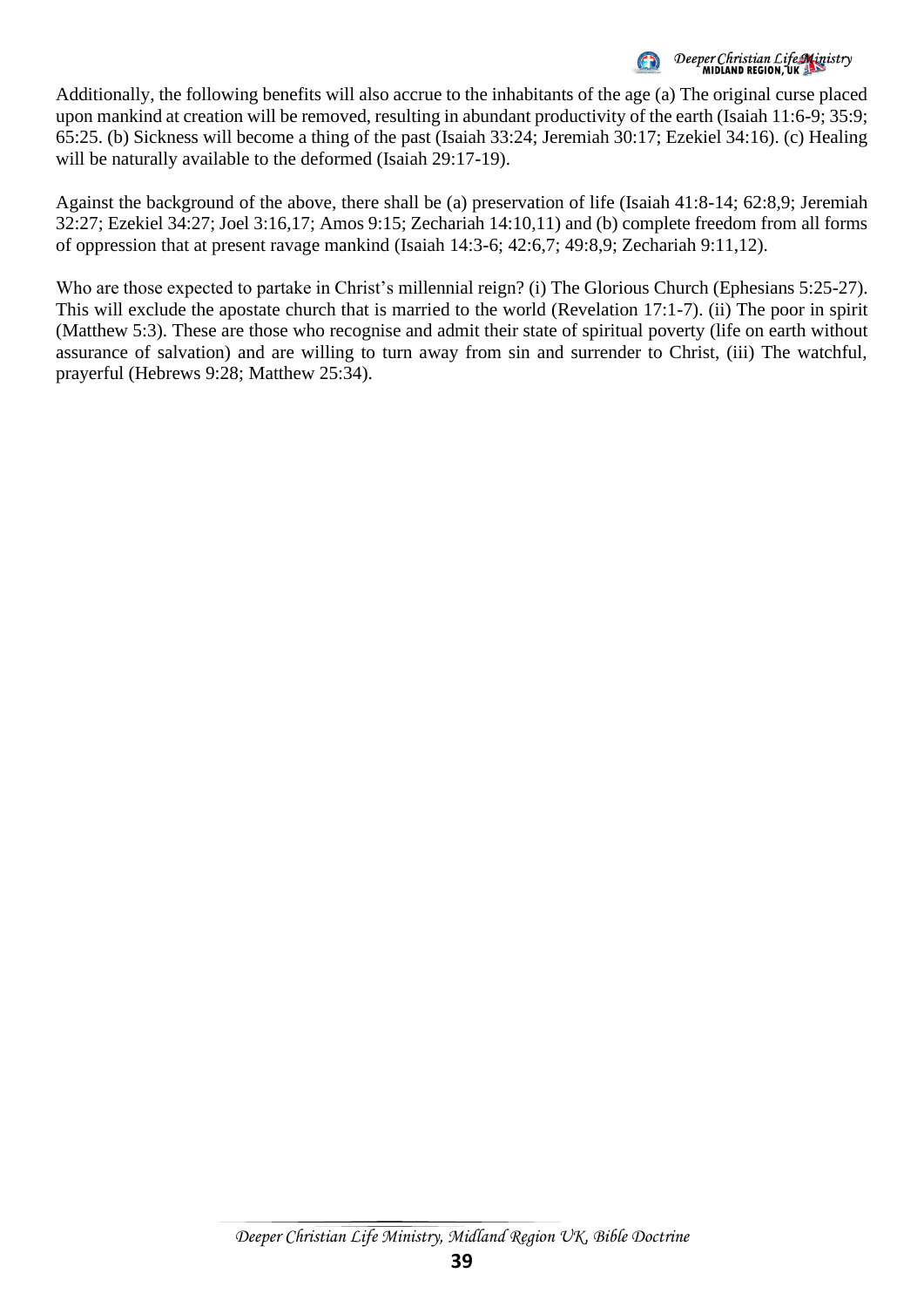Deeper Christian Life Ministry<br>MIDIAND REGION, UK

Additionally, the following benefits will also accrue to the inhabitants of the age (a) The original curse placed upon mankind at creation will be removed, resulting in abundant productivity of the earth (Isaiah 11:6-9; 35:9; 65:25. (b) Sickness will become a thing of the past (Isaiah 33:24; Jeremiah 30:17; Ezekiel 34:16). (c) Healing will be naturally available to the deformed (Isaiah 29:17-19).

Against the background of the above, there shall be (a) preservation of life (Isaiah 41:8-14; 62:8,9; Jeremiah 32:27; Ezekiel 34:27; Joel 3:16,17; Amos 9:15; Zechariah 14:10,11) and (b) complete freedom from all forms of oppression that at present ravage mankind (Isaiah 14:3-6; 42:6,7; 49:8,9; Zechariah 9:11,12).

Who are those expected to partake in Christ's millennial reign? (i) The Glorious Church (Ephesians 5:25-27). This will exclude the apostate church that is married to the world (Revelation 17:1-7). (ii) The poor in spirit (Matthew 5:3). These are those who recognise and admit their state of spiritual poverty (life on earth without assurance of salvation) and are willing to turn away from sin and surrender to Christ, (iii) The watchful, prayerful (Hebrews 9:28; Matthew 25:34).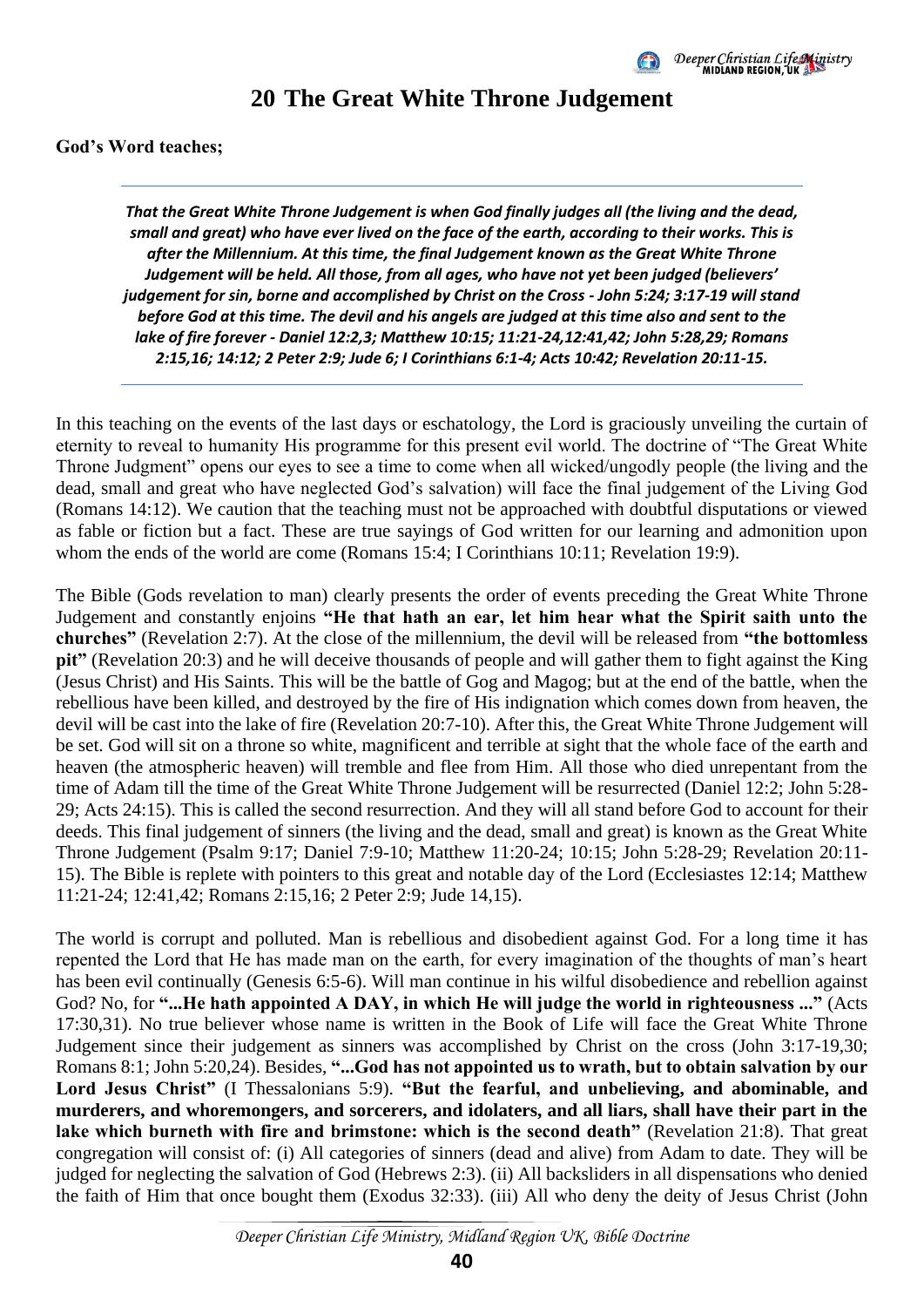

#### **20 The Great White Throne Judgement**

#### <span id="page-43-0"></span>**God's Word teaches;**

*That the Great White Throne Judgement is when God finally judges all (the living and the dead, small and great) who have ever lived on the face of the earth, according to their works. This is after the Millennium. At this time, the final Judgement known as the Great White Throne Judgement will be held. All those, from all ages, who have not yet been judged (believers' judgement for sin, borne and accomplished by Christ on the Cross - John 5:24; 3:17-19 will stand before God at this time. The devil and his angels are judged at this time also and sent to the lake of fire forever - Daniel 12:2,3; Matthew 10:15; 11:21-24,12:41,42; John 5:28,29; Romans 2:15,16; 14:12; 2 Peter 2:9; Jude 6; I Corinthians 6:1-4; Acts 10:42; Revelation 20:11-15.*

In this teaching on the events of the last days or eschatology, the Lord is graciously unveiling the curtain of eternity to reveal to humanity His programme for this present evil world. The doctrine of "The Great White Throne Judgment" opens our eyes to see a time to come when all wicked/ungodly people (the living and the dead, small and great who have neglected God's salvation) will face the final judgement of the Living God (Romans 14:12). We caution that the teaching must not be approached with doubtful disputations or viewed as fable or fiction but a fact. These are true sayings of God written for our learning and admonition upon whom the ends of the world are come (Romans 15:4; I Corinthians 10:11; Revelation 19:9).

The Bible (Gods revelation to man) clearly presents the order of events preceding the Great White Throne Judgement and constantly enjoins **"He that hath an ear, let him hear what the Spirit saith unto the churches"** (Revelation 2:7). At the close of the millennium, the devil will be released from **"the bottomless pit"** (Revelation 20:3) and he will deceive thousands of people and will gather them to fight against the King (Jesus Christ) and His Saints. This will be the battle of Gog and Magog; but at the end of the battle, when the rebellious have been killed, and destroyed by the fire of His indignation which comes down from heaven, the devil will be cast into the lake of fire (Revelation 20:7-10). After this, the Great White Throne Judgement will be set. God will sit on a throne so white, magnificent and terrible at sight that the whole face of the earth and heaven (the atmospheric heaven) will tremble and flee from Him. All those who died unrepentant from the time of Adam till the time of the Great White Throne Judgement will be resurrected (Daniel 12:2; John 5:28- 29; Acts 24:15). This is called the second resurrection. And they will all stand before God to account for their deeds. This final judgement of sinners (the living and the dead, small and great) is known as the Great White Throne Judgement (Psalm 9:17; Daniel 7:9-10; Matthew 11:20-24; 10:15; John 5:28-29; Revelation 20:11- 15). The Bible is replete with pointers to this great and notable day of the Lord (Ecclesiastes 12:14; Matthew 11:21-24; 12:41,42; Romans 2:15,16; 2 Peter 2:9; Jude 14,15).

The world is corrupt and polluted. Man is rebellious and disobedient against God. For a long time it has repented the Lord that He has made man on the earth, for every imagination of the thoughts of man's heart has been evil continually (Genesis 6:5-6). Will man continue in his wilful disobedience and rebellion against God? No, for **"...He hath appointed A DAY, in which He will judge the world in righteousness ..."** (Acts 17:30,31). No true believer whose name is written in the Book of Life will face the Great White Throne Judgement since their judgement as sinners was accomplished by Christ on the cross (John 3:17-19,30; Romans 8:1; John 5:20,24). Besides, **"...God has not appointed us to wrath, but to obtain salvation by our Lord Jesus Christ"** (I Thessalonians 5:9). **"But the fearful, and unbelieving, and abominable, and murderers, and whoremongers, and sorcerers, and idolaters, and all liars, shall have their part in the lake which burneth with fire and brimstone: which is the second death"** (Revelation 21:8). That great congregation will consist of: (i) All categories of sinners (dead and alive) from Adam to date. They will be judged for neglecting the salvation of God (Hebrews 2:3). (ii) All backsliders in all dispensations who denied the faith of Him that once bought them (Exodus 32:33). (iii) All who deny the deity of Jesus Christ (John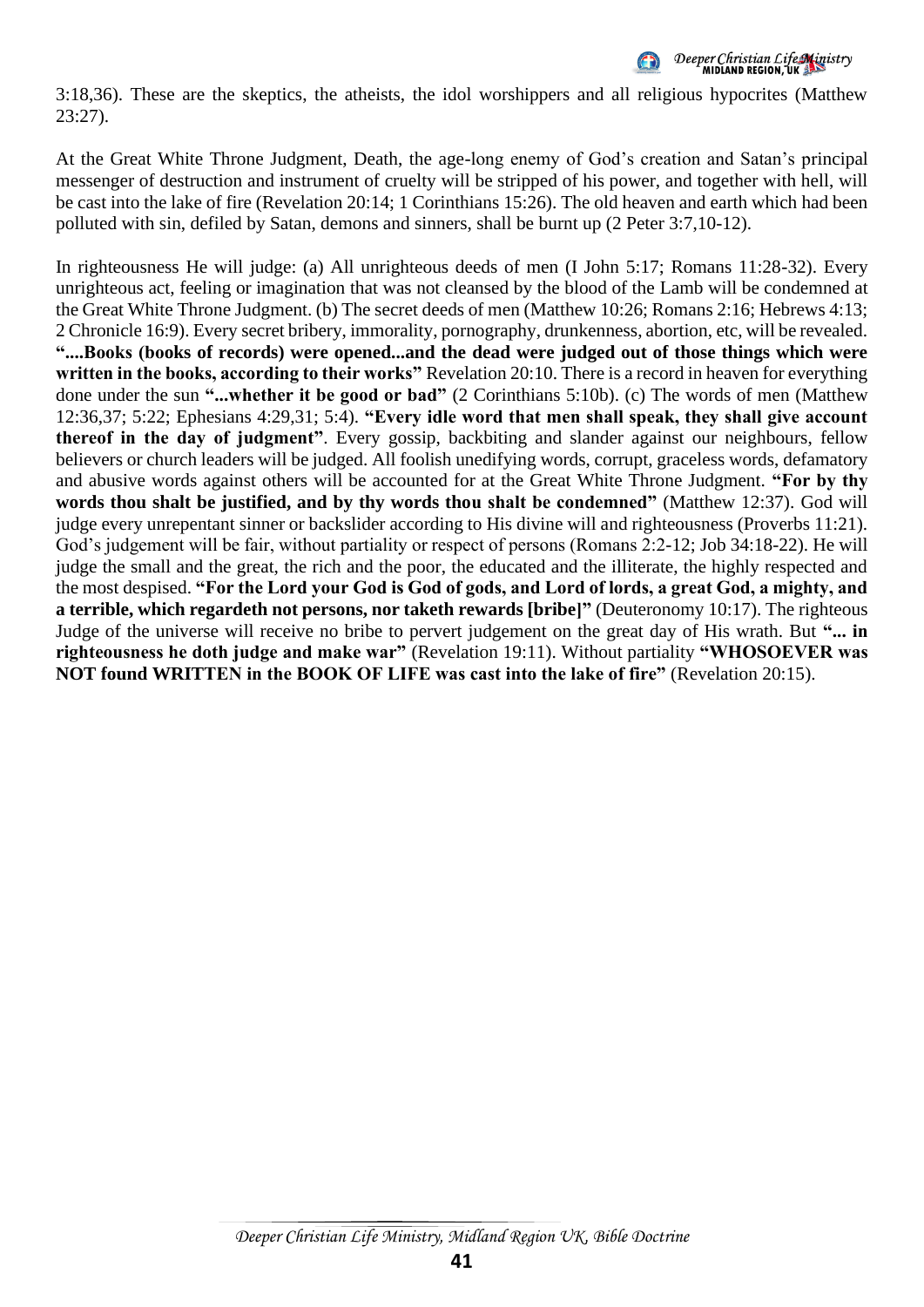

3:18,36). These are the skeptics, the atheists, the idol worshippers and all religious hypocrites (Matthew 23:27).

At the Great White Throne Judgment, Death, the age-long enemy of God's creation and Satan's principal messenger of destruction and instrument of cruelty will be stripped of his power, and together with hell, will be cast into the lake of fire (Revelation 20:14; 1 Corinthians 15:26). The old heaven and earth which had been polluted with sin, defiled by Satan, demons and sinners, shall be burnt up (2 Peter 3:7,10-12).

In righteousness He will judge: (a) All unrighteous deeds of men (I John 5:17; Romans 11:28-32). Every unrighteous act, feeling or imagination that was not cleansed by the blood of the Lamb will be condemned at the Great White Throne Judgment. (b) The secret deeds of men (Matthew 10:26; Romans 2:16; Hebrews 4:13; 2 Chronicle 16:9). Every secret bribery, immorality, pornography, drunkenness, abortion, etc, will be revealed. **"....Books (books of records) were opened...and the dead were judged out of those things which were written in the books, according to their works"** Revelation 20:10. There is a record in heaven for everything done under the sun **"...whether it be good or bad"** (2 Corinthians 5:10b). (c) The words of men (Matthew 12:36,37; 5:22; Ephesians 4:29,31; 5:4). **"Every idle word that men shall speak, they shall give account thereof in the day of judgment"**. Every gossip, backbiting and slander against our neighbours, fellow believers or church leaders will be judged. All foolish unedifying words, corrupt, graceless words, defamatory and abusive words against others will be accounted for at the Great White Throne Judgment. **"For by thy words thou shalt be justified, and by thy words thou shalt be condemned"** (Matthew 12:37). God will judge every unrepentant sinner or backslider according to His divine will and righteousness (Proverbs 11:21). God's judgement will be fair, without partiality or respect of persons (Romans 2:2-12; Job 34:18-22). He will judge the small and the great, the rich and the poor, the educated and the illiterate, the highly respected and the most despised. **"For the Lord your God is God of gods, and Lord of lords, a great God, a mighty, and a terrible, which regardeth not persons, nor taketh rewards [bribe]"** (Deuteronomy 10:17). The righteous Judge of the universe will receive no bribe to pervert judgement on the great day of His wrath. But **"... in righteousness he doth judge and make war"** (Revelation 19:11). Without partiality **"WHOSOEVER was NOT found WRITTEN in the BOOK OF LIFE was cast into the lake of fire"** (Revelation 20:15).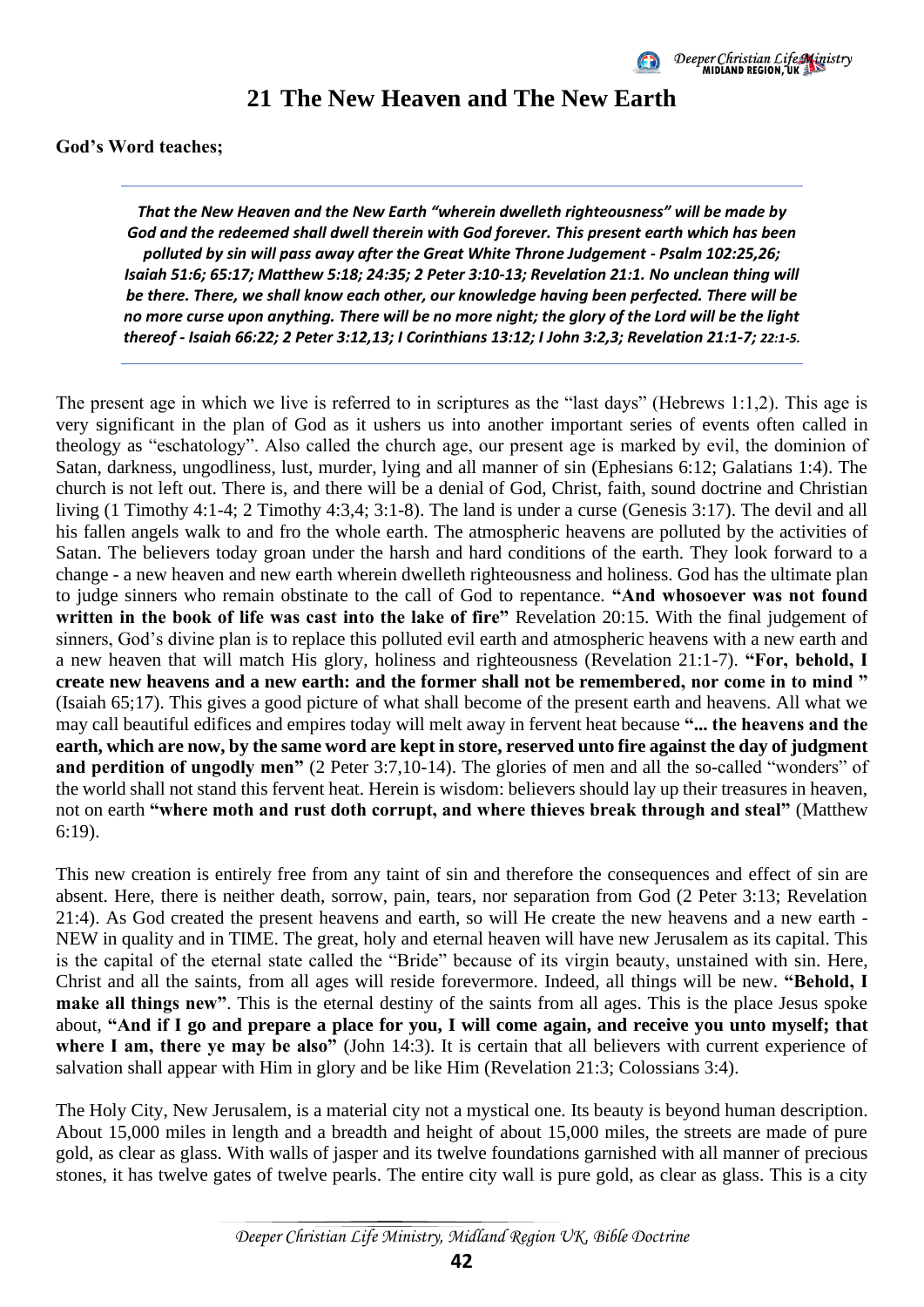

### **21 The New Heaven and The New Earth**

<span id="page-45-0"></span>**God's Word teaches;** 

*That the New Heaven and the New Earth "wherein dwelleth righteousness" will be made by God and the redeemed shall dwell therein with God forever. This present earth which has been polluted by sin will pass away after the Great White Throne Judgement - Psalm 102:25,26; Isaiah 51:6; 65:17; Matthew 5:18; 24:35; 2 Peter 3:10-13; Revelation 21:1. No unclean thing will be there. There, we shall know each other, our knowledge having been perfected. There will be no more curse upon anything. There will be no more night; the glory of the Lord will be the light thereof - Isaiah 66:22; 2 Peter 3:12,13; I Corinthians 13:12; I John 3:2,3; Revelation 21:1-7; 22:1-5.*

The present age in which we live is referred to in scriptures as the "last days" (Hebrews 1:1,2). This age is very significant in the plan of God as it ushers us into another important series of events often called in theology as "eschatology". Also called the church age, our present age is marked by evil, the dominion of Satan, darkness, ungodliness, lust, murder, lying and all manner of sin (Ephesians 6:12; Galatians 1:4). The church is not left out. There is, and there will be a denial of God, Christ, faith, sound doctrine and Christian living (1 Timothy 4:1-4; 2 Timothy 4:3,4; 3:1-8). The land is under a curse (Genesis 3:17). The devil and all his fallen angels walk to and fro the whole earth. The atmospheric heavens are polluted by the activities of Satan. The believers today groan under the harsh and hard conditions of the earth. They look forward to a change - a new heaven and new earth wherein dwelleth righteousness and holiness. God has the ultimate plan to judge sinners who remain obstinate to the call of God to repentance. **"And whosoever was not found written in the book of life was cast into the lake of fire"** Revelation 20:15. With the final judgement of sinners, God's divine plan is to replace this polluted evil earth and atmospheric heavens with a new earth and a new heaven that will match His glory, holiness and righteousness (Revelation 21:1-7). **"For, behold, I create new heavens and a new earth: and the former shall not be remembered, nor come in to mind "** (Isaiah 65;17). This gives a good picture of what shall become of the present earth and heavens. All what we may call beautiful edifices and empires today will melt away in fervent heat because **"... the heavens and the earth, which are now, by the same word are kept in store, reserved unto fire against the day of judgment and perdition of ungodly men"** (2 Peter 3:7,10-14). The glories of men and all the so-called "wonders" of the world shall not stand this fervent heat. Herein is wisdom: believers should lay up their treasures in heaven, not on earth **"where moth and rust doth corrupt, and where thieves break through and steal"** (Matthew 6:19).

This new creation is entirely free from any taint of sin and therefore the consequences and effect of sin are absent. Here, there is neither death, sorrow, pain, tears, nor separation from God (2 Peter 3:13; Revelation 21:4). As God created the present heavens and earth, so will He create the new heavens and a new earth - NEW in quality and in TIME. The great, holy and eternal heaven will have new Jerusalem as its capital. This is the capital of the eternal state called the "Bride" because of its virgin beauty, unstained with sin. Here, Christ and all the saints, from all ages will reside forevermore. Indeed, all things will be new. **"Behold, I make all things new"**. This is the eternal destiny of the saints from all ages. This is the place Jesus spoke about, **"And if I go and prepare a place for you, I will come again, and receive you unto myself; that**  where I am, there ye may be also" (John 14:3). It is certain that all believers with current experience of salvation shall appear with Him in glory and be like Him (Revelation 21:3; Colossians 3:4).

The Holy City, New Jerusalem, is a material city not a mystical one. Its beauty is beyond human description. About 15,000 miles in length and a breadth and height of about 15,000 miles, the streets are made of pure gold, as clear as glass. With walls of jasper and its twelve foundations garnished with all manner of precious stones, it has twelve gates of twelve pearls. The entire city wall is pure gold, as clear as glass. This is a city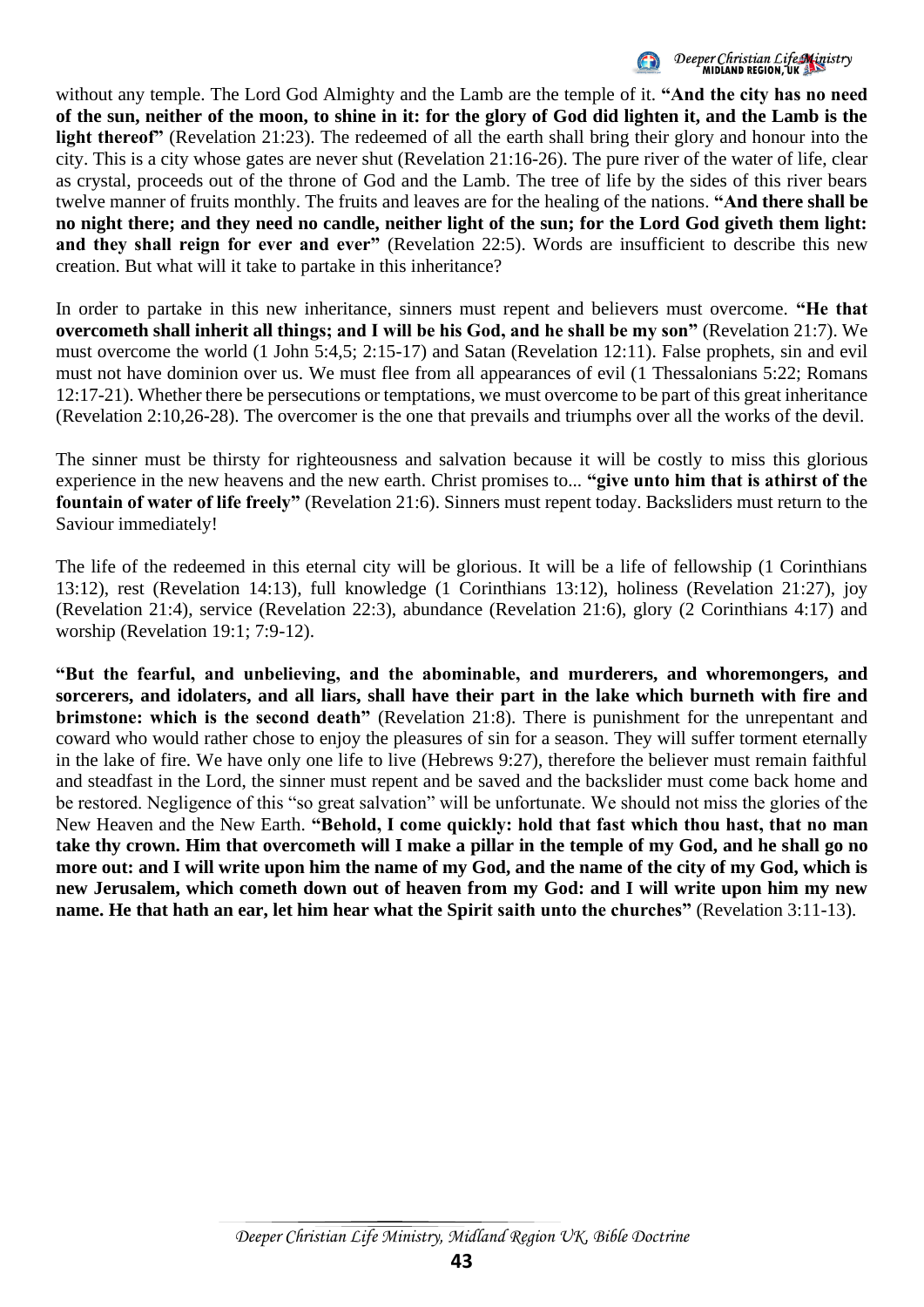

without any temple. The Lord God Almighty and the Lamb are the temple of it. **"And the city has no need of the sun, neither of the moon, to shine in it: for the glory of God did lighten it, and the Lamb is the light thereof"** (Revelation 21:23). The redeemed of all the earth shall bring their glory and honour into the city. This is a city whose gates are never shut (Revelation 21:16-26). The pure river of the water of life, clear as crystal, proceeds out of the throne of God and the Lamb. The tree of life by the sides of this river bears twelve manner of fruits monthly. The fruits and leaves are for the healing of the nations. **"And there shall be no night there; and they need no candle, neither light of the sun; for the Lord God giveth them light: and they shall reign for ever and ever"** (Revelation 22:5). Words are insufficient to describe this new creation. But what will it take to partake in this inheritance?

In order to partake in this new inheritance, sinners must repent and believers must overcome. **"He that overcometh shall inherit all things; and I will be his God, and he shall be my son"** (Revelation 21:7). We must overcome the world (1 John 5:4,5; 2:15-17) and Satan (Revelation 12:11). False prophets, sin and evil must not have dominion over us. We must flee from all appearances of evil (1 Thessalonians 5:22; Romans 12:17-21). Whether there be persecutions or temptations, we must overcome to be part of this great inheritance (Revelation 2:10,26-28). The overcomer is the one that prevails and triumphs over all the works of the devil.

The sinner must be thirsty for righteousness and salvation because it will be costly to miss this glorious experience in the new heavens and the new earth. Christ promises to... **"give unto him that is athirst of the fountain of water of life freely"** (Revelation 21:6). Sinners must repent today. Backsliders must return to the Saviour immediately!

The life of the redeemed in this eternal city will be glorious. It will be a life of fellowship (1 Corinthians 13:12), rest (Revelation 14:13), full knowledge (1 Corinthians 13:12), holiness (Revelation 21:27), joy (Revelation 21:4), service (Revelation 22:3), abundance (Revelation 21:6), glory (2 Corinthians 4:17) and worship (Revelation 19:1; 7:9-12).

**"But the fearful, and unbelieving, and the abominable, and murderers, and whoremongers, and sorcerers, and idolaters, and all liars, shall have their part in the lake which burneth with fire and brimstone: which is the second death"** (Revelation 21:8). There is punishment for the unrepentant and coward who would rather chose to enjoy the pleasures of sin for a season. They will suffer torment eternally in the lake of fire. We have only one life to live (Hebrews 9:27), therefore the believer must remain faithful and steadfast in the Lord, the sinner must repent and be saved and the backslider must come back home and be restored. Negligence of this "so great salvation" will be unfortunate. We should not miss the glories of the New Heaven and the New Earth. **"Behold, I come quickly: hold that fast which thou hast, that no man take thy crown. Him that overcometh will I make a pillar in the temple of my God, and he shall go no more out: and I will write upon him the name of my God, and the name of the city of my God, which is new Jerusalem, which cometh down out of heaven from my God: and I will write upon him my new name. He that hath an ear, let him hear what the Spirit saith unto the churches"** (Revelation 3:11-13).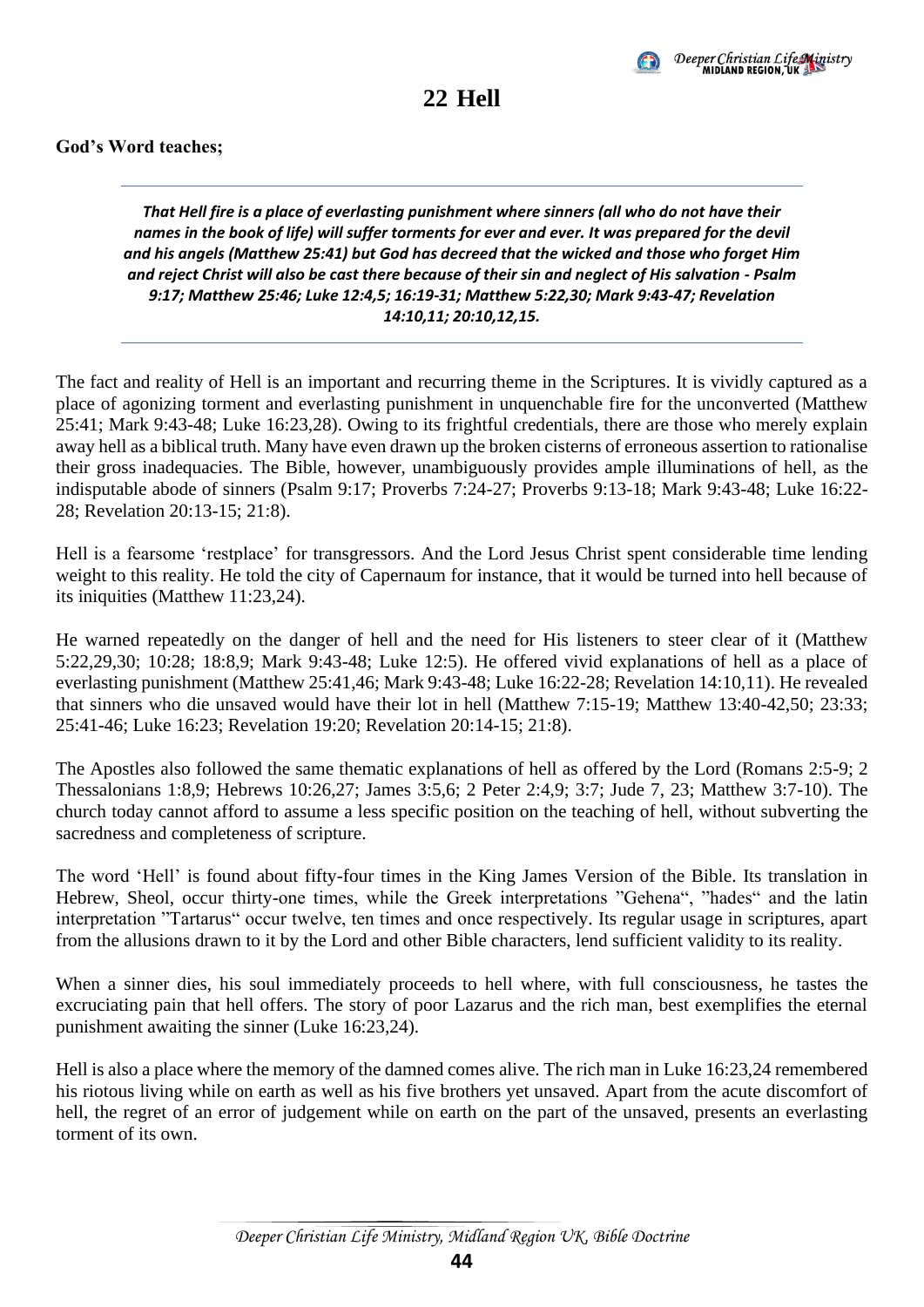

**22 Hell** 

<span id="page-47-0"></span>*That Hell fire is a place of everlasting punishment where sinners (all who do not have their names in the book of life) will suffer torments for ever and ever. It was prepared for the devil and his angels (Matthew 25:41) but God has decreed that the wicked and those who forget Him and reject Christ will also be cast there because of their sin and neglect of His salvation - Psalm 9:17; Matthew 25:46; Luke 12:4,5; 16:19-31; Matthew 5:22,30; Mark 9:43-47; Revelation 14:10,11; 20:10,12,15.*

The fact and reality of Hell is an important and recurring theme in the Scriptures. It is vividly captured as a place of agonizing torment and everlasting punishment in unquenchable fire for the unconverted (Matthew 25:41; Mark 9:43-48; Luke 16:23,28). Owing to its frightful credentials, there are those who merely explain away hell as a biblical truth. Many have even drawn up the broken cisterns of erroneous assertion to rationalise their gross inadequacies. The Bible, however, unambiguously provides ample illuminations of hell, as the indisputable abode of sinners (Psalm 9:17; Proverbs 7:24-27; Proverbs 9:13-18; Mark 9:43-48; Luke 16:22- 28; Revelation 20:13-15; 21:8).

Hell is a fearsome 'restplace' for transgressors. And the Lord Jesus Christ spent considerable time lending weight to this reality. He told the city of Capernaum for instance, that it would be turned into hell because of its iniquities (Matthew 11:23,24).

He warned repeatedly on the danger of hell and the need for His listeners to steer clear of it (Matthew 5:22,29,30; 10:28; 18:8,9; Mark 9:43-48; Luke 12:5). He offered vivid explanations of hell as a place of everlasting punishment (Matthew 25:41,46; Mark 9:43-48; Luke 16:22-28; Revelation 14:10,11). He revealed that sinners who die unsaved would have their lot in hell (Matthew 7:15-19; Matthew 13:40-42,50; 23:33; 25:41-46; Luke 16:23; Revelation 19:20; Revelation 20:14-15; 21:8).

The Apostles also followed the same thematic explanations of hell as offered by the Lord (Romans 2:5-9; 2 Thessalonians 1:8,9; Hebrews 10:26,27; James 3:5,6; 2 Peter 2:4,9; 3:7; Jude 7, 23; Matthew 3:7-10). The church today cannot afford to assume a less specific position on the teaching of hell, without subverting the sacredness and completeness of scripture.

The word 'Hell' is found about fifty-four times in the King James Version of the Bible. Its translation in Hebrew, Sheol, occur thirty-one times, while the Greek interpretations "Gehena", "hades" and the latin interpretation "Tartarus" occur twelve, ten times and once respectively. Its regular usage in scriptures, apart from the allusions drawn to it by the Lord and other Bible characters, lend sufficient validity to its reality.

When a sinner dies, his soul immediately proceeds to hell where, with full consciousness, he tastes the excruciating pain that hell offers. The story of poor Lazarus and the rich man, best exemplifies the eternal punishment awaiting the sinner (Luke 16:23,24).

Hell is also a place where the memory of the damned comes alive. The rich man in Luke 16:23,24 remembered his riotous living while on earth as well as his five brothers yet unsaved. Apart from the acute discomfort of hell, the regret of an error of judgement while on earth on the part of the unsaved, presents an everlasting torment of its own.